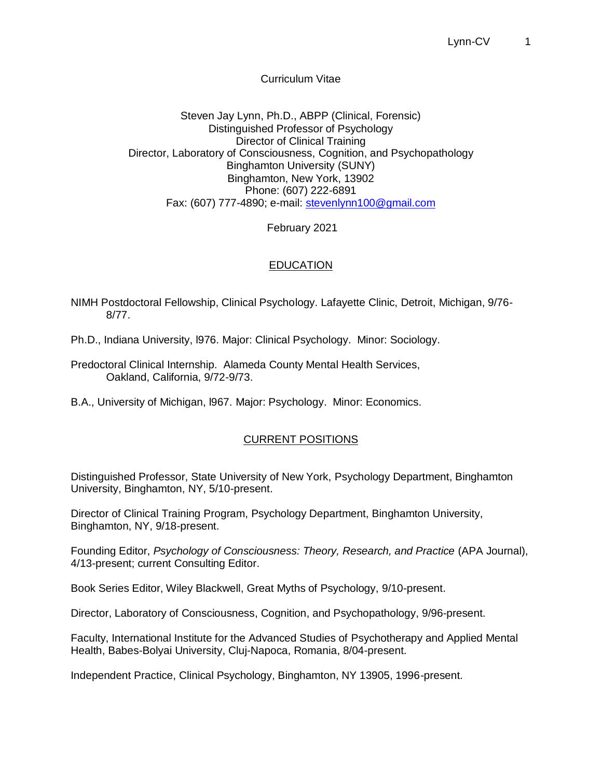## Curriculum Vitae

Steven Jay Lynn, Ph.D., ABPP (Clinical, Forensic) Distinguished Professor of Psychology Director of Clinical Training Director, Laboratory of Consciousness, Cognition, and Psychopathology Binghamton University (SUNY) Binghamton, New York, 13902 Phone: (607) 222-6891 Fax: (607) 777-4890; e-mail: stevenlynn100@gmail.com

February 2021

# **EDUCATION**

NIMH Postdoctoral Fellowship, Clinical Psychology. Lafayette Clinic, Detroit, Michigan, 9/76- 8/77.

Ph.D., Indiana University, l976. Major: Clinical Psychology. Minor: Sociology.

Predoctoral Clinical Internship. Alameda County Mental Health Services, Oakland, California, 9/72-9/73.

B.A., University of Michigan, l967. Major: Psychology. Minor: Economics.

# CURRENT POSITIONS

Distinguished Professor, State University of New York, Psychology Department, Binghamton University, Binghamton, NY, 5/10-present.

Director of Clinical Training Program, Psychology Department, Binghamton University, Binghamton, NY, 9/18-present.

Founding Editor, *Psychology of Consciousness: Theory, Research, and Practice* (APA Journal), 4/13-present; current Consulting Editor.

Book Series Editor, Wiley Blackwell, Great Myths of Psychology, 9/10-present.

Director, Laboratory of Consciousness, Cognition, and Psychopathology, 9/96-present.

Faculty, International Institute for the Advanced Studies of Psychotherapy and Applied Mental Health, Babes-Bolyai University, Cluj-Napoca, Romania, 8/04-present.

Independent Practice, Clinical Psychology, Binghamton, NY 13905, 1996-present.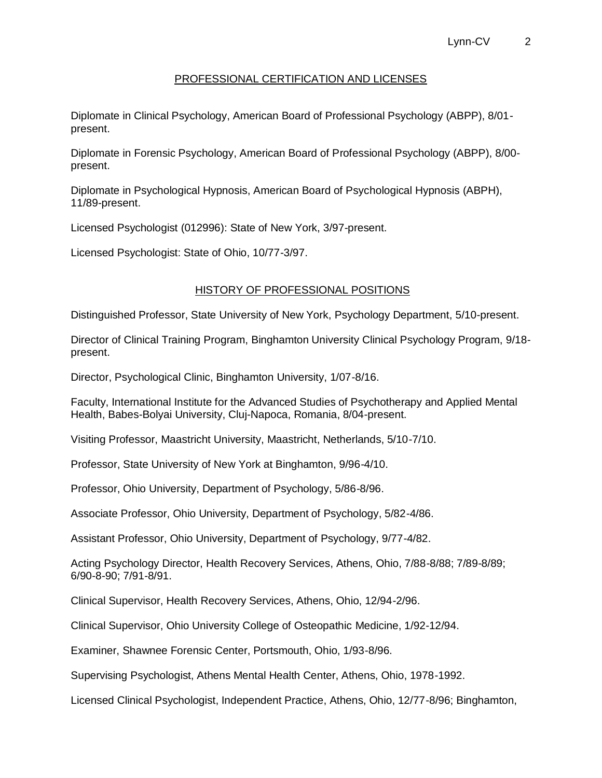## PROFESSIONAL CERTIFICATION AND LICENSES

Diplomate in Clinical Psychology, American Board of Professional Psychology (ABPP), 8/01 present.

Diplomate in Forensic Psychology, American Board of Professional Psychology (ABPP), 8/00 present.

Diplomate in Psychological Hypnosis, American Board of Psychological Hypnosis (ABPH), 11/89-present.

Licensed Psychologist (012996): State of New York, 3/97-present.

Licensed Psychologist: State of Ohio, 10/77-3/97.

### HISTORY OF PROFESSIONAL POSITIONS

Distinguished Professor, State University of New York, Psychology Department, 5/10-present.

Director of Clinical Training Program, Binghamton University Clinical Psychology Program, 9/18 present.

Director, Psychological Clinic, Binghamton University, 1/07-8/16.

Faculty, International Institute for the Advanced Studies of Psychotherapy and Applied Mental Health, Babes-Bolyai University, Cluj-Napoca, Romania, 8/04-present.

Visiting Professor, Maastricht University, Maastricht, Netherlands, 5/10-7/10.

Professor, State University of New York at Binghamton, 9/96-4/10.

Professor, Ohio University, Department of Psychology, 5/86-8/96.

Associate Professor, Ohio University, Department of Psychology, 5/82-4/86.

Assistant Professor, Ohio University, Department of Psychology, 9/77-4/82.

Acting Psychology Director, Health Recovery Services, Athens, Ohio, 7/88-8/88; 7/89-8/89; 6/90-8-90; 7/91-8/91.

Clinical Supervisor, Health Recovery Services, Athens, Ohio, 12/94-2/96.

Clinical Supervisor, Ohio University College of Osteopathic Medicine, 1/92-12/94.

Examiner, Shawnee Forensic Center, Portsmouth, Ohio, 1/93-8/96.

Supervising Psychologist, Athens Mental Health Center, Athens, Ohio, 1978-1992.

Licensed Clinical Psychologist, Independent Practice, Athens, Ohio, 12/77-8/96; Binghamton,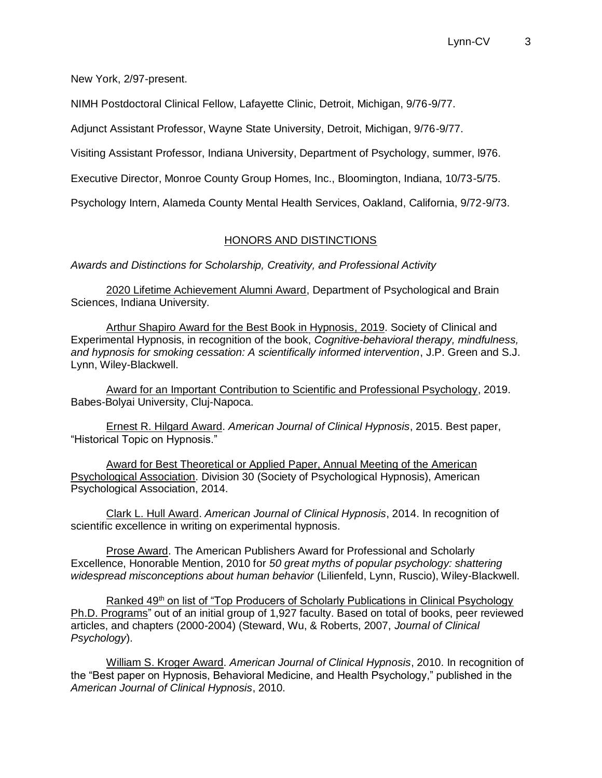New York, 2/97-present.

NIMH Postdoctoral Clinical Fellow, Lafayette Clinic, Detroit, Michigan, 9/76-9/77.

Adjunct Assistant Professor, Wayne State University, Detroit, Michigan, 9/76-9/77.

Visiting Assistant Professor, Indiana University, Department of Psychology, summer, l976.

Executive Director, Monroe County Group Homes, Inc., Bloomington, Indiana, 10/73-5/75.

Psychology Intern, Alameda County Mental Health Services, Oakland, California, 9/72-9/73.

#### HONORS AND DISTINCTIONS

*Awards and Distinctions for Scholarship, Creativity, and Professional Activity*

2020 Lifetime Achievement Alumni Award, Department of Psychological and Brain Sciences, Indiana University.

Arthur Shapiro Award for the Best Book in Hypnosis, 2019. Society of Clinical and Experimental Hypnosis, in recognition of the book, *Cognitive-behavioral therapy, mindfulness, and hypnosis for smoking cessation: A scientifically informed intervention*, J.P. Green and S.J. Lynn, Wiley-Blackwell.

Award for an Important Contribution to Scientific and Professional Psychology, 2019. Babes-Bolyai University, Cluj-Napoca.

Ernest R. Hilgard Award. *American Journal of Clinical Hypnosis*, 2015. Best paper, "Historical Topic on Hypnosis."

Award for Best Theoretical or Applied Paper, Annual Meeting of the American Psychological Association. Division 30 (Society of Psychological Hypnosis), American Psychological Association, 2014.

Clark L. Hull Award. *American Journal of Clinical Hypnosis*, 2014. In recognition of scientific excellence in writing on experimental hypnosis.

Prose Award. The American Publishers Award for Professional and Scholarly Excellence, Honorable Mention, 2010 for *50 great myths of popular psychology: shattering widespread misconceptions about human behavior* (Lilienfeld, Lynn, Ruscio), Wiley-Blackwell.

Ranked 49<sup>th</sup> on list of "Top Producers of Scholarly Publications in Clinical Psychology Ph.D. Programs" out of an initial group of 1,927 faculty. Based on total of books, peer reviewed articles, and chapters (2000-2004) (Steward, Wu, & Roberts, 2007, *Journal of Clinical Psychology*).

William S. Kroger Award. *American Journal of Clinical Hypnosis*, 2010. In recognition of the "Best paper on Hypnosis, Behavioral Medicine, and Health Psychology," published in the *American Journal of Clinical Hypnosis*, 2010.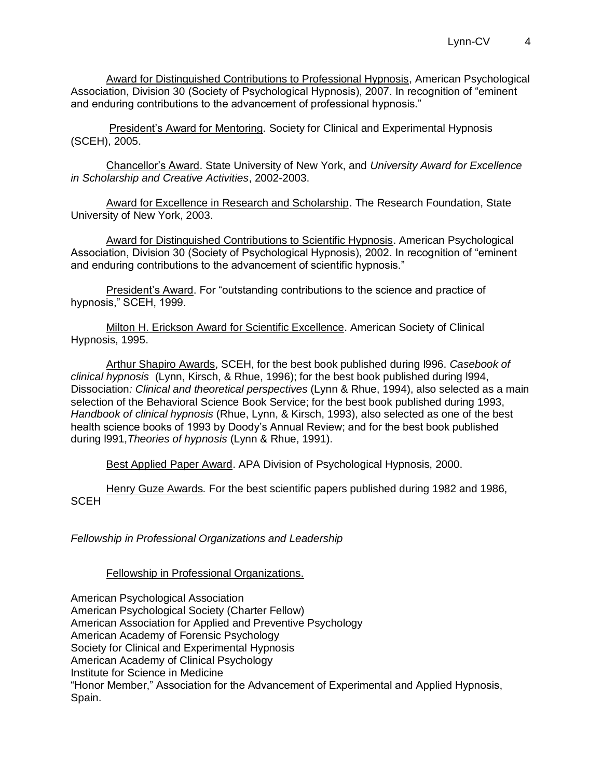Award for Distinguished Contributions to Professional Hypnosis, American Psychological Association, Division 30 (Society of Psychological Hypnosis), 2007. In recognition of "eminent and enduring contributions to the advancement of professional hypnosis."

President's Award for Mentoring*.* Society for Clinical and Experimental Hypnosis (SCEH), 2005.

Chancellor's Award. State University of New York, and *University Award for Excellence in Scholarship and Creative Activities*, 2002-2003.

Award for Excellence in Research and Scholarship. The Research Foundation, State University of New York, 2003.

Award for Distinguished Contributions to Scientific Hypnosis. American Psychological Association, Division 30 (Society of Psychological Hypnosis), 2002. In recognition of "eminent and enduring contributions to the advancement of scientific hypnosis."

President's Award. For "outstanding contributions to the science and practice of hypnosis," SCEH, 1999.

Milton H. Erickson Award for Scientific Excellence. American Society of Clinical Hypnosis, 1995.

Arthur Shapiro Awards, SCEH, for the best book published during l996. *Casebook of clinical hypnosis* (Lynn, Kirsch, & Rhue, 1996); for the best book published during l994, Dissociation*: Clinical and theoretical perspectives* (Lynn & Rhue, 1994), also selected as a main selection of the Behavioral Science Book Service; for the best book published during 1993, *Handbook of clinical hypnosis* (Rhue, Lynn, & Kirsch, 1993), also selected as one of the best health science books of 1993 by Doody's Annual Review; and for the best book published during l991,*Theories of hypnosis* (Lynn & Rhue, 1991).

Best Applied Paper Award. APA Division of Psychological Hypnosis, 2000.

Henry Guze Awards*.* For the best scientific papers published during 1982 and 1986, **SCEH** 

*Fellowship in Professional Organizations and Leadership*

Fellowship in Professional Organizations.

American Psychological Association American Psychological Society (Charter Fellow) American Association for Applied and Preventive Psychology American Academy of Forensic Psychology Society for Clinical and Experimental Hypnosis American Academy of Clinical Psychology Institute for Science in Medicine "Honor Member," Association for the Advancement of Experimental and Applied Hypnosis, Spain.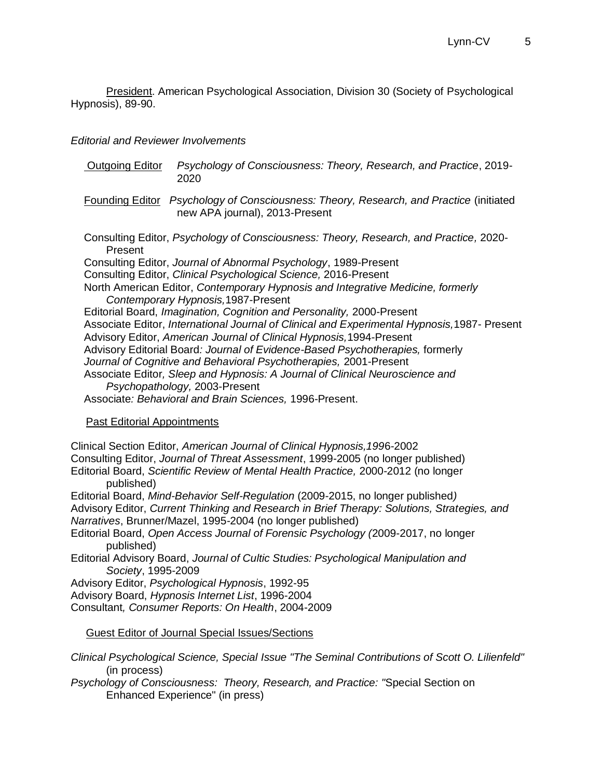President. American Psychological Association, Division 30 (Society of Psychological Hypnosis), 89-90.

### *Editorial and Reviewer Involvements*

| Outgoing Editor                    | 2020                                                                                                                                                                                                                                                                                                                                                                                                                                                                                        | Psychology of Consciousness: Theory, Research, and Practice, 2019-                                                                                                                                                                                                                                                                                                                                                                                                                                                                   |
|------------------------------------|---------------------------------------------------------------------------------------------------------------------------------------------------------------------------------------------------------------------------------------------------------------------------------------------------------------------------------------------------------------------------------------------------------------------------------------------------------------------------------------------|--------------------------------------------------------------------------------------------------------------------------------------------------------------------------------------------------------------------------------------------------------------------------------------------------------------------------------------------------------------------------------------------------------------------------------------------------------------------------------------------------------------------------------------|
|                                    | new APA journal), 2013-Present                                                                                                                                                                                                                                                                                                                                                                                                                                                              | Founding Editor Psychology of Consciousness: Theory, Research, and Practice (initiated                                                                                                                                                                                                                                                                                                                                                                                                                                               |
| Present                            | Consulting Editor, Journal of Abnormal Psychology, 1989-Present<br>Consulting Editor, Clinical Psychological Science, 2016-Present<br>Contemporary Hypnosis, 1987-Present<br>Editorial Board, Imagination, Cognition and Personality, 2000-Present<br>Advisory Editor, American Journal of Clinical Hypnosis, 1994-Present<br>Journal of Cognitive and Behavioral Psychotherapies, 2001-Present<br>Psychopathology, 2003-Present<br>Associate: Behavioral and Brain Sciences, 1996-Present. | Consulting Editor, Psychology of Consciousness: Theory, Research, and Practice, 2020-<br>North American Editor, Contemporary Hypnosis and Integrative Medicine, formerly<br>Associate Editor, International Journal of Clinical and Experimental Hypnosis, 1987- Present<br>Advisory Editorial Board: Journal of Evidence-Based Psychotherapies, formerly<br>Associate Editor, Sleep and Hypnosis: A Journal of Clinical Neuroscience and                                                                                            |
| <b>Past Editorial Appointments</b> |                                                                                                                                                                                                                                                                                                                                                                                                                                                                                             |                                                                                                                                                                                                                                                                                                                                                                                                                                                                                                                                      |
| published)<br>published)           | Clinical Section Editor, American Journal of Clinical Hypnosis, 1996-2002<br>Narratives, Brunner/Mazel, 1995-2004 (no longer published)                                                                                                                                                                                                                                                                                                                                                     | Consulting Editor, Journal of Threat Assessment, 1999-2005 (no longer published)<br>Editorial Board, Scientific Review of Mental Health Practice, 2000-2012 (no longer<br>Editorial Board, Mind-Behavior Self-Regulation (2009-2015, no longer published)<br>Advisory Editor, Current Thinking and Research in Brief Therapy: Solutions, Strategies, and<br>Editorial Board, Open Access Journal of Forensic Psychology (2009-2017, no longer<br>Editorial Advisory Board, Journal of Cultic Studies: Psychological Manipulation and |
| Society, 1995-2009                 | Advisory Editor, Psychological Hypnosis, 1992-95<br>Advisory Board, Hypnosis Internet List, 1996-2004<br>Consultant, Consumer Reports: On Health, 2004-2009                                                                                                                                                                                                                                                                                                                                 |                                                                                                                                                                                                                                                                                                                                                                                                                                                                                                                                      |
|                                    | Guest Editor of Journal Special Issues/Sections                                                                                                                                                                                                                                                                                                                                                                                                                                             |                                                                                                                                                                                                                                                                                                                                                                                                                                                                                                                                      |
|                                    |                                                                                                                                                                                                                                                                                                                                                                                                                                                                                             |                                                                                                                                                                                                                                                                                                                                                                                                                                                                                                                                      |

*Clinical Psychological Science, Special Issue "The Seminal Contributions of Scott O. Lilienfeld"* (in process)

*Psychology of Consciousness: Theory, Research, and Practice: "*Special Section on Enhanced Experience" (in press)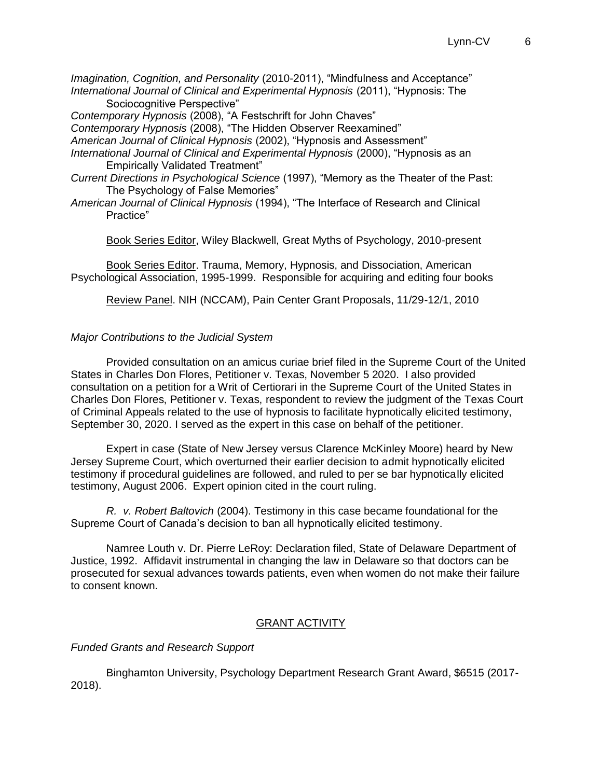*Imagination, Cognition, and Personality* (2010-2011), "Mindfulness and Acceptance" *International Journal of Clinical and Experimental Hypnosis* (2011), "Hypnosis: The Sociocognitive Perspective"

*Contemporary Hypnosis* (2008), "A Festschrift for John Chaves"

*Contemporary Hypnosis* (2008), "The Hidden Observer Reexamined"

*American Journal of Clinical Hypnosis* (2002), "Hypnosis and Assessment"

*International Journal of Clinical and Experimental Hypnosis* (2000), "Hypnosis as an Empirically Validated Treatment"

- *Current Directions in Psychological Science* (1997), "Memory as the Theater of the Past: The Psychology of False Memories"
- *American Journal of Clinical Hypnosis* (1994), "The Interface of Research and Clinical Practice"

Book Series Editor, Wiley Blackwell, Great Myths of Psychology, 2010-present

Book Series Editor. Trauma, Memory, Hypnosis, and Dissociation, American Psychological Association, 1995-1999. Responsible for acquiring and editing four books

Review Panel. NIH (NCCAM), Pain Center Grant Proposals, 11/29-12/1, 2010

## *Major Contributions to the Judicial System*

Provided consultation on an amicus curiae brief filed in the Supreme Court of the United States in Charles Don Flores, Petitioner v. Texas, November 5 2020. I also provided consultation on a petition for a Writ of Certiorari in the Supreme Court of the United States in Charles Don Flores, Petitioner v. Texas, respondent to review the judgment of the Texas Court of Criminal Appeals related to the use of hypnosis to facilitate hypnotically elicited testimony, September 30, 2020. I served as the expert in this case on behalf of the petitioner.

 Expert in case (State of New Jersey versus Clarence McKinley Moore) heard by New Jersey Supreme Court, which overturned their earlier decision to admit hypnotically elicited testimony if procedural guidelines are followed, and ruled to per se bar hypnotically elicited testimony, August 2006. Expert opinion cited in the court ruling.

 *R. v. Robert Baltovich* (2004). Testimony in this case became foundational for the Supreme Court of Canada's decision to ban all hypnotically elicited testimony.

 Namree Louth v. Dr. Pierre LeRoy: Declaration filed, State of Delaware Department of Justice, 1992. Affidavit instrumental in changing the law in Delaware so that doctors can be prosecuted for sexual advances towards patients, even when women do not make their failure to consent known.

## GRANT ACTIVITY

*Funded Grants and Research Support*

Binghamton University, Psychology Department Research Grant Award, \$6515 (2017- 2018).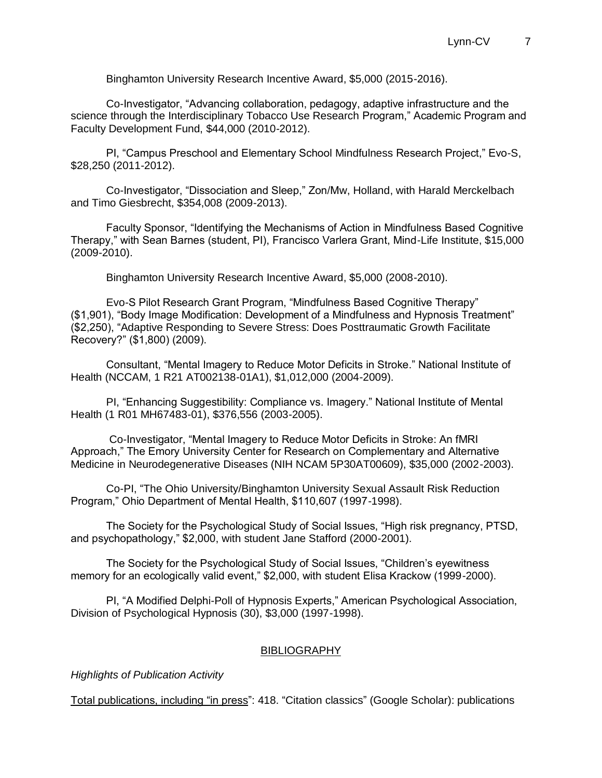Binghamton University Research Incentive Award, \$5,000 (2015-2016).

Co-Investigator, "Advancing collaboration, pedagogy, adaptive infrastructure and the science through the Interdisciplinary Tobacco Use Research Program," Academic Program and Faculty Development Fund, \$44,000 (2010-2012).

PI, "Campus Preschool and Elementary School Mindfulness Research Project," Evo-S, \$28,250 (2011-2012).

Co-Investigator, "Dissociation and Sleep," Zon/Mw, Holland, with Harald Merckelbach and Timo Giesbrecht, \$354,008 (2009-2013).

Faculty Sponsor, "Identifying the Mechanisms of Action in Mindfulness Based Cognitive Therapy," with Sean Barnes (student, PI), Francisco Varlera Grant, Mind-Life Institute, \$15,000 (2009-2010).

Binghamton University Research Incentive Award, \$5,000 (2008-2010).

Evo-S Pilot Research Grant Program, "Mindfulness Based Cognitive Therapy" (\$1,901), "Body Image Modification: Development of a Mindfulness and Hypnosis Treatment" (\$2,250), "Adaptive Responding to Severe Stress: Does Posttraumatic Growth Facilitate Recovery?" (\$1,800) (2009).

Consultant, "Mental Imagery to Reduce Motor Deficits in Stroke." National Institute of Health (NCCAM, 1 R21 AT002138-01A1), \$1,012,000 (2004-2009).

PI, "Enhancing Suggestibility: Compliance vs. Imagery." National Institute of Mental Health (1 R01 MH67483-01), \$376,556 (2003-2005).

Co-Investigator, "Mental Imagery to Reduce Motor Deficits in Stroke: An fMRI Approach," The Emory University Center for Research on Complementary and Alternative Medicine in Neurodegenerative Diseases (NIH NCAM 5P30AT00609), \$35,000 (2002-2003).

Co-PI, "The Ohio University/Binghamton University Sexual Assault Risk Reduction Program," Ohio Department of Mental Health, \$110,607 (1997-1998).

The Society for the Psychological Study of Social Issues, "High risk pregnancy, PTSD, and psychopathology," \$2,000, with student Jane Stafford (2000-2001).

The Society for the Psychological Study of Social Issues, "Children's eyewitness memory for an ecologically valid event," \$2,000, with student Elisa Krackow (1999-2000).

PI, "A Modified Delphi-Poll of Hypnosis Experts," American Psychological Association, Division of Psychological Hypnosis (30), \$3,000 (1997-1998).

#### **BIBLIOGRAPHY**

*Highlights of Publication Activity*

Total publications, including "in press": 418. "Citation classics" (Google Scholar): publications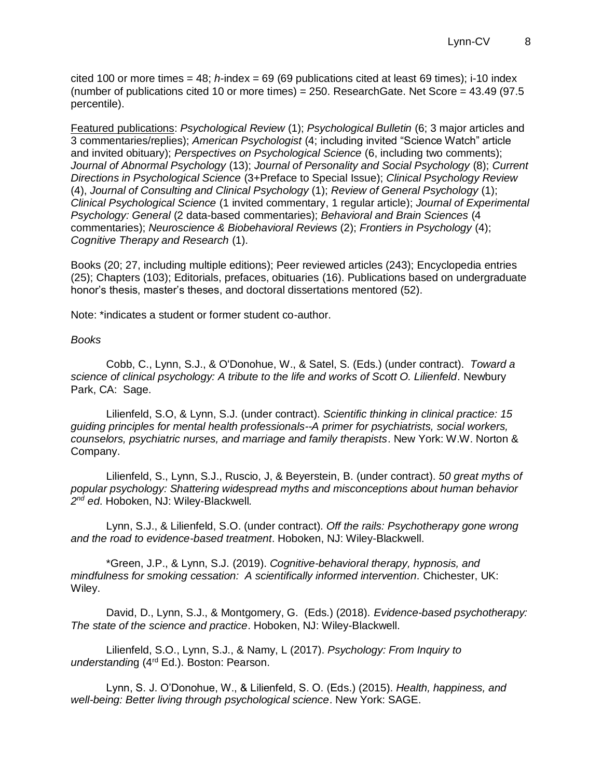cited 100 or more times = 48; *h*-index = 69 (69 publications cited at least 69 times); i-10 index (number of publications cited 10 or more times) =  $250$ . ResearchGate. Net Score =  $43.49$  (97.5) percentile).

Featured publications: *Psychological Review* (1); *Psychological Bulletin* (6; 3 major articles and 3 commentaries/replies); *American Psychologist* (4; including invited "Science Watch" article and invited obituary); *Perspectives on Psychological Science* (6, including two comments); *Journal of Abnormal Psychology* (13); *Journal of Personality and Social Psychology* (8); *Current Directions in Psychological Science* (3+Preface to Special Issue); *Clinical Psychology Review* (4), *Journal of Consulting and Clinical Psychology* (1); *Review of General Psychology* (1); *Clinical Psychological Science* (1 invited commentary, 1 regular article); *Journal of Experimental Psychology: General* (2 data-based commentaries); *Behavioral and Brain Sciences* (4 commentaries); *Neuroscience & Biobehavioral Reviews* (2); *Frontiers in Psychology* (4); *Cognitive Therapy and Research* (1).

Books (20; 27, including multiple editions); Peer reviewed articles (243); Encyclopedia entries (25); Chapters (103); Editorials, prefaces, obituaries (16). Publications based on undergraduate honor's thesis, master's theses, and doctoral dissertations mentored (52).

Note: \*indicates a student or former student co-author.

#### *Books*

Cobb, C., Lynn, S.J., & O'Donohue, W., & Satel, S. (Eds.) (under contract). *Toward a science of clinical psychology: A tribute to the life and works of Scott O. Lilienfeld*. Newbury Park, CA: Sage.

Lilienfeld, S.O, & Lynn, S.J. (under contract). *Scientific thinking in clinical practice: 15 guiding principles for mental health professionals--A primer for psychiatrists, social workers, counselors, psychiatric nurses, and marriage and family therapists*. New York: W.W. Norton & Company.

Lilienfeld, S., Lynn, S.J., Ruscio, J, & Beyerstein, B. (under contract). *50 great myths of popular psychology: Shattering widespread myths and misconceptions about human behavior 2 nd ed*. Hoboken, NJ: Wiley-Blackwell*.*

Lynn, S.J., & Lilienfeld, S.O. (under contract). *Off the rails: Psychotherapy gone wrong and the road to evidence-based treatment*. Hoboken, NJ: Wiley-Blackwell.

\*Green, J.P., & Lynn, S.J. (2019). *Cognitive-behavioral therapy, hypnosis, and mindfulness for smoking cessation: A scientifically informed intervention.* Chichester, UK: Wiley.

David, D., Lynn, S.J., & Montgomery, G. (Eds.) (2018). *Evidence-based psychotherapy: The state of the science and practice*. Hoboken, NJ: Wiley-Blackwell.

Lilienfeld, S.O., Lynn, S.J., & Namy, L (2017). *Psychology: From Inquiry to understandin*g (4rd Ed.). Boston: Pearson.

Lynn, S. J. O'Donohue, W., & Lilienfeld, S. O. (Eds.) (2015). *Health, happiness, and well-being: Better living through psychological science*. New York: SAGE.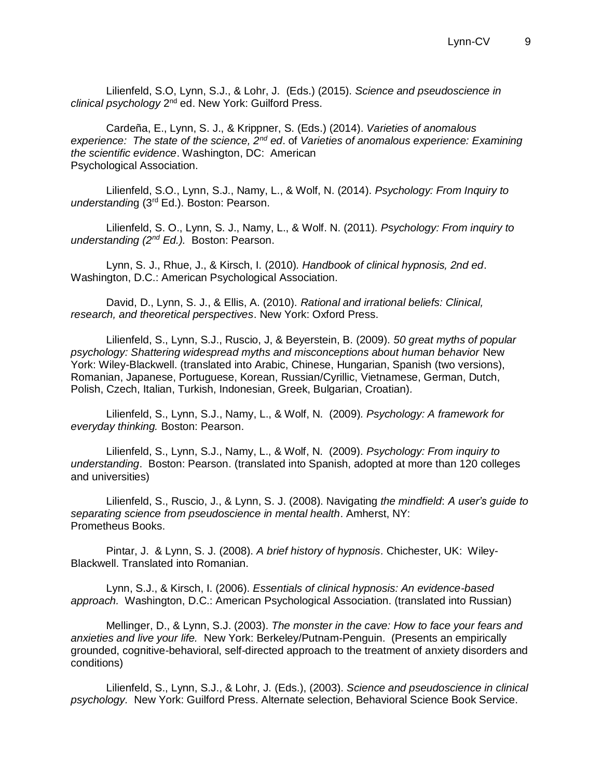Lilienfeld, S.O, Lynn, S.J., & Lohr, J. (Eds.) (2015). *Science and pseudoscience in*  clinical psychology 2<sup>nd</sup> ed. New York: Guilford Press.

Cardeña, E., Lynn, S. J., & Krippner, S. (Eds.) (2014). *Varieties of anomalous experience: The state of the science, 2nd ed*. of *Varieties of anomalous experience: Examining the scientific evidence*. Washington, DC: American Psychological Association.

Lilienfeld, S.O., Lynn, S.J., Namy, L., & Wolf, N. (2014). *Psychology: From Inquiry to understandin*g (3rd Ed.). Boston: Pearson.

Lilienfeld, S. O., Lynn, S. J., Namy, L., & Wolf. N. (2011)*. Psychology: From inquiry to understanding (2nd Ed.).* Boston: Pearson.

Lynn, S. J., Rhue, J., & Kirsch, I. (2010)*. Handbook of clinical hypnosis, 2nd ed*. Washington, D.C.: American Psychological Association.

David, D., Lynn, S. J., & Ellis, A. (2010). *Rational and irrational beliefs: Clinical, research, and theoretical perspectives*. New York: Oxford Press.

Lilienfeld, S., Lynn, S.J., Ruscio, J, & Beyerstein, B. (2009). *50 great myths of popular psychology: Shattering widespread myths and misconceptions about human behavior* New York: Wiley-Blackwell. (translated into Arabic, Chinese, Hungarian, Spanish (two versions), Romanian, Japanese, Portuguese, Korean, Russian/Cyrillic, Vietnamese, German, Dutch, Polish, Czech, Italian, Turkish, Indonesian, Greek, Bulgarian, Croatian)*.*

Lilienfeld, S., Lynn, S.J., Namy, L., & Wolf, N. (2009)*. Psychology: A framework for everyday thinking.* Boston: Pearson.

Lilienfeld, S., Lynn, S.J., Namy, L., & Wolf, N. (2009)*. Psychology: From inquiry to understanding*. Boston: Pearson. (translated into Spanish, adopted at more than 120 colleges and universities)

Lilienfeld, S., Ruscio, J., & Lynn, S. J. (2008). Navigating *the mindfield*: *A user's guide to separating science from pseudoscience in mental health*. Amherst, NY: Prometheus Books.

Pintar, J. & Lynn, S. J. (2008). *A brief history of hypnosis*. Chichester, UK: Wiley-Blackwell. Translated into Romanian.

Lynn, S.J., & Kirsch, I. (2006). *Essentials of clinical hypnosis: An evidence-based approach.* Washington, D.C.: American Psychological Association. (translated into Russian)

Mellinger, D., & Lynn, S.J. (2003). *The monster in the cave: How to face your fears and anxieties and live your life.* New York: Berkeley/Putnam-Penguin. (Presents an empirically grounded, cognitive-behavioral, self-directed approach to the treatment of anxiety disorders and conditions)

Lilienfeld, S., Lynn, S.J., & Lohr, J. (Eds.), (2003). *Science and pseudoscience in clinical psychology.* New York: Guilford Press. Alternate selection, Behavioral Science Book Service.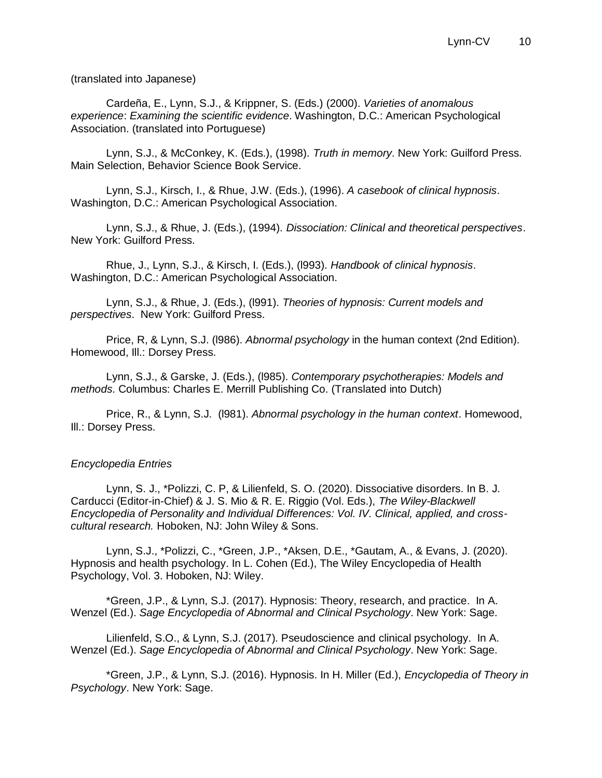(translated into Japanese)

Cardeña, E., Lynn, S.J., & Krippner, S. (Eds.) (2000). *Varieties of anomalous experience*: *Examining the scientific evidence*. Washington, D.C.: American Psychological Association. (translated into Portuguese)

Lynn, S.J., & McConkey, K. (Eds.), (1998). *Truth in memory*. New York: Guilford Press. Main Selection, Behavior Science Book Service.

Lynn, S.J., Kirsch, I., & Rhue, J.W. (Eds.), (1996). *A casebook of clinical hypnosis*. Washington, D.C.: American Psychological Association.

Lynn, S.J., & Rhue, J. (Eds.), (1994). *Dissociation: Clinical and theoretical perspectives*. New York: Guilford Press.

Rhue, J., Lynn, S.J., & Kirsch, I. (Eds.), (l993). *Handbook of clinical hypnosis*. Washington, D.C.: American Psychological Association.

Lynn, S.J., & Rhue, J. (Eds.), (l991). *Theories of hypnosis: Current models and perspectives*. New York: Guilford Press.

Price, R, & Lynn, S.J. (l986). *Abnormal psychology* in the human context (2nd Edition). Homewood, Ill.: Dorsey Press.

Lynn, S.J., & Garske, J. (Eds.), (l985). *Contemporary psychotherapies: Models and methods*. Columbus: Charles E. Merrill Publishing Co. (Translated into Dutch)

Price, R., & Lynn, S.J. (l981). *Abnormal psychology in the human context*. Homewood, Ill.: Dorsey Press.

## *Encyclopedia Entries*

Lynn, S. J., \*Polizzi, C. P, & Lilienfeld, S. O. (2020). Dissociative disorders. In B. J. Carducci (Editor-in-Chief) & J. S. Mio & R. E. Riggio (Vol. Eds.), *The Wiley-Blackwell Encyclopedia of Personality and Individual Differences: Vol. IV. Clinical, applied, and crosscultural research.* Hoboken, NJ: John Wiley & Sons.

Lynn, S.J., \*Polizzi, C., \*Green, J.P., \*Aksen, D.E., \*Gautam, A., & Evans, J. (2020). Hypnosis and health psychology. In L. Cohen (Ed.), The Wiley Encyclopedia of Health Psychology, Vol. 3. Hoboken, NJ: Wiley.

\*Green, J.P., & Lynn, S.J. (2017). Hypnosis: Theory, research, and practice. In A. Wenzel (Ed.). *Sage Encyclopedia of Abnormal and Clinical Psychology*. New York: Sage.

Lilienfeld, S.O., & Lynn, S.J. (2017). Pseudoscience and clinical psychology. In A. Wenzel (Ed.). *Sage Encyclopedia of Abnormal and Clinical Psychology*. New York: Sage.

\*Green, J.P., & Lynn, S.J. (2016). Hypnosis. In H. Miller (Ed.), *Encyclopedia of Theory in Psychology*. New York: Sage.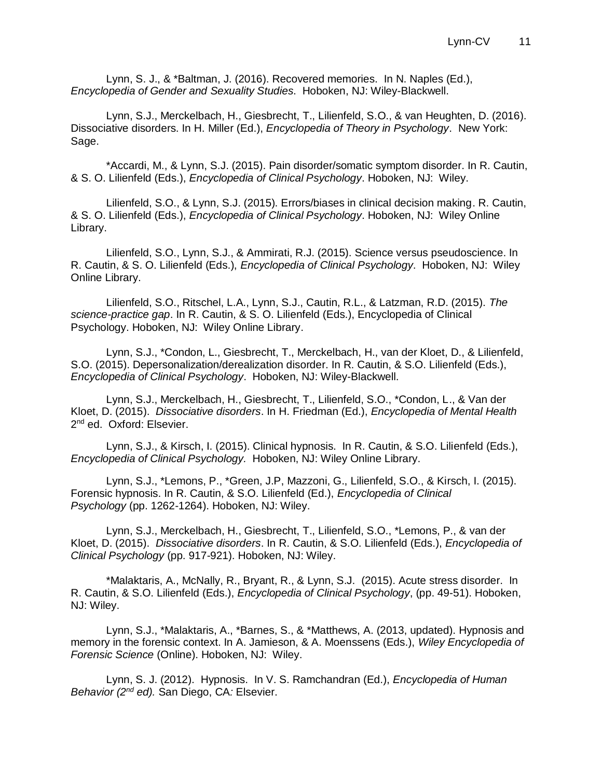Lynn, S. J., & \*Baltman, J. (2016). Recovered memories. In N. Naples (Ed.), *Encyclopedia of Gender and Sexuality Studies*. Hoboken, NJ: Wiley-Blackwell.

Lynn, S.J., Merckelbach, H., Giesbrecht, T., Lilienfeld, S.O., & van Heughten, D. (2016). Dissociative disorders. In H. Miller (Ed.), *Encyclopedia of Theory in Psychology*. New York: Sage.

\*Accardi, M., & Lynn, S.J. (2015). Pain disorder/somatic symptom disorder. In R. Cautin, & S. O. Lilienfeld (Eds.), *Encyclopedia of Clinical Psychology*. Hoboken, NJ: Wiley.

Lilienfeld, S.O., & Lynn, S.J. (2015). Errors/biases in clinical decision making. R. Cautin, & S. O. Lilienfeld (Eds.), *Encyclopedia of Clinical Psychology*. Hoboken, NJ: Wiley Online Library.

Lilienfeld, S.O., Lynn, S.J., & Ammirati, R.J. (2015). Science versus pseudoscience. In R. Cautin, & S. O. Lilienfeld (Eds.), *Encyclopedia of Clinical Psychology*. Hoboken, NJ: Wiley Online Library.

Lilienfeld, S.O., Ritschel, L.A., Lynn, S.J., Cautin, R.L., & Latzman, R.D. (2015). *The science-practice gap*. In R. Cautin, & S. O. Lilienfeld (Eds.), Encyclopedia of Clinical Psychology. Hoboken, NJ: Wiley Online Library.

Lynn, S.J., \*Condon, L., Giesbrecht, T., Merckelbach, H., van der Kloet, D., & Lilienfeld, S.O. (2015). Depersonalization/derealization disorder. In R. Cautin, & S.O. Lilienfeld (Eds.), *Encyclopedia of Clinical Psychology*. Hoboken, NJ: Wiley-Blackwell.

Lynn, S.J., Merckelbach, H., Giesbrecht, T., Lilienfeld, S.O., \*Condon, L., & Van der Kloet, D. (2015). *Dissociative disorders*. In H. Friedman (Ed.), *Encyclopedia of Mental Health* 2<sup>nd</sup> ed. Oxford: Elsevier.

Lynn, S.J., & Kirsch, I. (2015). Clinical hypnosis. In R. Cautin, & S.O. Lilienfeld (Eds.), *Encyclopedia of Clinical Psychology.* Hoboken, NJ: Wiley Online Library.

Lynn, S.J., \*Lemons, P., \*Green, J.P, Mazzoni, G., Lilienfeld, S.O., & Kirsch, I. (2015). Forensic hypnosis. In R. Cautin, & S.O. Lilienfeld (Ed.), *Encyclopedia of Clinical Psychology* (pp. 1262-1264). Hoboken, NJ: Wiley.

Lynn, S.J., Merckelbach, H., Giesbrecht, T., Lilienfeld, S.O., \*Lemons, P., & van der Kloet, D. (2015). *Dissociative disorders*. In R. Cautin, & S.O. Lilienfeld (Eds.), *Encyclopedia of Clinical Psychology* (pp. 917-921). Hoboken, NJ: Wiley.

\*Malaktaris, A., McNally, R., Bryant, R., & Lynn, S.J. (2015). Acute stress disorder. In R. Cautin, & S.O. Lilienfeld (Eds.), *Encyclopedia of Clinical Psychology*, (pp. 49-51). Hoboken, NJ: Wiley.

Lynn, S.J., \*Malaktaris, A., \*Barnes, S., & \*Matthews, A. (2013, updated). Hypnosis and memory in the forensic context. In A. Jamieson, & A. Moenssens (Eds.), *Wiley Encyclopedia of Forensic Science* (Online). Hoboken, NJ: Wiley.

Lynn, S. J. (2012). Hypnosis. In V. S. Ramchandran (Ed.), *Encyclopedia of Human Behavior (2nd ed).* San Diego, CA*:* Elsevier.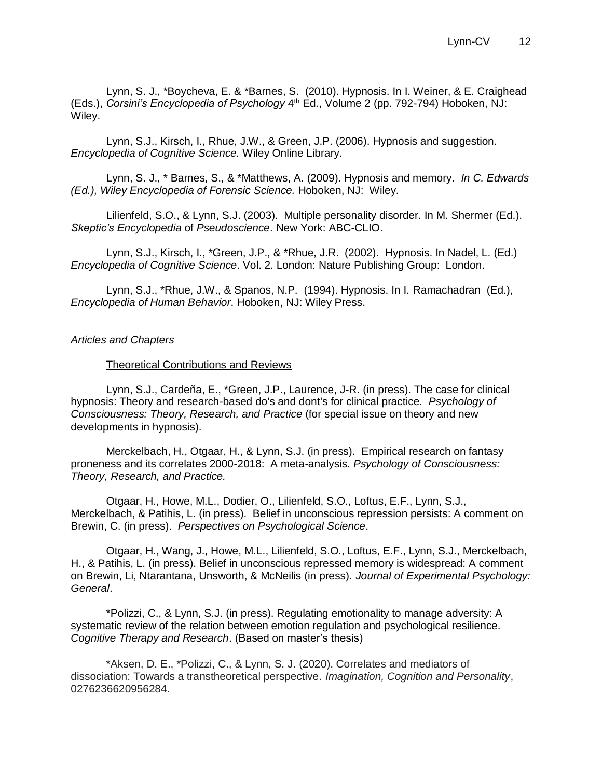Lynn, S. J., \*Boycheva, E. & \*Barnes, S. (2010). Hypnosis. In I. Weiner, & E. Craighead (Eds.), *Corsini's Encyclopedia of Psychology* 4<sup>th</sup> Ed., Volume 2 (pp. 792-794) Hoboken, NJ: Wiley.

Lynn, S.J., Kirsch, I., Rhue, J.W., & Green, J.P. (2006). Hypnosis and suggestion. *Encyclopedia of Cognitive Science.* Wiley Online Library.

Lynn, S. J., \* Barnes, S., & \*Matthews, A. (2009). Hypnosis and memory. *In C. Edwards (Ed.), Wiley Encyclopedia of Forensic Science.* Hoboken, NJ: Wiley.

Lilienfeld, S.O., & Lynn, S.J. (2003). Multiple personality disorder. In M. Shermer (Ed.). *Skeptic's Encyclopedia* of *Pseudoscience*. New York: ABC-CLIO.

Lynn, S.J., Kirsch, I., \*Green, J.P., & \*Rhue, J.R. (2002). Hypnosis. In Nadel, L. (Ed.) *Encyclopedia of Cognitive Science*. Vol. 2. London: Nature Publishing Group: London.

Lynn, S.J., \*Rhue, J.W., & Spanos, N.P. (1994). Hypnosis. In I. Ramachadran (Ed.), *Encyclopedia of Human Behavior*. Hoboken, NJ: Wiley Press.

#### *Articles and Chapters*

#### Theoretical Contributions and Reviews

Lynn, S.J., Cardeña, E., \*Green, J.P., Laurence, J-R. (in press). The case for clinical hypnosis: Theory and research-based do's and dont's for clinical practice. *Psychology of Consciousness: Theory, Research, and Practice* (for special issue on theory and new developments in hypnosis).

Merckelbach, H., Otgaar, H., & Lynn, S.J. (in press). Empirical research on fantasy proneness and its correlates 2000-2018: A meta-analysis. *Psychology of Consciousness: Theory, Research, and Practice.*

Otgaar, H., Howe, M.L., Dodier, O., Lilienfeld, S.O., Loftus, E.F., Lynn, S.J., Merckelbach, & Patihis, L. (in press). Belief in unconscious repression persists: A comment on Brewin, C. (in press). *Perspectives on Psychological Science*.

Otgaar, H., Wang, J., Howe, M.L., Lilienfeld, S.O., Loftus, E.F., Lynn, S.J., Merckelbach, H., & Patihis, L. (in press). Belief in unconscious repressed memory is widespread: A comment on Brewin, Li, Ntarantana, Unsworth, & McNeilis (in press). *Journal of Experimental Psychology: General*.

\*Polizzi, C., & Lynn, S.J. (in press). Regulating emotionality to manage adversity: A systematic review of the relation between emotion regulation and psychological resilience. *Cognitive Therapy and Research*. (Based on master's thesis)

\*Aksen, D. E., \*Polizzi, C., & Lynn, S. J. (2020). Correlates and mediators of dissociation: Towards a transtheoretical perspective. *Imagination, Cognition and Personality*, 0276236620956284.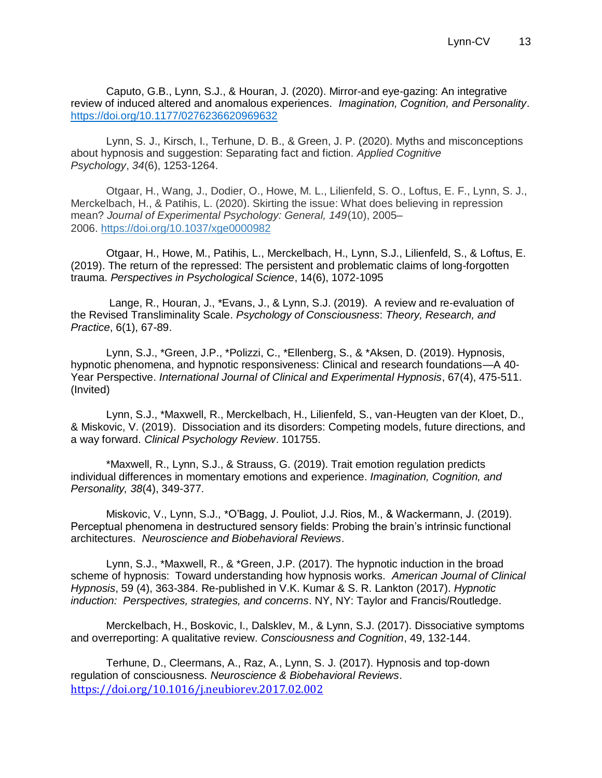Caputo, G.B., Lynn, S.J., & Houran, J. (2020). Mirror-and eye-gazing: An integrative review of induced altered and anomalous experiences. *Imagination, Cognition, and Personality*. [https://doi.org/10.1177/0276236620969632](https://doi.org/10.1177%2F0276236620969632)

Lynn, S. J., Kirsch, I., Terhune, D. B., & Green, J. P. (2020). Myths and misconceptions about hypnosis and suggestion: Separating fact and fiction. *Applied Cognitive Psychology*, *34*(6), 1253-1264.

Otgaar, H., Wang, J., Dodier, O., Howe, M. L., Lilienfeld, S. O., Loftus, E. F., Lynn, S. J., Merckelbach, H., & Patihis, L. (2020). Skirting the issue: What does believing in repression mean? *Journal of Experimental Psychology: General, 149*(10), 2005– 2006. [https://doi.org/10.1037/xge0000982](https://psycnet.apa.org/doi/10.1037/xge0000982)

Otgaar, H., Howe, M., Patihis, L., Merckelbach, H., Lynn, S.J., Lilienfeld, S., & Loftus, E. (2019). The return of the repressed: The persistent and problematic claims of long-forgotten trauma. *Perspectives in Psychological Science*, 14(6), 1072-1095

Lange, R., Houran, J., \*Evans, J., & Lynn, S.J. (2019). A review and re-evaluation of the Revised Transliminality Scale. *Psychology of Consciousness*: *Theory, Research, and Practice*, 6(1), 67-89.

Lynn, S.J., \*Green, J.P., \*Polizzi, C., \*Ellenberg, S., & \*Aksen, D. (2019). Hypnosis, hypnotic phenomena, and hypnotic responsiveness: Clinical and research foundations—A 40- Year Perspective. *International Journal of Clinical and Experimental Hypnosis*, 67(4), 475-511. (Invited)

Lynn, S.J., \*Maxwell, R., Merckelbach, H., Lilienfeld, S., van-Heugten van der Kloet, D., & Miskovic, V. (2019). Dissociation and its disorders: Competing models, future directions, and a way forward. *Clinical Psychology Review*. 101755.

\*Maxwell, R., Lynn, S.J., & Strauss, G. (2019). Trait emotion regulation predicts individual differences in momentary emotions and experience. *Imagination, Cognition, and Personality, 38*(4), 349-377*.*

Miskovic, V., Lynn, S.J., \*O'Bagg, J. Pouliot, J.J. Rios, M., & Wackermann, J. (2019). Perceptual phenomena in destructured sensory fields: Probing the brain's intrinsic functional architectures. *Neuroscience and Biobehavioral Reviews*.

Lynn, S.J., \*Maxwell, R., & \*Green, J.P. (2017). The hypnotic induction in the broad scheme of hypnosis: Toward understanding how hypnosis works. *American Journal of Clinical Hypnosis*, 59 (4), 363-384. Re-published in V.K. Kumar & S. R. Lankton (2017). *Hypnotic induction: Perspectives, strategies, and concerns*. NY, NY: Taylor and Francis/Routledge.

Merckelbach, H., Boskovic, I., Dalsklev, M., & Lynn, S.J. (2017). Dissociative symptoms and overreporting: A qualitative review. *Consciousness and Cognition*, 49, 132-144.

Terhune, D., Cleermans, A., Raz, A., Lynn, S. J. (2017). Hypnosis and top-down regulation of consciousness. *Neuroscience & Biobehavioral Reviews*. <https://doi.org/10.1016/j.neubiorev.2017.02.002>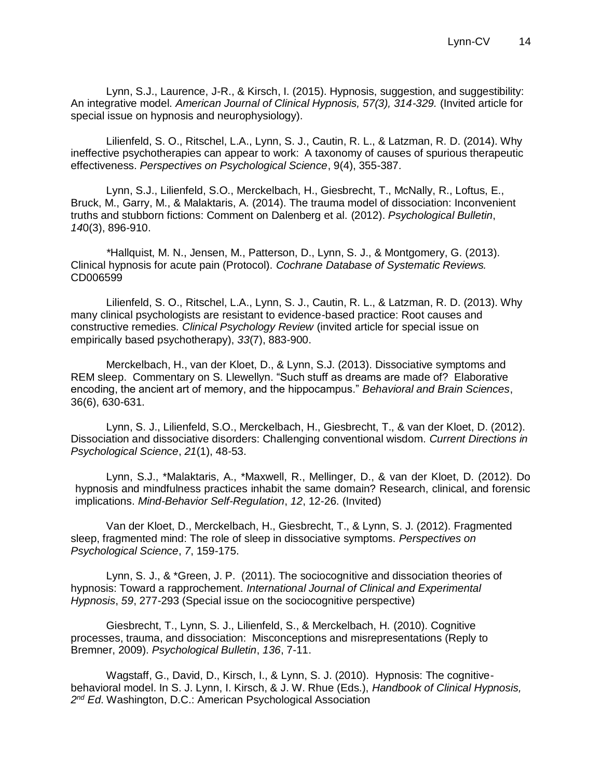Lynn, S.J., Laurence, J-R., & Kirsch, I. (2015). Hypnosis, suggestion, and suggestibility: An integrative model. *American Journal of Clinical Hypnosis, 57(3), 314-329.* (Invited article for special issue on hypnosis and neurophysiology).

Lilienfeld, S. O., Ritschel, L.A., Lynn, S. J., Cautin, R. L., & Latzman, R. D. (2014). Why ineffective psychotherapies can appear to work: A taxonomy of causes of spurious therapeutic effectiveness. *Perspectives on Psychological Science*, 9(4), 355-387.

Lynn, S.J., Lilienfeld, S.O., Merckelbach, H., Giesbrecht, T., McNally, R., Loftus, E., Bruck, M., Garry, M., & Malaktaris, A. (2014). The trauma model of dissociation: Inconvenient truths and stubborn fictions: Comment on Dalenberg et al. (2012). *Psychological Bulletin*, *14*0(3), 896-910.

*\**Hallquist, M. N., Jensen, M., Patterson, D., Lynn, S. J., & Montgomery, G. (2013). Clinical hypnosis for acute pain (Protocol). *Cochrane Database of Systematic Reviews.* CD006599

Lilienfeld, S. O., Ritschel, L.A., Lynn, S. J., Cautin, R. L., & Latzman, R. D. (2013). Why many clinical psychologists are resistant to evidence-based practice: Root causes and constructive remedies. *Clinical Psychology Review* (invited article for special issue on empirically based psychotherapy), *33*(7), 883-900.

Merckelbach, H., van der Kloet, D., & Lynn, S.J. (2013). Dissociative symptoms and REM sleep. Commentary on S. Llewellyn. "Such stuff as dreams are made of? Elaborative encoding, the ancient art of memory, and the hippocampus." *Behavioral and Brain Sciences*, 36(6), 630-631.

Lynn, S. J., Lilienfeld, S.O., Merckelbach, H., Giesbrecht, T., & van der Kloet, D. (2012). Dissociation and dissociative disorders: Challenging conventional wisdom. *Current Directions in Psychological Science*, *21*(1), 48-53.

Lynn, S.J., \*Malaktaris, A., \*Maxwell, R., Mellinger, D., & van der Kloet, D. (2012). Do hypnosis and mindfulness practices inhabit the same domain? Research, clinical, and forensic implications. *Mind-Behavior Self-Regulation*, *12*, 12-26. (Invited)

Van der Kloet, D., Merckelbach, H., Giesbrecht, T., & Lynn, S. J. (2012). Fragmented sleep, fragmented mind: The role of sleep in dissociative symptoms. *Perspectives on Psychological Science*, *7*, 159-175.

Lynn, S. J., & \*Green, J. P. (2011). The sociocognitive and dissociation theories of hypnosis: Toward a rapprochement. *International Journal of Clinical and Experimental Hypnosis*, *59*, 277-293 (Special issue on the sociocognitive perspective)

Giesbrecht, T., Lynn, S. J., Lilienfeld, S., & Merckelbach, H. (2010). Cognitive processes, trauma, and dissociation: Misconceptions and misrepresentations (Reply to Bremner, 2009). *Psychological Bulletin*, *136*, 7-11.

Wagstaff, G., David, D., Kirsch, I., & Lynn, S. J. (2010). Hypnosis: The cognitivebehavioral model. In S. J. Lynn, I. Kirsch, & J. W. Rhue (Eds.), *Handbook of Clinical Hypnosis, 2 nd Ed*. Washington, D.C.: American Psychological Association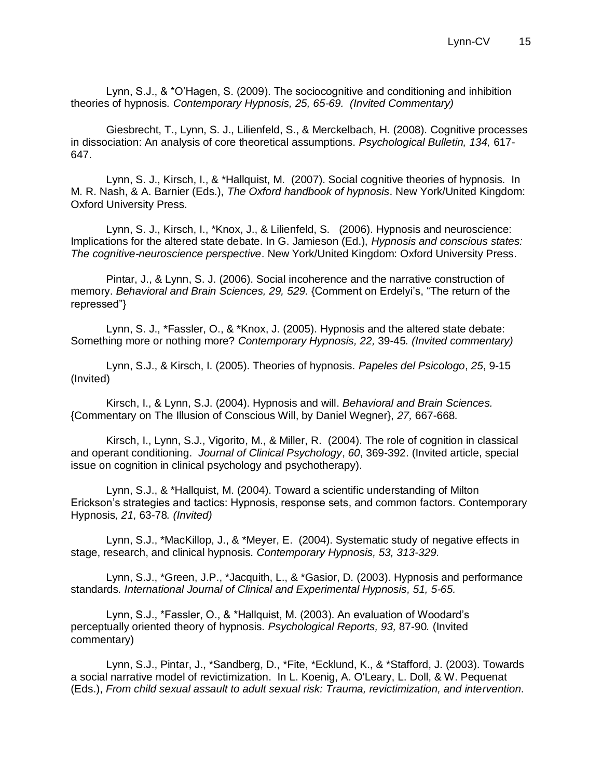Lynn, S.J., & \*O'Hagen, S. (2009). The sociocognitive and conditioning and inhibition theories of hypnosis*. Contemporary Hypnosis, 25, 65-69. (Invited Commentary)* 

Giesbrecht, T., Lynn, S. J., Lilienfeld, S., & Merckelbach, H. (2008). Cognitive processes in dissociation: An analysis of core theoretical assumptions. *Psychological Bulletin, 134,* 617- 647.

Lynn, S. J., Kirsch, I., & \*Hallquist, M. (2007). Social cognitive theories of hypnosis. In M. R. Nash, & A. Barnier (Eds.), *The Oxford handbook of hypnosis*. New York/United Kingdom: Oxford University Press.

Lynn, S. J., Kirsch, I., \*Knox, J., & Lilienfeld, S. (2006). Hypnosis and neuroscience: Implications for the altered state debate. In G. Jamieson (Ed.), *Hypnosis and conscious states: The cognitive-neuroscience perspective*. New York/United Kingdom: Oxford University Press.

Pintar, J., & Lynn, S. J. (2006). Social incoherence and the narrative construction of memory. *Behavioral and Brain Sciences, 29, 529.* {Comment on Erdelyi's, "The return of the repressed"}

Lynn, S. J., \*Fassler, O., & \*Knox, J. (2005). Hypnosis and the altered state debate: Something more or nothing more? *Contemporary Hypnosis, 22,* 39-45*. (Invited commentary)*

Lynn, S.J., & Kirsch, I. (2005). Theories of hypnosis. *Papeles del Psicologo*, *25*, 9-15 (Invited)

Kirsch, I., & Lynn, S.J. (2004). Hypnosis and will. *Behavioral and Brain Sciences.*  {Commentary on The Illusion of Conscious Will, by Daniel Wegner}, *27,* 667-668*.*

Kirsch, I., Lynn, S.J., Vigorito, M., & Miller, R. (2004). The role of cognition in classical and operant conditioning. *Journal of Clinical Psychology*, *60*, 369-392. (Invited article, special issue on cognition in clinical psychology and psychotherapy).

Lynn, S.J., & \*Hallquist, M. (2004). Toward a scientific understanding of Milton Erickson's strategies and tactics: Hypnosis, response sets, and common factors. Contemporary Hypnosis*, 21,* 63-78*. (Invited)*

Lynn, S.J., \*MacKillop, J., & \*Meyer, E. (2004). Systematic study of negative effects in stage, research, and clinical hypnosis. *Contemporary Hypnosis, 53, 313-329.*

Lynn, S.J., \*Green, J.P., \*Jacquith, L., & \*Gasior, D. (2003). Hypnosis and performance standards*. International Journal of Clinical and Experimental Hypnosis, 51, 5-65.*

Lynn, S.J., \*Fassler, O., & \*Hallquist, M. (2003). An evaluation of Woodard's perceptually oriented theory of hypnosis*. Psychological Reports, 93,* 87-90*.* (Invited commentary)

Lynn, S.J., Pintar, J., \*Sandberg, D., \*Fite, \*Ecklund, K., & \*Stafford, J. (2003). Towards a social narrative model of revictimization. In L. Koenig, A. O'Leary, L. Doll, & W. Pequenat (Eds.), *From child sexual assault to adult sexual risk: Trauma, revictimization, and intervention*.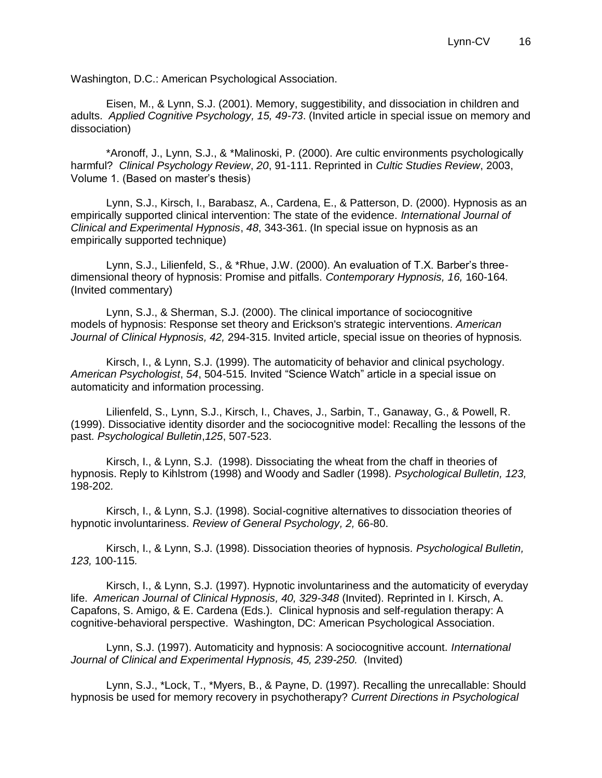Washington, D.C.: American Psychological Association.

Eisen, M., & Lynn, S.J. (2001). Memory, suggestibility, and dissociation in children and adults. *Applied Cognitive Psychology, 15, 49-73*. (Invited article in special issue on memory and dissociation)

\*Aronoff, J., Lynn, S.J., & \*Malinoski, P. (2000). Are cultic environments psychologically harmful? *Clinical Psychology Review*, *20*, 91-111. Reprinted in *Cultic Studies Review*, 2003, Volume 1. (Based on master's thesis)

Lynn, S.J., Kirsch, I., Barabasz, A., Cardena, E., & Patterson, D. (2000). Hypnosis as an empirically supported clinical intervention: The state of the evidence. *International Journal of Clinical and Experimental Hypnosis*, *48*, 343-361. (In special issue on hypnosis as an empirically supported technique)

Lynn, S.J., Lilienfeld, S., & \*Rhue, J.W. (2000). An evaluation of T.X. Barber's threedimensional theory of hypnosis: Promise and pitfalls. *Contemporary Hypnosis, 16,* 160-164*.*  (Invited commentary)

Lynn, S.J., & Sherman, S.J. (2000). The clinical importance of sociocognitive models of hypnosis: Response set theory and Erickson's strategic interventions. *American Journal of Clinical Hypnosis, 42,* 294-315. Invited article, special issue on theories of hypnosis*.*

Kirsch, I., & Lynn, S.J. (1999). The automaticity of behavior and clinical psychology. *American Psychologist*, *54*, 504-515. Invited "Science Watch" article in a special issue on automaticity and information processing.

Lilienfeld, S., Lynn, S.J., Kirsch, I., Chaves, J., Sarbin, T., Ganaway, G., & Powell, R. (1999). Dissociative identity disorder and the sociocognitive model: Recalling the lessons of the past. *Psychological Bulletin*,*125*, 507-523.

Kirsch, I., & Lynn, S.J. (1998). Dissociating the wheat from the chaff in theories of hypnosis. Reply to Kihlstrom (1998) and Woody and Sadler (1998). *Psychological Bulletin, 123,*  198-202*.*

Kirsch, I., & Lynn, S.J. (1998). Social-cognitive alternatives to dissociation theories of hypnotic involuntariness. *Review of General Psychology, 2,* 66-80.

Kirsch, I., & Lynn, S.J. (1998). Dissociation theories of hypnosis*. Psychological Bulletin, 123,* 100-115*.*

Kirsch, I., & Lynn, S.J. (1997). Hypnotic involuntariness and the automaticity of everyday life. *American Journal of Clinical Hypnosis, 40, 329-348* (Invited). Reprinted in I. Kirsch, A. Capafons, S. Amigo, & E. Cardena (Eds.). Clinical hypnosis and self-regulation therapy: A cognitive-behavioral perspective. Washington, DC: American Psychological Association.

Lynn, S.J. (1997). Automaticity and hypnosis: A sociocognitive account. *International Journal of Clinical and Experimental Hypnosis, 45, 239-250.* (Invited)

Lynn, S.J., \*Lock, T., \*Myers, B., & Payne, D. (1997). Recalling the unrecallable: Should hypnosis be used for memory recovery in psychotherapy? *Current Directions in Psychological*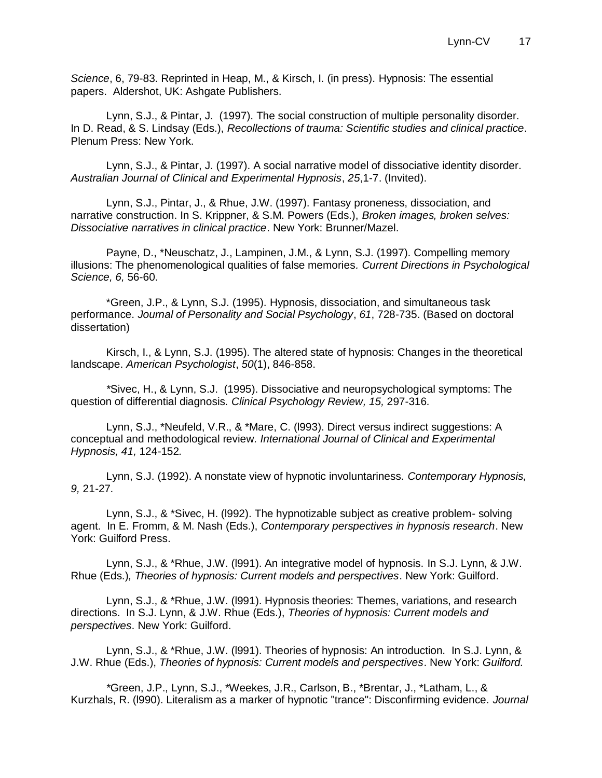*Science*, 6, 79-83. Reprinted in Heap, M., & Kirsch, I. (in press). Hypnosis: The essential papers. Aldershot, UK: Ashgate Publishers.

Lynn, S.J., & Pintar, J. (1997). The social construction of multiple personality disorder. In D. Read, & S. Lindsay (Eds.), *Recollections of trauma: Scientific studies and clinical practice*. Plenum Press: New York.

Lynn, S.J., & Pintar, J. (1997). A social narrative model of dissociative identity disorder. *Australian Journal of Clinical and Experimental Hypnosis*, *25*,1-7. (Invited).

Lynn, S.J., Pintar, J., & Rhue, J.W. (1997). Fantasy proneness, dissociation, and narrative construction. In S. Krippner, & S.M. Powers (Eds.), *Broken images, broken selves: Dissociative narratives in clinical practice*. New York: Brunner/Mazel.

Payne, D., \*Neuschatz, J., Lampinen, J.M., & Lynn, S.J. (1997). Compelling memory illusions: The phenomenological qualities of false memories*. Current Directions in Psychological Science, 6,* 56-60.

\*Green, J.P., & Lynn, S.J. (1995). Hypnosis, dissociation, and simultaneous task performance. *Journal of Personality and Social Psychology*, *61*, 728-735. (Based on doctoral dissertation)

Kirsch, I., & Lynn, S.J. (1995). The altered state of hypnosis: Changes in the theoretical landscape. *American Psychologist*, *50*(1), 846-858.

*\**Sivec, H., & Lynn, S.J. (1995). Dissociative and neuropsychological symptoms: The question of differential diagnosis*. Clinical Psychology Review, 15,* 297-316*.*

Lynn, S.J., \*Neufeld, V.R., & \*Mare, C. (l993). Direct versus indirect suggestions: A conceptual and methodological review*. International Journal of Clinical and Experimental Hypnosis, 41,* 124-152*.*

Lynn, S.J. (1992). A nonstate view of hypnotic involuntariness. *Contemporary Hypnosis, 9,* 21-27*.*

Lynn, S.J., & \*Sivec, H. (l992). The hypnotizable subject as creative problem- solving agent. In E. Fromm, & M. Nash (Eds.), *Contemporary perspectives in hypnosis research*. New York: Guilford Press.

Lynn, S.J., & \*Rhue, J.W. (l991). An integrative model of hypnosis. In S.J. Lynn, & J.W. Rhue (Eds.)*, Theories of hypnosis: Current models and perspectives*. New York: Guilford.

Lynn, S.J., & \*Rhue, J.W. (l991). Hypnosis theories: Themes, variations, and research directions. In S.J. Lynn, & J.W. Rhue (Eds.), *Theories of hypnosis: Current models and perspectives*. New York: Guilford.

Lynn, S.J., & \*Rhue, J.W. (l991). Theories of hypnosis: An introduction. In S.J. Lynn, & J.W. Rhue (Eds.), *Theories of hypnosis: Current models and perspectives*. New York: *Guilford.*

*\**Green, J.P., Lynn, S.J., \*Weekes, J.R., Carlson, B., \*Brentar, J., \*Latham, L., & Kurzhals, R. (l990). Literalism as a marker of hypnotic "trance": Disconfirming evidence. *Journal*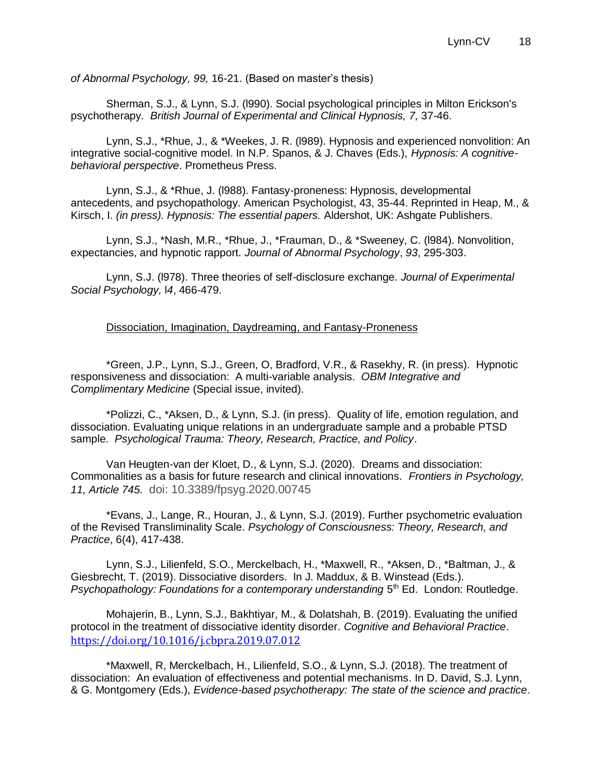*of Abnormal Psychology, 99,* 16-21. (Based on master's thesis)

Sherman, S.J., & Lynn, S.J. (l990). Social psychological principles in Milton Erickson's psychotherapy*. British Journal of Experimental and Clinical Hypnosis, 7,* 37-46.

Lynn, S.J., \*Rhue, J., & \*Weekes, J. R. (l989). Hypnosis and experienced nonvolition: An integrative social-cognitive model. In N.P. Spanos, & J. Chaves (Eds.), *Hypnosis: A cognitivebehavioral perspective*. Prometheus Press.

Lynn, S.J., & \*Rhue, J. (l988). Fantasy-proneness: Hypnosis, developmental antecedents, and psychopathology. American Psychologist, 43, 35-44. Reprinted in Heap, M., & Kirsch, I. *(in press). Hypnosis: The essential papers.* Aldershot, UK: Ashgate Publishers.

Lynn, S.J., \*Nash, M.R., \*Rhue, J., \*Frauman, D., & \*Sweeney, C. (l984). Nonvolition, expectancies, and hypnotic rapport. *Journal of Abnormal Psychology*, *93*, 295-303.

Lynn, S.J. (l978). Three theories of self-disclosure exchange. *Journal of Experimental Social Psychology,* l*4*, 466-479.

#### Dissociation, Imagination, Daydreaming, and Fantasy-Proneness

\*Green, J.P., Lynn, S.J., Green, O, Bradford, V.R., & Rasekhy, R. (in press). Hypnotic responsiveness and dissociation: A multi-variable analysis. *OBM Integrative and Complimentary Medicine* (Special issue, invited).

\*Polizzi, C., \*Aksen, D., & Lynn, S.J. (in press). Quality of life, emotion regulation, and dissociation. Evaluating unique relations in an undergraduate sample and a probable PTSD sample. *Psychological Trauma: Theory, Research, Practice, and Policy*.

Van Heugten-van der Kloet, D., & Lynn, S.J. (2020). Dreams and dissociation: Commonalities as a basis for future research and clinical innovations. *Frontiers in Psychology, 11, Article 745.* doi: 10.3389/fpsyg.2020.00745

\*Evans, J., Lange, R., Houran, J., & Lynn, S.J. (2019). Further psychometric evaluation of the Revised Transliminality Scale. *Psychology of Consciousness: Theory, Research, and Practice*, 6(4), 417-438.

Lynn, S.J., Lilienfeld, S.O., Merckelbach, H., \*Maxwell, R., \*Aksen, D., \*Baltman, J., & Giesbrecht, T. (2019). Dissociative disorders. In J. Maddux, & B. Winstead (Eds.). Psychopathology: Foundations for a contemporary understanding 5<sup>th</sup> Ed. London: Routledge.

Mohajerin, B., Lynn, S.J., Bakhtiyar, M., & Dolatshah, B. (2019). Evaluating the unified protocol in the treatment of dissociative identity disorder. *Cognitive and Behavioral Practice*. <https://doi.org/10.1016/j.cbpra.2019.07.012>

\*Maxwell, R, Merckelbach, H., Lilienfeld, S.O., & Lynn, S.J. (2018). The treatment of dissociation: An evaluation of effectiveness and potential mechanisms. In D. David, S.J. Lynn, & G. Montgomery (Eds.), *Evidence-based psychotherapy: The state of the science and practice*.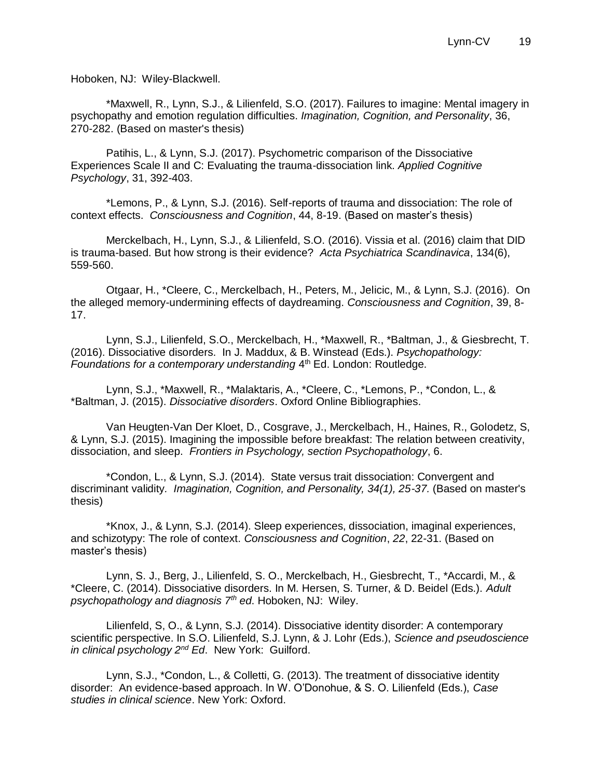Hoboken, NJ: Wiley-Blackwell.

\*Maxwell, R., Lynn, S.J., & Lilienfeld, S.O. (2017). Failures to imagine: Mental imagery in psychopathy and emotion regulation difficulties. *Imagination, Cognition, and Personality*, 36, 270-282. (Based on master's thesis)

Patihis, L., & Lynn, S.J. (2017). Psychometric comparison of the Dissociative Experiences Scale II and C: Evaluating the trauma-dissociation link. *Applied Cognitive Psychology*, 31, 392-403.

\*Lemons, P., & Lynn, S.J. (2016). Self-reports of trauma and dissociation: The role of context effects. *Consciousness and Cognition*, 44, 8-19. (Based on master's thesis)

Merckelbach, H., Lynn, S.J., & Lilienfeld, S.O. (2016). Vissia et al. (2016) claim that DID is trauma-based. But how strong is their evidence? *Acta Psychiatrica Scandinavica*, 134(6), 559-560.

Otgaar, H., \*Cleere, C., Merckelbach, H., Peters, M., Jelicic, M., & Lynn, S.J. (2016). On the alleged memory-undermining effects of daydreaming. *Consciousness and Cognition*, 39, 8- 17.

Lynn, S.J., Lilienfeld, S.O., Merckelbach, H., \*Maxwell, R., \*Baltman, J., & Giesbrecht, T. (2016). Dissociative disorders. In J. Maddux, & B. Winstead (Eds.). *Psychopathology:*  Foundations for a contemporary understanding 4<sup>th</sup> Ed. London: Routledge.

Lynn, S.J., \*Maxwell, R., \*Malaktaris, A., \*Cleere, C., \*Lemons, P., \*Condon, L., & \*Baltman, J. (2015). *Dissociative disorders*. Oxford Online Bibliographies.

Van Heugten-Van Der Kloet, D., Cosgrave, J., Merckelbach, H., Haines, R., Golodetz, S, & Lynn, S.J. (2015). Imagining the impossible before breakfast: The relation between creativity, dissociation, and sleep. *Frontiers in Psychology, section Psychopathology*, 6.

\*Condon, L., & Lynn, S.J. (2014). State versus trait dissociation: Convergent and discriminant validity*. Imagination, Cognition, and Personality, 34(1), 25-37.* (Based on master's thesis)

\*Knox, J., & Lynn, S.J. (2014). Sleep experiences, dissociation, imaginal experiences, and schizotypy: The role of context. *Consciousness and Cognition*, *22*, 22-31. (Based on master's thesis)

Lynn, S. J., Berg, J., Lilienfeld, S. O., Merckelbach, H., Giesbrecht, T., \*Accardi, M., & \*Cleere, C. (2014). Dissociative disorders. In M. Hersen, S. Turner, & D. Beidel (Eds.). *Adult psychopathology and diagnosis 7th ed*. Hoboken, NJ: Wiley.

Lilienfeld, S, O., & Lynn, S.J. (2014). Dissociative identity disorder: A contemporary scientific perspective. In S.O. Lilienfeld, S.J. Lynn, & J. Lohr (Eds.), *Science and pseudoscience in clinical psychology 2nd Ed*. New York: Guilford.

Lynn, S.J., \*Condon, L., & Colletti, G. (2013). The treatment of dissociative identity disorder: An evidence-based approach. In W. O'Donohue, & S. O. Lilienfeld (Eds.), *Case studies in clinical science*. New York: Oxford.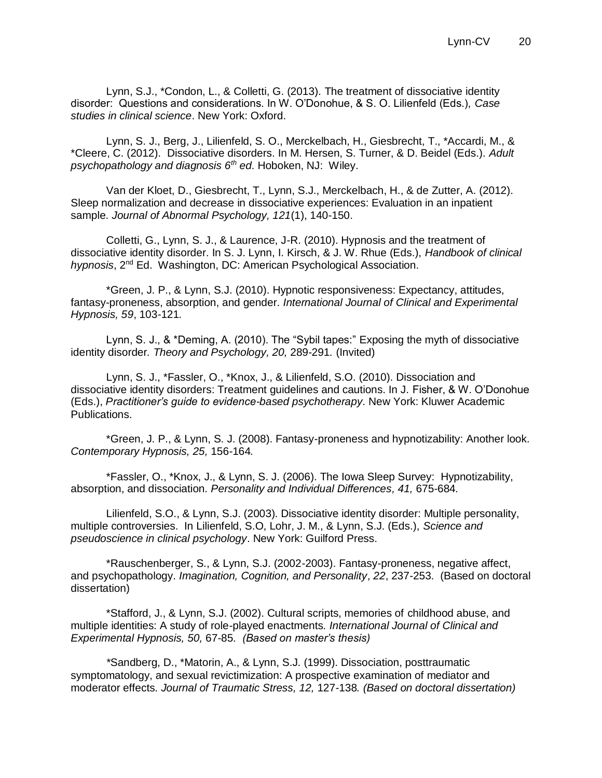Lynn, S.J., \*Condon, L., & Colletti, G. (2013). The treatment of dissociative identity disorder: Questions and considerations. In W. O'Donohue, & S. O. Lilienfeld (Eds.), *Case studies in clinical science*. New York: Oxford.

Lynn, S. J., Berg, J., Lilienfeld, S. O., Merckelbach, H., Giesbrecht, T., \*Accardi, M., & \*Cleere, C. (2012). Dissociative disorders. In M. Hersen, S. Turner, & D. Beidel (Eds.). *Adult psychopathology and diagnosis 6th ed*. Hoboken, NJ: Wiley.

Van der Kloet, D., Giesbrecht, T., Lynn, S.J., Merckelbach, H., & de Zutter, A. (2012). Sleep normalization and decrease in dissociative experiences: Evaluation in an inpatient sample. *Journal of Abnormal Psychology, 121*(1), 140-150.

Colletti, G., Lynn, S. J., & Laurence, J-R. (2010). Hypnosis and the treatment of dissociative identity disorder. In S. J. Lynn, I. Kirsch, & J. W. Rhue (Eds.), *Handbook of clinical hypnosis*, 2nd Ed. Washington, DC: American Psychological Association.

\*Green, J. P., & Lynn, S.J. (2010). Hypnotic responsiveness: Expectancy, attitudes, fantasy-proneness, absorption, and gender. *International Journal of Clinical and Experimental Hypnosis, 59*, 103-121*.*

Lynn, S. J., & \*Deming, A. (2010). The "Sybil tapes:" Exposing the myth of dissociative identity disorder*. Theory and Psychology, 20,* 289-291*.* (Invited)

Lynn, S. J., \*Fassler, O., \*Knox, J., & Lilienfeld, S.O. (2010). Dissociation and dissociative identity disorders: Treatment guidelines and cautions. In J. Fisher, & W. O'Donohue (Eds.), *Practitioner's guide to evidence-based psychotherapy*. New York: Kluwer Academic Publications.

\*Green, J. P., & Lynn, S. J. (2008). Fantasy-proneness and hypnotizability: Another look*. Contemporary Hypnosis, 25,* 156-164*.* 

\*Fassler, O., \*Knox, J., & Lynn, S. J. (2006). The Iowa Sleep Survey: Hypnotizability, absorption, and dissociation*. Personality and Individual Differences, 41,* 675-684*.*

Lilienfeld, S.O., & Lynn, S.J. (2003). Dissociative identity disorder: Multiple personality, multiple controversies. In Lilienfeld, S.O, Lohr, J. M., & Lynn, S.J. (Eds.), *Science and pseudoscience in clinical psychology*. New York: Guilford Press.

\*Rauschenberger, S., & Lynn, S.J. (2002-2003). Fantasy-proneness, negative affect, and psychopathology. *Imagination, Cognition, and Personality*, *22*, 237-253. (Based on doctoral dissertation)

\*Stafford, J., & Lynn, S.J. (2002). Cultural scripts, memories of childhood abuse, and multiple identities: A study of role-played enactments*. International Journal of Clinical and Experimental Hypnosis, 50,* 67-85*. (Based on master's thesis)*

*\**Sandberg, D., \*Matorin, A., & Lynn, S.J. (1999). Dissociation, posttraumatic symptomatology, and sexual revictimization: A prospective examination of mediator and moderator effects. *Journal of Traumatic Stress, 12,* 127-138*. (Based on doctoral dissertation)*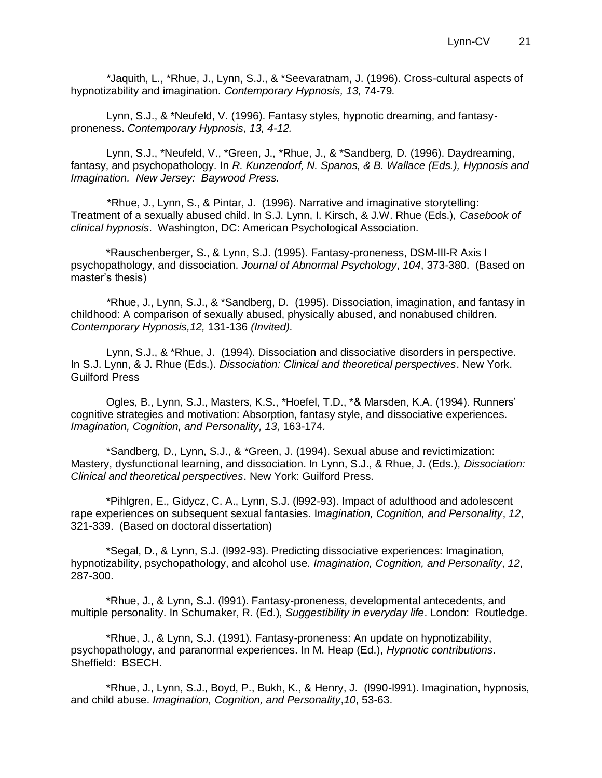*\**Jaquith, L., \*Rhue, J., Lynn, S.J., & \*Seevaratnam, J. (1996). Cross-cultural aspects of hypnotizability and imagination*. Contemporary Hypnosis, 13,* 74-79*.* 

Lynn, S.J., & \*Neufeld, V. (1996). Fantasy styles, hypnotic dreaming, and fantasyproneness. *Contemporary Hypnosis, 13, 4-12.* 

Lynn, S.J., \*Neufeld, V., \*Green, J., \*Rhue, J., & \*Sandberg, D. (1996). Daydreaming, fantasy, and psychopathology. In *R. Kunzendorf, N. Spanos, & B. Wallace (Eds.), Hypnosis and Imagination. New Jersey: Baywood Press.*

 \*Rhue, J., Lynn, S., & Pintar, J. (1996). Narrative and imaginative storytelling: Treatment of a sexually abused child. In S.J. Lynn, I. Kirsch, & J.W. Rhue (Eds.), *Casebook of clinical hypnosis*. Washington, DC: American Psychological Association.

\*Rauschenberger, S., & Lynn, S.J. (1995). Fantasy-proneness, DSM-III-R Axis I psychopathology, and dissociation. *Journal of Abnormal Psychology*, *104*, 373-380. (Based on master's thesis)

*\**Rhue, J., Lynn, S.J., & \*Sandberg, D. (1995). Dissociation, imagination, and fantasy in childhood: A comparison of sexually abused, physically abused, and nonabused children*. Contemporary Hypnosis,12,* 131-136 *(Invited).*

Lynn, S.J., & \*Rhue, J. (1994). Dissociation and dissociative disorders in perspective. In S.J. Lynn, & J. Rhue (Eds.). *Dissociation: Clinical and theoretical perspectives*. New York. Guilford Press

Ogles, B., Lynn, S.J., Masters, K.S., \*Hoefel, T.D., \*& Marsden, K.A. (1994). Runners' cognitive strategies and motivation: Absorption, fantasy style, and dissociative experiences. *Imagination, Cognition, and Personality, 13,* 163-174*.*

\*Sandberg, D., Lynn, S.J., & \*Green, J. (1994). Sexual abuse and revictimization: Mastery, dysfunctional learning, and dissociation. In Lynn, S.J., & Rhue, J. (Eds.), *Dissociation: Clinical and theoretical perspectives*. New York: Guilford Press.

\*Pihlgren, E., Gidycz, C. A., Lynn, S.J. (l992-93). Impact of adulthood and adolescent rape experiences on subsequent sexual fantasies. I*magination, Cognition, and Personality*, *12*, 321-339. (Based on doctoral dissertation)

\*Segal, D., & Lynn, S.J. (l992-93). Predicting dissociative experiences: Imagination, hypnotizability, psychopathology, and alcohol use. *Imagination, Cognition, and Personality*, *12*, 287-300.

\*Rhue, J., & Lynn, S.J. (l991). Fantasy-proneness, developmental antecedents, and multiple personality. In Schumaker, R. (Ed.), *Suggestibility in everyday life*. London: Routledge.

\*Rhue, J., & Lynn, S.J. (1991). Fantasy-proneness: An update on hypnotizability, psychopathology, and paranormal experiences. In M. Heap (Ed.), *Hypnotic contributions*. Sheffield: BSECH.

\*Rhue, J., Lynn, S.J., Boyd, P., Bukh, K., & Henry, J. (l990-l991). Imagination, hypnosis, and child abuse. *Imagination, Cognition, and Personality*,*10*, 53-63.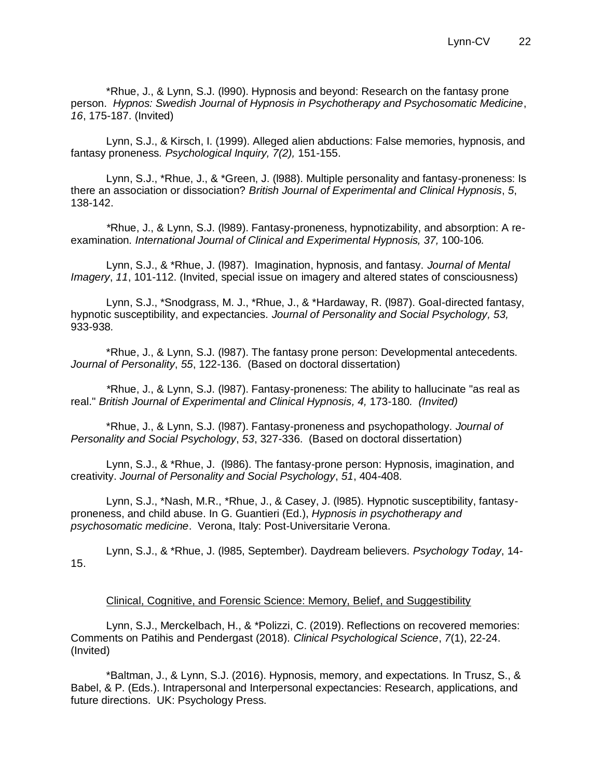\*Rhue, J., & Lynn, S.J. (l990). Hypnosis and beyond: Research on the fantasy prone person. *Hypnos: Swedish Journal of Hypnosis in Psychotherapy and Psychosomatic Medicine*, *16*, 175-187. (Invited)

Lynn, S.J., & Kirsch, I. (1999). Alleged alien abductions: False memories, hypnosis, and fantasy proneness*. Psychological Inquiry, 7(2),* 151-155.

Lynn, S.J., \*Rhue, J., & \*Green, J. (l988). Multiple personality and fantasy-proneness: Is there an association or dissociation? *British Journal of Experimental and Clinical Hypnosis*, *5*, 138-142.

*\**Rhue, J., & Lynn, S.J. (l989). Fantasy-proneness, hypnotizability, and absorption: A reexamination. International Journal of Clinical and Experimental Hypnosis, 37, 100-106.

Lynn, S.J., & \*Rhue, J. (l987). Imagination, hypnosis, and fantasy. *Journal of Mental Imagery*, *11*, 101-112. (Invited, special issue on imagery and altered states of consciousness)

Lynn, S.J., \*Snodgrass, M. J., \*Rhue, J., & \*Hardaway, R. (l987). Goal-directed fantasy, hypnotic susceptibility, and expectancies*. Journal of Personality and Social Psychology, 53,*  933-938*.*

\*Rhue, J., & Lynn, S.J. (l987). The fantasy prone person: Developmental antecedents. *Journal of Personality*, *55*, 122-136. (Based on doctoral dissertation)

*\**Rhue, J., & Lynn, S.J. (l987). Fantasy-proneness: The ability to hallucinate "as real as real." *British Journal of Experimental and Clinical Hypnosis, 4,* 173-180*. (Invited)* 

\*Rhue, J., & Lynn, S.J. (l987). Fantasy-proneness and psychopathology. *Journal of Personality and Social Psychology*, *53*, 327-336. (Based on doctoral dissertation)

Lynn, S.J., & \*Rhue, J. (l986). The fantasy-prone person: Hypnosis, imagination, and creativity. *Journal of Personality and Social Psychology*, *51*, 404-408.

Lynn, S.J., \*Nash, M.R., \*Rhue, J., & Casey, J. (l985). Hypnotic susceptibility, fantasyproneness, and child abuse. In G. Guantieri (Ed.), *Hypnosis in psychotherapy and psychosomatic medicine*. Verona, Italy: Post-Universitarie Verona.

Lynn, S.J., & \*Rhue, J. (l985, September). Daydream believers. *Psychology Today*, 14- 15.

#### Clinical, Cognitive, and Forensic Science: Memory, Belief, and Suggestibility

Lynn, S.J., Merckelbach, H., & \*Polizzi, C. (2019). Reflections on recovered memories: Comments on Patihis and Pendergast (2018). *Clinical Psychological Science*, *7*(1), 22-24. (Invited)

\*Baltman, J., & Lynn, S.J. (2016). Hypnosis, memory, and expectations. In Trusz, S., & Babel, & P. (Eds.). Intrapersonal and Interpersonal expectancies: Research, applications, and future directions. UK: Psychology Press.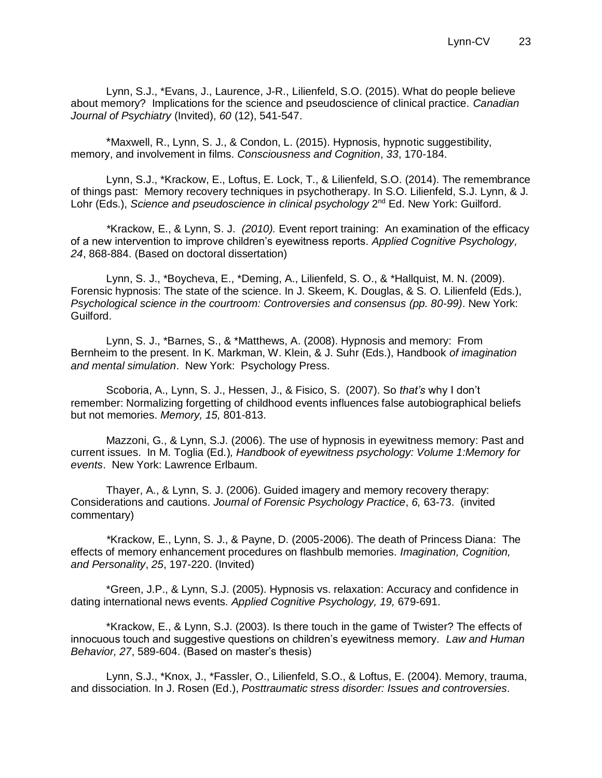Lynn, S.J., \*Evans, J., Laurence, J-R., Lilienfeld, S.O. (2015). What do people believe about memory? Implications for the science and pseudoscience of clinical practice. *Canadian Journal of Psychiatry* (Invited), *60* (12), 541-547.

\*Maxwell, R., Lynn, S. J., & Condon, L. (2015). Hypnosis, hypnotic suggestibility, memory, and involvement in films. *Consciousness and Cognition*, *33*, 170-184.

Lynn, S.J., \*Krackow, E., Loftus, E. Lock, T., & Lilienfeld, S.O. (2014). The remembrance of things past: Memory recovery techniques in psychotherapy. In S.O. Lilienfeld, S.J. Lynn, & J. Lohr (Eds.), *Science and pseudoscience in clinical psychology* 2<sup>nd</sup> Ed. New York: Guilford.

*\**Krackow, E., & Lynn, S. J. *(2010).* Event report training: An examination of the efficacy of a new intervention to improve children's eyewitness reports. *Applied Cognitive Psychology, 24*, 868-884. (Based on doctoral dissertation)

Lynn, S. J., \*Boycheva, E., \*Deming, A., Lilienfeld, S. O., & \*Hallquist, M. N. (2009). Forensic hypnosis: The state of the science. In J. Skeem, K. Douglas, & S. O. Lilienfeld (Eds.), *Psychological science in the courtroom: Controversies and consensus (pp. 80-99)*. New York: Guilford.

Lynn, S. J., \*Barnes, S., & \*Matthews, A. (2008). Hypnosis and memory: From Bernheim to the present. In K. Markman, W. Klein, & J. Suhr (Eds.), Handbook *of imagination and mental simulation*. New York: Psychology Press.

Scoboria, A., Lynn, S. J., Hessen, J., & Fisico, S. (2007). So *that's* why I don't remember: Normalizing forgetting of childhood events influences false autobiographical beliefs but not memories. *Memory, 15,* 801-813.

Mazzoni, G., & Lynn, S.J. (2006). The use of hypnosis in eyewitness memory: Past and current issues. In M. Toglia (Ed*.*)*, Handbook of eyewitness psychology: Volume 1:Memory for events*. New York: Lawrence Erlbaum.

Thayer, A., & Lynn, S. J. (2006). Guided imagery and memory recovery therapy: Considerations and cautions. *Journal of Forensic Psychology Practice*, *6,* 63-73. (invited commentary)

*\**Krackow, E., Lynn, S. J., & Payne, D. (2005-2006). The death of Princess Diana: The effects of memory enhancement procedures on flashbulb memories. *Imagination, Cognition, and Personality*, *25*, 197-220. (Invited)

\*Green, J.P., & Lynn, S.J. (2005). Hypnosis vs. relaxation: Accuracy and confidence in dating international news events. *Applied Cognitive Psychology, 19,* 679-691.

\*Krackow, E., & Lynn, S.J. (2003). Is there touch in the game of Twister? The effects of innocuous touch and suggestive questions on children's eyewitness memory. *Law and Human Behavior, 27*, 589-604. (Based on master's thesis)

Lynn, S.J., \*Knox, J., \*Fassler, O., Lilienfeld, S.O., & Loftus, E. (2004). Memory, trauma, and dissociation. In J. Rosen (Ed.), *Posttraumatic stress disorder: Issues and controversies.*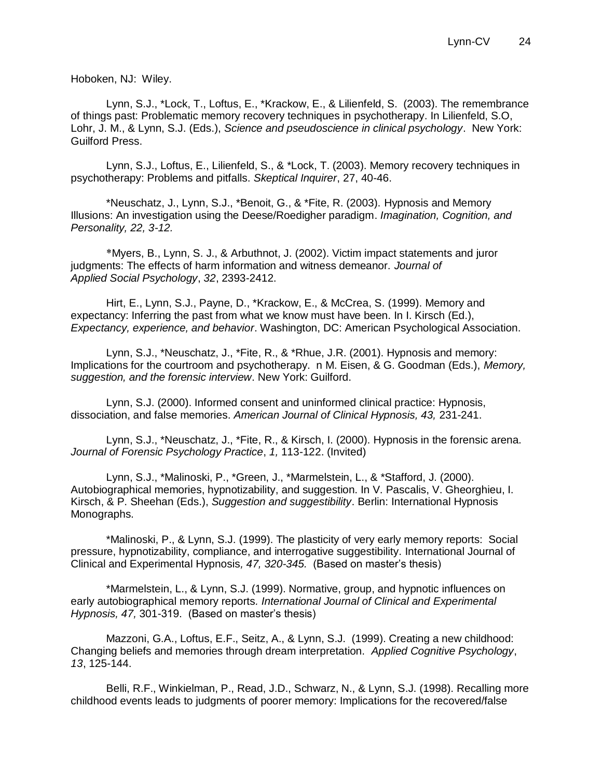Hoboken, NJ: Wiley.

Lynn, S.J., \*Lock, T., Loftus, E., \*Krackow, E., & Lilienfeld, S. (2003). The remembrance of things past: Problematic memory recovery techniques in psychotherapy. In Lilienfeld, S.O, Lohr, J. M., & Lynn, S.J. (Eds.), *Science and pseudoscience in clinical psychology*. New York: Guilford Press.

Lynn, S.J., Loftus, E., Lilienfeld, S., & \*Lock, T. (2003). Memory recovery techniques in psychotherapy: Problems and pitfalls. *Skeptical Inquirer*, 27, 40-46.

\*Neuschatz, J., Lynn, S.J., \*Benoit, G., & \*Fite, R. (2003). Hypnosis and Memory Illusions: An investigation using the Deese/Roedigher paradigm. *Imagination, Cognition, and Personality, 22, 3-12.*

\*Myers, B., Lynn, S. J., & Arbuthnot, J. (2002). Victim impact statements and juror judgments: The effects of harm information and witness demeanor. *Journal of Applied Social Psychology*, *32*, 2393-2412.

Hirt, E., Lynn, S.J., Payne, D., \*Krackow, E., & McCrea, S. (1999). Memory and expectancy: Inferring the past from what we know must have been. In I. Kirsch (Ed.), *Expectancy, experience, and behavior*. Washington, DC: American Psychological Association.

Lynn, S.J., \*Neuschatz, J., \*Fite, R., & \*Rhue, J.R. (2001). Hypnosis and memory: Implications for the courtroom and psychotherapy. n M. Eisen, & G. Goodman (Eds.), *Memory, suggestion, and the forensic interview*. New York: Guilford.

Lynn, S.J. (2000). Informed consent and uninformed clinical practice: Hypnosis, dissociation, and false memories. *American Journal of Clinical Hypnosis, 43,* 231-241.

Lynn, S.J., \*Neuschatz, J., \*Fite, R., & Kirsch, I. (2000). Hypnosis in the forensic arena. *Journal of Forensic Psychology Practice*, *1,* 113-122. (Invited)

Lynn, S.J., \*Malinoski, P., \*Green, J., \*Marmelstein, L., & \*Stafford, J. (2000). Autobiographical memories, hypnotizability, and suggestion. In V. Pascalis, V. Gheorghieu, I. Kirsch, & P. Sheehan (Eds.), *Suggestion and suggestibility*. Berlin: International Hypnosis Monographs.

\*Malinoski, P., & Lynn, S.J. (1999). The plasticity of very early memory reports: Social pressure, hypnotizability, compliance, and interrogative suggestibility. International Journal of Clinical and Experimental Hypnosis*, 47, 320-345.* (Based on master's thesis)

\*Marmelstein, L., & Lynn, S.J. (1999). Normative, group, and hypnotic influences on early autobiographical memory reports*. International Journal of Clinical and Experimental Hypnosis, 47,* 301-319. (Based on master's thesis)

Mazzoni, G.A., Loftus, E.F., Seitz, A., & Lynn, S.J. (1999). Creating a new childhood: Changing beliefs and memories through dream interpretation. *Applied Cognitive Psychology*, *13*, 125-144.

Belli, R.F., Winkielman, P., Read, J.D., Schwarz, N., & Lynn, S.J. (1998). Recalling more childhood events leads to judgments of poorer memory: Implications for the recovered/false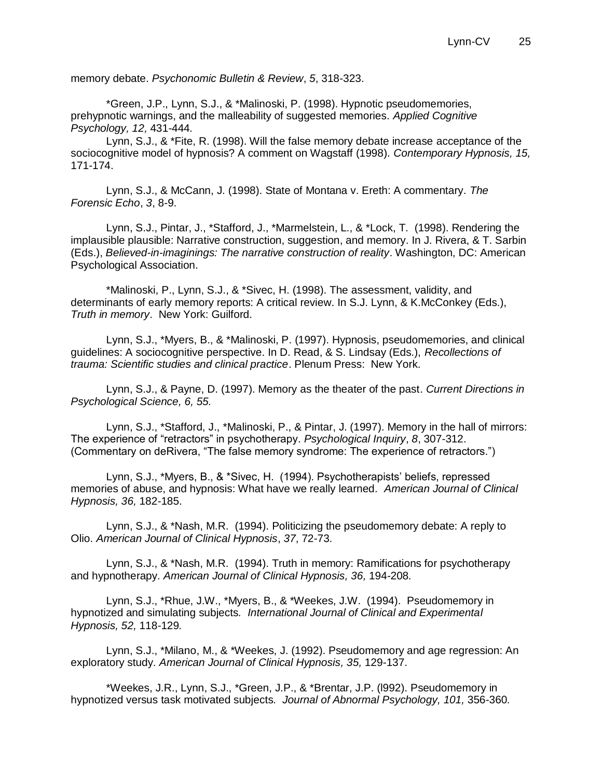memory debate. *Psychonomic Bulletin & Review*, *5*, 318-323.

\*Green, J.P., Lynn, S.J., & \*Malinoski, P. (1998). Hypnotic pseudomemories, prehypnotic warnings, and the malleability of suggested memories. *Applied Cognitive Psychology, 12,* 431-444*.*

Lynn, S.J., & \*Fite, R. (1998). Will the false memory debate increase acceptance of the sociocognitive model of hypnosis? A comment on Wagstaff (1998). *Contemporary Hypnosis, 15,*  171-174.

Lynn, S.J., & McCann, J. (1998). State of Montana v. Ereth: A commentary. *The Forensic Echo*, *3*, 8-9.

Lynn, S.J., Pintar, J., \*Stafford, J., \*Marmelstein, L., & \*Lock, T. (1998). Rendering the implausible plausible: Narrative construction, suggestion, and memory. In J. Rivera, & T. Sarbin (Eds.), *Believed-in-imaginings: The narrative construction of reality*. Washington, DC: American Psychological Association.

\*Malinoski, P., Lynn, S.J., & \*Sivec, H. (1998). The assessment, validity, and determinants of early memory reports: A critical review. In S.J. Lynn, & K.McConkey (Eds.), *Truth in memory*. New York: Guilford.

Lynn, S.J., \*Myers, B., & \*Malinoski, P. (1997). Hypnosis, pseudomemories, and clinical guidelines: A sociocognitive perspective. In D. Read, & S. Lindsay (Eds.), *Recollections of trauma: Scientific studies and clinical practice*. Plenum Press: New York.

Lynn, S.J., & Payne, D. (1997). Memory as the theater of the past. *Current Directions in Psychological Science, 6, 55.* 

Lynn, S.J., \*Stafford, J., \*Malinoski, P., & Pintar, J. (1997). Memory in the hall of mirrors: The experience of "retractors" in psychotherapy. *Psychological Inquiry*, *8*, 307-312. (Commentary on deRivera, "The false memory syndrome: The experience of retractors.")

Lynn, S.J., \*Myers, B., & \*Sivec, H. (1994). Psychotherapists' beliefs, repressed memories of abuse, and hypnosis: What have we really learned*. American Journal of Clinical Hypnosis, 36,* 182-185.

Lynn, S.J., & \*Nash, M.R. (1994). Politicizing the pseudomemory debate: A reply to Olio. *American Journal of Clinical Hypnosis*, *37*, 72-73.

Lynn, S.J., & \*Nash, M.R. (1994). Truth in memory: Ramifications for psychotherapy and hypnotherapy*. American Journal of Clinical Hypnosis, 36,* 194-208*.*

Lynn, S.J., \*Rhue, J.W., \*Myers, B., & \*Weekes, J.W. (1994). Pseudomemory in hypnotized and simulating subjects*. International Journal of Clinical and Experimental Hypnosis, 52,* 118-129*.*

Lynn, S.J., \*Milano, M., & \*Weekes, J. (1992). Pseudomemory and age regression: An exploratory study*. American Journal of Clinical Hypnosis, 35,* 129-137.

\*Weekes, J.R., Lynn, S.J., \*Green, J.P., & \*Brentar, J.P. (l992). Pseudomemory in hypnotized versus task motivated subjects*. Journal of Abnormal Psychology, 101,* 356-360*.*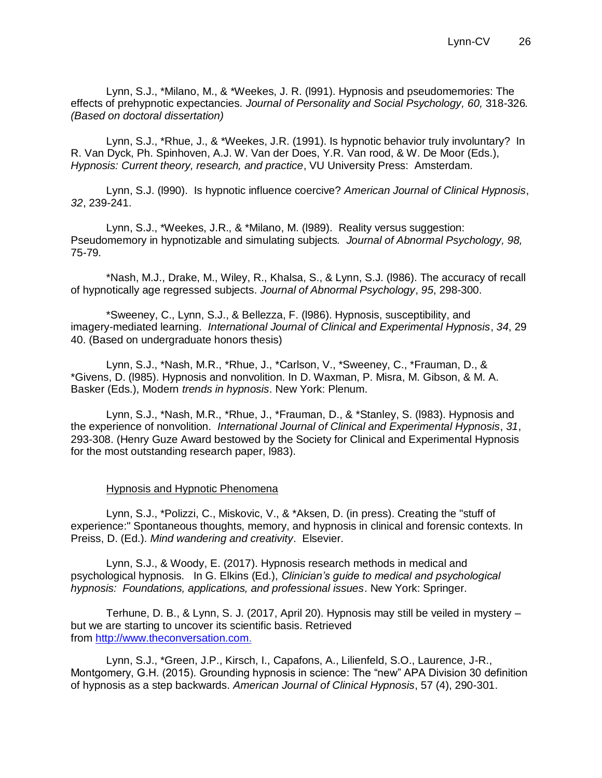Lynn, S.J., \*Milano, M., & \*Weekes, J. R. (l991). Hypnosis and pseudomemories: The effects of prehypnotic expectancies*. Journal of Personality and Social Psychology, 60,* 318-326*. (Based on doctoral dissertation)*

Lynn, S.J., \*Rhue, J., & \*Weekes, J.R. (1991). Is hypnotic behavior truly involuntary? In R. Van Dyck, Ph. Spinhoven, A.J. W. Van der Does, Y.R. Van rood, & W. De Moor (Eds.), *Hypnosis: Current theory, research, and practice*, VU University Press: Amsterdam.

Lynn, S.J. (l990). Is hypnotic influence coercive? *American Journal of Clinical Hypnosis*, *32*, 239-241.

Lynn, S.J., \*Weekes, J.R., & \*Milano, M. (l989). Reality versus suggestion: Pseudomemory in hypnotizable and simulating subjects*. Journal of Abnormal Psychology, 98,*  75-79*.*

\*Nash, M.J., Drake, M., Wiley, R., Khalsa, S., & Lynn, S.J. (l986). The accuracy of recall of hypnotically age regressed subjects. *Journal of Abnormal Psychology*, *95*, 298-300.

\*Sweeney, C., Lynn, S.J., & Bellezza, F. (l986). Hypnosis, susceptibility, and imagery-mediated learning. *International Journal of Clinical and Experimental Hypnosis*, *34*, 29 40. (Based on undergraduate honors thesis)

Lynn, S.J., \*Nash, M.R., \*Rhue, J., \*Carlson, V., \*Sweeney, C., \*Frauman, D., & \*Givens, D. (l985). Hypnosis and nonvolition. In D. Waxman, P. Misra, M. Gibson, & M. A. Basker (Eds.), Modern *trends in hypnosis*. New York: Plenum.

Lynn, S.J., \*Nash, M.R., \*Rhue, J., \*Frauman, D., & \*Stanley, S. (l983). Hypnosis and the experience of nonvolition. *International Journal of Clinical and Experimental Hypnosis*, *31*, 293-308. (Henry Guze Award bestowed by the Society for Clinical and Experimental Hypnosis for the most outstanding research paper, l983).

#### Hypnosis and Hypnotic Phenomena

Lynn, S.J., \*Polizzi, C., Miskovic, V., & \*Aksen, D. (in press). Creating the "stuff of experience:" Spontaneous thoughts, memory, and hypnosis in clinical and forensic contexts. In Preiss, D. (Ed.). *Mind wandering and creativity*. Elsevier.

Lynn, S.J., & Woody, E. (2017). Hypnosis research methods in medical and psychological hypnosis. In G. Elkins (Ed.), *Clinician's guide to medical and psychological hypnosis: Foundations, applications, and professional issues*. New York: Springer.

Terhune, D. B., & Lynn, S. J. (2017, April 20). Hypnosis may still be veiled in mystery – but we are starting to uncover its scientific basis. Retrieved from [http://www.theconversation.com.](http://www.theconversation.com/)

Lynn, S.J., \*Green, J.P., Kirsch, I., Capafons, A., Lilienfeld, S.O., Laurence, J-R., Montgomery, G.H. (2015). Grounding hypnosis in science: The "new" APA Division 30 definition of hypnosis as a step backwards. *American Journal of Clinical Hypnosis*, 57 (4), 290-301.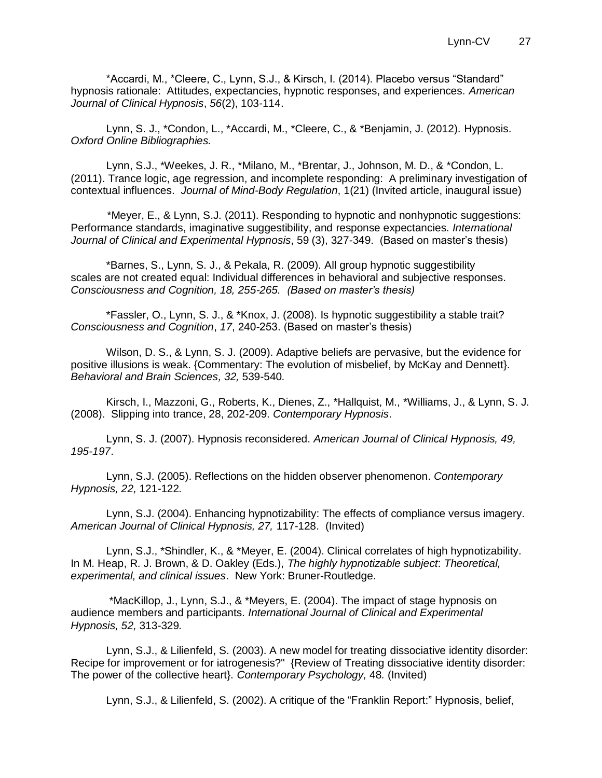\*Accardi, M., \*Cleere, C., Lynn, S.J., & Kirsch, I. (2014). Placebo versus "Standard" hypnosis rationale: Attitudes, expectancies, hypnotic responses, and experiences. *American Journal of Clinical Hypnosis*, *56*(2), 103-114.

Lynn, S. J., \*Condon, L., \*Accardi, M., \*Cleere, C., & \*Benjamin, J. (2012). Hypnosis. *Oxford Online Bibliographies.* 

Lynn, S.J., \*Weekes, J. R., \*Milano, M., \*Brentar, J., Johnson, M. D., & \*Condon, L. (2011). Trance logic, age regression, and incomplete responding: A preliminary investigation of contextual influences. *Journal of Mind-Body Regulation*, 1(21) (Invited article, inaugural issue)

 \*Meyer, E., & Lynn, S.J. (2011). Responding to hypnotic and nonhypnotic suggestions: Performance standards, imaginative suggestibility, and response expectancies. *International Journal of Clinical and Experimental Hypnosis*, 59 (3), 327-349. (Based on master's thesis)

\*Barnes, S., Lynn, S. J., & Pekala, R. (2009). All group hypnotic suggestibility scales are not created equal: Individual differences in behavioral and subjective responses. *Consciousness and Cognition, 18, 255-265. (Based on master's thesis)*

\*Fassler, O., Lynn, S. J., & \*Knox, J. (2008). Is hypnotic suggestibility a stable trait? *Consciousness and Cognition*, *17*, 240-253. (Based on master's thesis)

Wilson, D. S., & Lynn, S. J. (2009). Adaptive beliefs are pervasive, but the evidence for positive illusions is weak. {Commentary: The evolution of misbelief, by McKay and Dennett}. *Behavioral and Brain Sciences, 32,* 539-540*.*

Kirsch, I., Mazzoni, G., Roberts, K., Dienes, Z., \*Hallquist, M., \*Williams, J., & Lynn, S. J. (2008). Slipping into trance, 28, 202-209. *Contemporary Hypnosis*.

Lynn, S. J. (2007). Hypnosis reconsidered. *American Journal of Clinical Hypnosis, 49, 195-197*.

Lynn, S.J. (2005). Reflections on the hidden observer phenomenon. *Contemporary Hypnosis, 22,* 121-122*.* 

Lynn, S.J. (2004). Enhancing hypnotizability: The effects of compliance versus imagery. *American Journal of Clinical Hypnosis, 27,* 117-128. (Invited)

Lynn, S.J., \*Shindler, K., & \*Meyer, E. (2004). Clinical correlates of high hypnotizability. In M. Heap, R. J. Brown, & D. Oakley (Eds.), *The highly hypnotizable subject*: *Theoretical, experimental, and clinical issues*. New York: Bruner-Routledge.

\*MacKillop, J., Lynn, S.J., & \*Meyers, E. (2004). The impact of stage hypnosis on audience members and participants*. International Journal of Clinical and Experimental Hypnosis, 52,* 313-329*.*

Lynn, S.J., & Lilienfeld, S. (2003). A new model for treating dissociative identity disorder: Recipe for improvement or for iatrogenesis?" {Review of Treating dissociative identity disorder: The power of the collective heart}. *Contemporary Psychology,* 48*.* (Invited)

Lynn, S.J., & Lilienfeld, S. (2002). A critique of the "Franklin Report:" Hypnosis, belief,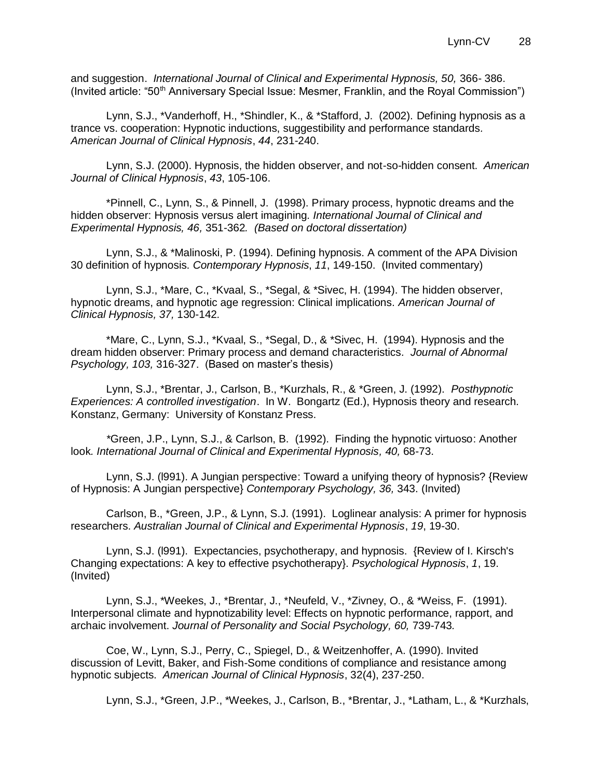and suggestion. *International Journal of Clinical and Experimental Hypnosis, 50,* 366- 386. (Invited article: "50<sup>th</sup> Anniversary Special Issue: Mesmer, Franklin, and the Royal Commission")

Lynn, S.J., \*Vanderhoff, H., \*Shindler, K., & \*Stafford, J. (2002). Defining hypnosis as a trance vs. cooperation: Hypnotic inductions, suggestibility and performance standards*. American Journal of Clinical Hypnosis*, *44*, 231-240.

Lynn, S.J. (2000). Hypnosis, the hidden observer, and not-so-hidden consent. *American Journal of Clinical Hypnosis*, *43*, 105-106.

\*Pinnell, C., Lynn, S., & Pinnell, J. (1998). Primary process, hypnotic dreams and the hidden observer: Hypnosis versus alert imagining*. International Journal of Clinical and Experimental Hypnosis, 46,* 351-362*. (Based on doctoral dissertation)*

Lynn, S.J., & \*Malinoski, P. (1994). Defining hypnosis. A comment of the APA Division 30 definition of hypnosis. *Contemporary Hypnosis*, *11*, 149-150. (Invited commentary)

Lynn, S.J., \*Mare, C., \*Kvaal, S., \*Segal, & \*Sivec, H. (1994). The hidden observer, hypnotic dreams, and hypnotic age regression: Clinical implications. *American Journal of Clinical Hypnosis, 37,* 130-142*.*

\*Mare, C., Lynn, S.J., \*Kvaal, S., \*Segal, D., & \*Sivec, H. (1994). Hypnosis and the dream hidden observer: Primary process and demand characteristics*. Journal of Abnormal Psychology, 103,* 316-327. (Based on master's thesis)

Lynn, S.J., \*Brentar, J., Carlson, B., \*Kurzhals, R., & \*Green, J. (1992). *Posthypnotic Experiences: A controlled investigation*. In W. Bongartz (Ed.), Hypnosis theory and research. Konstanz, Germany: University of Konstanz Press.

*\**Green, J.P., Lynn, S.J., & Carlson, B. (1992). Finding the hypnotic virtuoso: Another look. International Journal of Clinical and Experimental Hypnosis, 40, 68-73.

Lynn, S.J. (l991). A Jungian perspective: Toward a unifying theory of hypnosis? {Review of Hypnosis: A Jungian perspective} *Contemporary Psychology, 36,* 343. (Invited)

Carlson, B., \*Green, J.P., & Lynn, S.J. (1991). Loglinear analysis: A primer for hypnosis researchers. *Australian Journal of Clinical and Experimental Hypnosis*, *19*, 19-30.

Lynn, S.J. (l991). Expectancies, psychotherapy, and hypnosis. {Review of I. Kirsch's Changing expectations: A key to effective psychotherapy}. *Psychological Hypnosis*, *1*, 19. (Invited)

Lynn, S.J., \*Weekes, J., \*Brentar, J., \*Neufeld, V., \*Zivney, O., & \*Weiss, F. (1991). Interpersonal climate and hypnotizability level: Effects on hypnotic performance, rapport, and archaic involvement. *Journal of Personality and Social Psychology, 60,* 739-743*.*

Coe, W., Lynn, S.J., Perry, C., Spiegel, D., & Weitzenhoffer, A. (1990). Invited discussion of Levitt, Baker, and Fish-Some conditions of compliance and resistance among hypnotic subjects. *American Journal of Clinical Hypnosis*, 32(4), 237-250.

Lynn, S.J., \*Green, J.P., \*Weekes, J., Carlson, B., \*Brentar, J., \*Latham, L., & \*Kurzhals,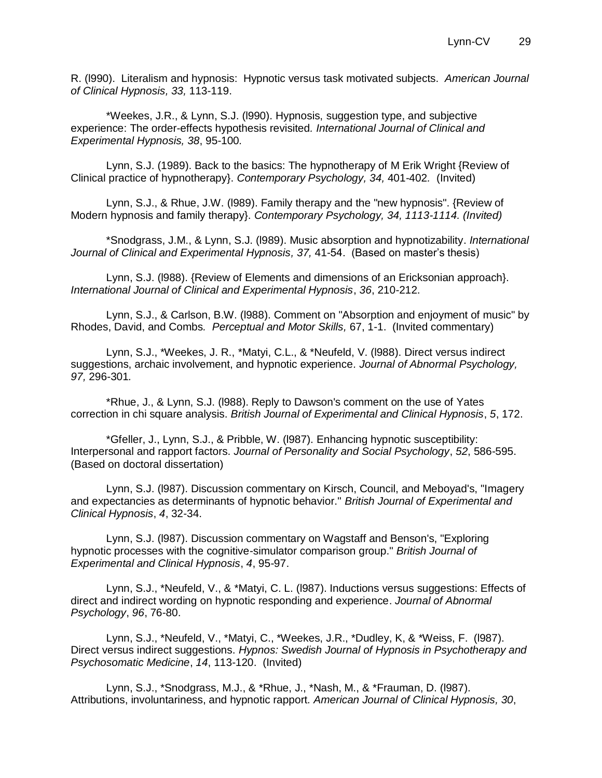R. (l990). Literalism and hypnosis: Hypnotic versus task motivated subjects. *American Journal of Clinical Hypnosis, 33,* 113-119.

\*Weekes, J.R., & Lynn, S.J. (l990). Hypnosis, suggestion type, and subjective experience: The order-effects hypothesis revisited*. International Journal of Clinical and Experimental Hypnosis, 38*, 95-100*.*

Lynn, S.J. (1989). Back to the basics: The hypnotherapy of M Erik Wright {Review of Clinical practice of hypnotherapy}. *Contemporary Psychology, 34,* 401-402*.* (Invited)

Lynn, S.J., & Rhue, J.W. (l989). Family therapy and the "new hypnosis". {Review of Modern hypnosis and family therapy}. *Contemporary Psychology, 34, 1113-1114. (Invited)*

\*Snodgrass, J.M., & Lynn, S.J. (l989). Music absorption and hypnotizability. *International*  Journal of Clinical and Experimental Hypnosis, 37, 41-54. (Based on master's thesis)

Lynn, S.J. (l988). {Review of Elements and dimensions of an Ericksonian approach}. *International Journal of Clinical and Experimental Hypnosis*, *36*, 210-212.

Lynn, S.J., & Carlson, B.W. (l988). Comment on "Absorption and enjoyment of music" by Rhodes, David, and Combs*. Perceptual and Motor Skills,* 67, 1-1. (Invited commentary)

Lynn, S.J., \*Weekes, J. R., \*Matyi, C.L., & \*Neufeld, V. (l988). Direct versus indirect suggestions, archaic involvement, and hypnotic experience*. Journal of Abnormal Psychology, 97,* 296-301*.* 

\*Rhue, J., & Lynn, S.J. (l988). Reply to Dawson's comment on the use of Yates correction in chi square analysis. *British Journal of Experimental and Clinical Hypnosis*, *5*, 172.

\*Gfeller, J., Lynn, S.J., & Pribble, W. (l987). Enhancing hypnotic susceptibility: Interpersonal and rapport factors. *Journal of Personality and Social Psychology*, *52*, 586-595. (Based on doctoral dissertation)

Lynn, S.J. (l987). Discussion commentary on Kirsch, Council, and Meboyad's, "Imagery and expectancies as determinants of hypnotic behavior." *British Journal of Experimental and Clinical Hypnosis*, *4*, 32-34.

Lynn, S.J. (l987). Discussion commentary on Wagstaff and Benson's, "Exploring hypnotic processes with the cognitive-simulator comparison group." *British Journal of Experimental and Clinical Hypnosis*, *4*, 95-97.

Lynn, S.J., \*Neufeld, V., & \*Matyi, C. L. (l987). Inductions versus suggestions: Effects of direct and indirect wording on hypnotic responding and experience. *Journal of Abnormal Psychology*, *96*, 76-80.

Lynn, S.J., \*Neufeld, V., \*Matyi, C., \*Weekes, J.R., \*Dudley, K, & \*Weiss, F. (l987). Direct versus indirect suggestions. *Hypnos: Swedish Journal of Hypnosis in Psychotherapy and Psychosomatic Medicine*, *14*, 113-120. (Invited)

Lynn, S.J., \*Snodgrass, M.J., & \*Rhue, J., \*Nash, M., & \*Frauman, D. (l987). Attributions, involuntariness, and hypnotic rapport*. American Journal of Clinical Hypnosis, 30*,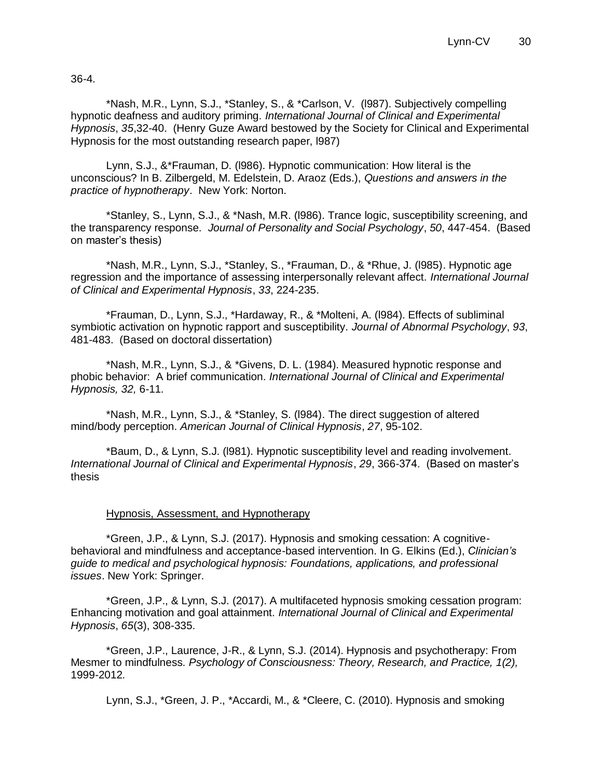36-4.

\*Nash, M.R., Lynn, S.J., \*Stanley, S., & \*Carlson, V. (l987). Subjectively compelling hypnotic deafness and auditory priming. *International Journal of Clinical and Experimental Hypnosis*, *35*,32-40. (Henry Guze Award bestowed by the Society for Clinical and Experimental Hypnosis for the most outstanding research paper, l987)

Lynn, S.J., &\*Frauman, D. (l986). Hypnotic communication: How literal is the unconscious? In B. Zilbergeld, M. Edelstein, D. Araoz (Eds.), *Questions and answers in the practice of hypnotherapy*. New York: Norton.

\*Stanley, S., Lynn, S.J., & \*Nash, M.R. (l986). Trance logic, susceptibility screening, and the transparency response. *Journal of Personality and Social Psychology*, *50*, 447-454. (Based on master's thesis)

\*Nash, M.R., Lynn, S.J., \*Stanley, S., \*Frauman, D., & \*Rhue, J. (l985). Hypnotic age regression and the importance of assessing interpersonally relevant affect. *International Journal of Clinical and Experimental Hypnosis*, *33*, 224-235.

\*Frauman, D., Lynn, S.J., \*Hardaway, R., & \*Molteni, A. (l984). Effects of subliminal symbiotic activation on hypnotic rapport and susceptibility. *Journal of Abnormal Psychology*, *93*, 481-483. (Based on doctoral dissertation)

\*Nash, M.R., Lynn, S.J., & \*Givens, D. L. (1984). Measured hypnotic response and phobic behavior: A brief communication. *International Journal of Clinical and Experimental Hypnosis, 32,* 6-11*.*

\*Nash, M.R., Lynn, S.J., & \*Stanley, S. (l984). The direct suggestion of altered mind/body perception. *American Journal of Clinical Hypnosis*, *27*, 95-102.

\*Baum, D., & Lynn, S.J. (l981). Hypnotic susceptibility level and reading involvement. *International Journal of Clinical and Experimental Hypnosis*, *29*, 366-374. (Based on master's thesis

#### Hypnosis, Assessment, and Hypnotherapy

\*Green, J.P., & Lynn, S.J. (2017). Hypnosis and smoking cessation: A cognitivebehavioral and mindfulness and acceptance-based intervention. In G. Elkins (Ed.), *Clinician's guide to medical and psychological hypnosis: Foundations, applications, and professional issues*. New York: Springer.

\*Green, J.P., & Lynn, S.J. (2017). A multifaceted hypnosis smoking cessation program: Enhancing motivation and goal attainment. *International Journal of Clinical and Experimental Hypnosis*, *65*(3), 308-335.

\*Green, J.P., Laurence, J-R., & Lynn, S.J. (2014). Hypnosis and psychotherapy: From Mesmer to mindfulness. *Psychology of Consciousness: Theory, Research, and Practice, 1(2),*  1999-2012*.*

Lynn, S.J., \*Green, J. P., \*Accardi, M., & \*Cleere, C. (2010). Hypnosis and smoking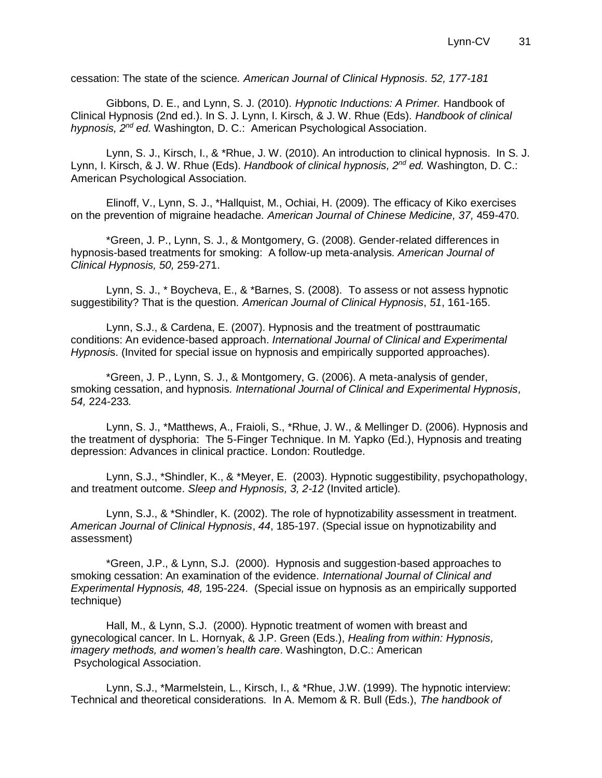cessation: The state of the science*. American Journal of Clinical Hypnosis. 52, 177-181*

Gibbons, D. E., and Lynn, S. J. (2010). *Hypnotic Inductions: A Primer.* Handbook of Clinical Hypnosis (2nd ed.). In S. J. Lynn, I. Kirsch, & J. W. Rhue (Eds). *Handbook of clinical hypnosis, 2nd ed.* Washington, D. C.: American Psychological Association.

Lynn, S. J., Kirsch, I., & \*Rhue, J. W. (2010). An introduction to clinical hypnosis. In S. J. Lynn, I. Kirsch, & J. W. Rhue (Eds). *Handbook of clinical hypnosis, 2nd ed.* Washington, D. C.: American Psychological Association.

Elinoff, V., Lynn, S. J., \*Hallquist, M., Ochiai, H. (2009). The efficacy of Kiko exercises on the prevention of migraine headache*. American Journal of Chinese Medicine, 37,* 459-470.

\*Green, J. P., Lynn, S. J., & Montgomery, G. (2008). Gender-related differences in hypnosis-based treatments for smoking: A follow-up meta-analysis*. American Journal of Clinical Hypnosis, 50,* 259-271.

Lynn, S. J., \* Boycheva, E., & \*Barnes, S. (2008). To assess or not assess hypnotic suggestibility? That is the question. *American Journal of Clinical Hypnosis*, *51*, 161-165.

Lynn, S.J., & Cardena, E. (2007). Hypnosis and the treatment of posttraumatic conditions: An evidence-based approach. *International Journal of Clinical and Experimental Hypnosi*s. (Invited for special issue on hypnosis and empirically supported approaches).

\*Green, J. P., Lynn, S. J., & Montgomery, G. (2006). A meta-analysis of gender, smoking cessation, and hypnosis*. International Journal of Clinical and Experimental Hypnosis, 54,* 224-233*.*

Lynn, S. J., \*Matthews, A., Fraioli, S., \*Rhue, J. W., & Mellinger D. (2006). Hypnosis and the treatment of dysphoria: The 5-Finger Technique. In M. Yapko (Ed.), Hypnosis and treating depression: Advances in clinical practice. London: Routledge.

Lynn, S.J., \*Shindler, K., & \*Meyer, E. (2003). Hypnotic suggestibility, psychopathology, and treatment outcome. *Sleep and Hypnosis, 3, 2-12* (Invited article)*.*

Lynn, S.J., & \*Shindler, K. (2002). The role of hypnotizability assessment in treatment. *American Journal of Clinical Hypnosis*, *44*, 185-197. (Special issue on hypnotizability and assessment)

\*Green, J.P., & Lynn, S.J. (2000). Hypnosis and suggestion-based approaches to smoking cessation: An examination of the evidence*. International Journal of Clinical and Experimental Hypnosis, 48,* 195-224. (Special issue on hypnosis as an empirically supported technique)

Hall, M., & Lynn, S.J. (2000). Hypnotic treatment of women with breast and gynecological cancer. In L. Hornyak, & J.P. Green (Eds.), *Healing from within: Hypnosis, imagery methods, and women's health care*. Washington, D.C.: American Psychological Association.

Lynn, S.J., \*Marmelstein, L., Kirsch, I., & \*Rhue, J.W. (1999). The hypnotic interview: Technical and theoretical considerations. In A. Memom & R. Bull (Eds.), *The handbook of*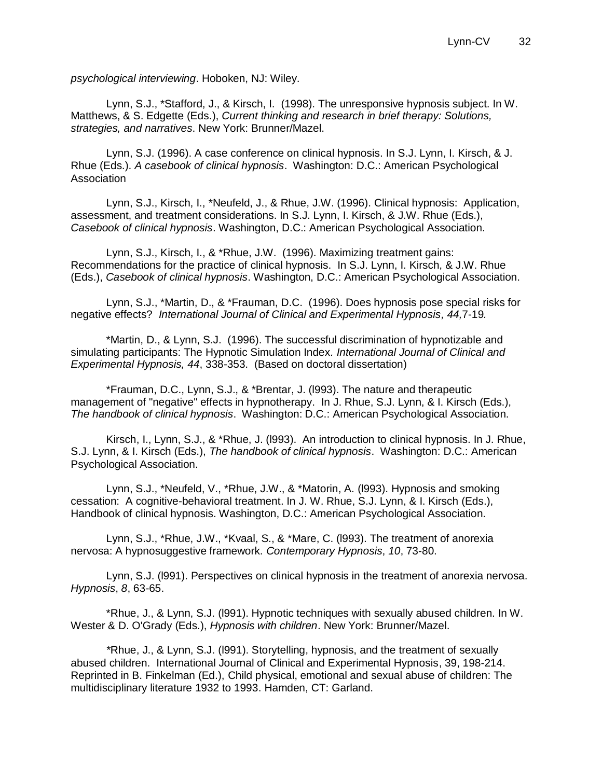*psychological interviewing*. Hoboken, NJ: Wiley.

Lynn, S.J., \*Stafford, J., & Kirsch, I. (1998). The unresponsive hypnosis subject. In W. Matthews, & S. Edgette (Eds.), *Current thinking and research in brief therapy: Solutions, strategies, and narratives*. New York: Brunner/Mazel.

Lynn, S.J. (1996). A case conference on clinical hypnosis. In S.J. Lynn, I. Kirsch, & J. Rhue (Eds.). *A casebook of clinical hypnosis*. Washington: D.C.: American Psychological **Association** 

Lynn, S.J., Kirsch, I., \*Neufeld, J., & Rhue, J.W. (1996). Clinical hypnosis: Application, assessment, and treatment considerations. In S.J. Lynn, I. Kirsch, & J.W. Rhue (Eds.), *Casebook of clinical hypnosis*. Washington, D.C.: American Psychological Association.

Lynn, S.J., Kirsch, I., & \*Rhue, J.W. (1996). Maximizing treatment gains: Recommendations for the practice of clinical hypnosis. In S.J. Lynn, I. Kirsch, & J.W. Rhue (Eds.), *Casebook of clinical hypnosis*. Washington, D.C.: American Psychological Association.

Lynn, S.J., \*Martin, D., & \*Frauman, D.C. (1996). Does hypnosis pose special risks for negative effects? *International Journal of Clinical and Experimental Hypnosis, 44,*7-19*.* 

\*Martin, D., & Lynn, S.J. (1996). The successful discrimination of hypnotizable and simulating participants: The Hypnotic Simulation Index*. International Journal of Clinical and Experimental Hypnosis, 44*, 338-353. (Based on doctoral dissertation)

\*Frauman, D.C., Lynn, S.J., & \*Brentar, J. (l993). The nature and therapeutic management of "negative" effects in hypnotherapy. In J. Rhue, S.J. Lynn, & I. Kirsch (Eds.), *The handbook of clinical hypnosis*. Washington: D.C.: American Psychological Association.

Kirsch, I., Lynn, S.J., & \*Rhue, J. (l993). An introduction to clinical hypnosis. In J. Rhue, S.J. Lynn, & I. Kirsch (Eds.), *The handbook of clinical hypnosis*. Washington: D.C.: American Psychological Association.

Lynn, S.J., \*Neufeld, V., \*Rhue, J.W., & \*Matorin, A. (l993). Hypnosis and smoking cessation: A cognitive-behavioral treatment. In J. W. Rhue, S.J. Lynn, & I. Kirsch (Eds.), Handbook of clinical hypnosis. Washington, D.C.: American Psychological Association.

Lynn, S.J., \*Rhue, J.W., \*Kvaal, S., & \*Mare, C. (l993). The treatment of anorexia nervosa: A hypnosuggestive framework. *Contemporary Hypnosis*, *10*, 73-80.

Lynn, S.J. (l991). Perspectives on clinical hypnosis in the treatment of anorexia nervosa. *Hypnosis*, *8*, 63-65.

\*Rhue, J., & Lynn, S.J. (l991). Hypnotic techniques with sexually abused children. In W. Wester & D. O'Grady (Eds.), *Hypnosis with children*. New York: Brunner/Mazel.

*\**Rhue, J., & Lynn, S.J. (l991). Storytelling, hypnosis, and the treatment of sexually abused children. International Journal of Clinical and Experimental Hypnosis, 39, 198-214. Reprinted in B. Finkelman (Ed.), Child physical, emotional and sexual abuse of children: The multidisciplinary literature 1932 to 1993. Hamden, CT: Garland.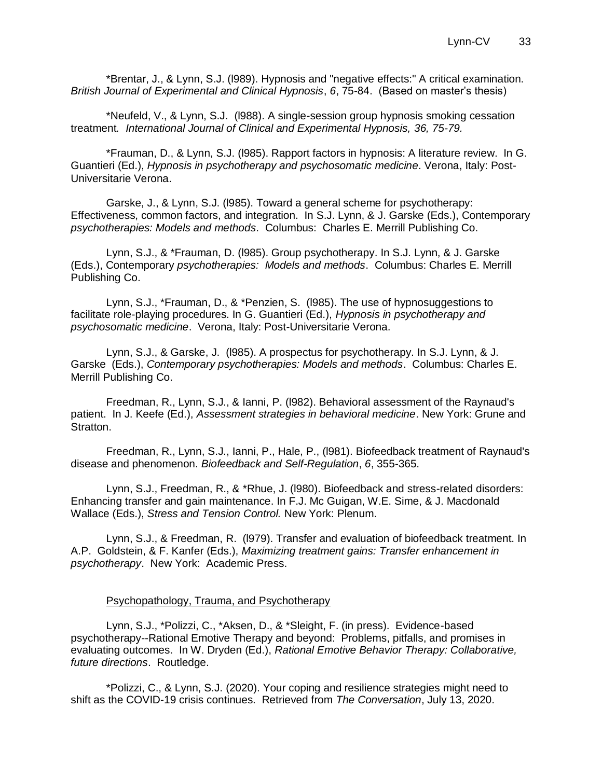\*Brentar, J., & Lynn, S.J. (l989). Hypnosis and "negative effects:" A critical examination. *British Journal of Experimental and Clinical Hypnosis*, *6*, 75-84. (Based on master's thesis)

\*Neufeld, V., & Lynn, S.J. (l988). A single-session group hypnosis smoking cessation treatment*. International Journal of Clinical and Experimental Hypnosis, 36, 75-79.*

\*Frauman, D., & Lynn, S.J. (l985). Rapport factors in hypnosis: A literature review. In G. Guantieri (Ed.), *Hypnosis in psychotherapy and psychosomatic medicine*. Verona, Italy: Post-Universitarie Verona.

Garske, J., & Lynn, S.J. (l985). Toward a general scheme for psychotherapy: Effectiveness, common factors, and integration. In S.J. Lynn, & J. Garske (Eds.), Contemporary *psychotherapies: Models and methods*. Columbus: Charles E. Merrill Publishing Co.

Lynn, S.J., & \*Frauman, D. (l985). Group psychotherapy. In S.J. Lynn, & J. Garske (Eds.), Contemporary *psychotherapies: Models and methods*. Columbus: Charles E. Merrill Publishing Co.

Lynn, S.J., \*Frauman, D., & \*Penzien, S. (l985). The use of hypnosuggestions to facilitate role-playing procedures. In G. Guantieri (Ed.), *Hypnosis in psychotherapy and psychosomatic medicine*. Verona, Italy: Post-Universitarie Verona.

Lynn, S.J., & Garske, J. (l985). A prospectus for psychotherapy. In S.J. Lynn, & J. Garske (Eds.), *Contemporary psychotherapies: Models and methods*. Columbus: Charles E. Merrill Publishing Co.

Freedman, R., Lynn, S.J., & Ianni, P. (l982). Behavioral assessment of the Raynaud's patient. In J. Keefe (Ed.), *Assessment strategies in behavioral medicine*. New York: Grune and Stratton.

Freedman, R., Lynn, S.J., Ianni, P., Hale, P., (l981). Biofeedback treatment of Raynaud's disease and phenomenon. *Biofeedback and Self-Regulation*, *6*, 355-365.

Lynn, S.J., Freedman, R., & \*Rhue, J. (l980). Biofeedback and stress-related disorders: Enhancing transfer and gain maintenance. In F.J. Mc Guigan, W.E. Sime, & J. Macdonald Wallace (Eds.), *Stress and Tension Control.* New York: Plenum.

Lynn, S.J., & Freedman, R. (l979). Transfer and evaluation of biofeedback treatment. In A.P. Goldstein, & F. Kanfer (Eds.), *Maximizing treatment gains: Transfer enhancement in psychotherapy*. New York: Academic Press.

#### Psychopathology, Trauma, and Psychotherapy

Lynn, S.J., \*Polizzi, C., \*Aksen, D., & \*Sleight, F. (in press). Evidence-based psychotherapy--Rational Emotive Therapy and beyond: Problems, pitfalls, and promises in evaluating outcomes. In W. Dryden (Ed.), *Rational Emotive Behavior Therapy: Collaborative, future directions*. Routledge.

\*Polizzi, C., & Lynn, S.J. (2020). Your coping and resilience strategies might need to shift as the COVID-19 crisis continues. Retrieved from *The Conversation*, July 13, 2020.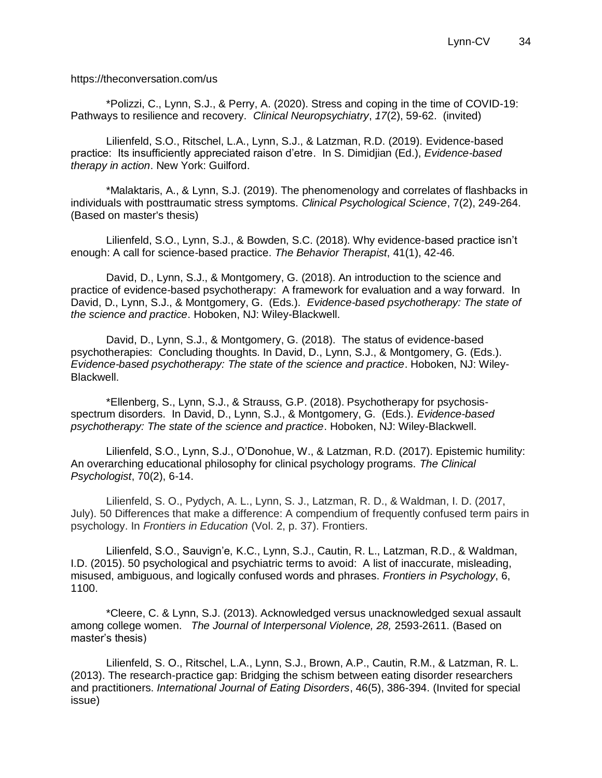https://theconversation.com/us

\*Polizzi, C., Lynn, S.J., & Perry, A. (2020). Stress and coping in the time of COVID-19: Pathways to resilience and recovery. *Clinical Neuropsychiatry*, *17*(2), 59-62. (invited)

Lilienfeld, S.O., Ritschel, L.A., Lynn, S.J., & Latzman, R.D. (2019). Evidence-based practice: Its insufficiently appreciated raison d'etre. In S. Dimidjian (Ed.), *Evidence-based therapy in action*. New York: Guilford.

\*Malaktaris, A., & Lynn, S.J. (2019). The phenomenology and correlates of flashbacks in individuals with posttraumatic stress symptoms. *Clinical Psychological Science*, 7(2), 249-264. (Based on master's thesis)

Lilienfeld, S.O., Lynn, S.J., & Bowden, S.C. (2018). Why evidence-based practice isn't enough: A call for science-based practice. *The Behavior Therapist*, 41(1), 42-46.

David, D., Lynn, S.J., & Montgomery, G. (2018). An introduction to the science and practice of evidence-based psychotherapy: A framework for evaluation and a way forward. In David, D., Lynn, S.J., & Montgomery, G. (Eds.). *Evidence-based psychotherapy: The state of the science and practice*. Hoboken, NJ: Wiley-Blackwell.

David, D., Lynn, S.J., & Montgomery, G. (2018). The status of evidence-based psychotherapies: Concluding thoughts. In David, D., Lynn, S.J., & Montgomery, G. (Eds.). *Evidence-based psychotherapy: The state of the science and practice*. Hoboken, NJ: Wiley-Blackwell.

\*Ellenberg, S., Lynn, S.J., & Strauss, G.P. (2018). Psychotherapy for psychosisspectrum disorders. In David, D., Lynn, S.J., & Montgomery, G. (Eds.). *Evidence-based psychotherapy: The state of the science and practice*. Hoboken, NJ: Wiley-Blackwell.

Lilienfeld, S.O., Lynn, S.J., O'Donohue, W., & Latzman, R.D. (2017). Epistemic humility: An overarching educational philosophy for clinical psychology programs. *The Clinical Psychologist*, 70(2), 6-14.

Lilienfeld, S. O., Pydych, A. L., Lynn, S. J., Latzman, R. D., & Waldman, I. D. (2017, July). 50 Differences that make a difference: A compendium of frequently confused term pairs in psychology. In *Frontiers in Education* (Vol. 2, p. 37). Frontiers.

Lilienfeld, S.O., Sauvign'e, K.C., Lynn, S.J., Cautin, R. L., Latzman, R.D., & Waldman, I.D. (2015). 50 psychological and psychiatric terms to avoid: A list of inaccurate, misleading, misused, ambiguous, and logically confused words and phrases. *Frontiers in Psychology*, 6, 1100.

\*Cleere, C. & Lynn, S.J. (2013). Acknowledged versus unacknowledged sexual assault among college women. *The Journal of Interpersonal Violence, 28,* 2593-2611. (Based on master's thesis)

Lilienfeld, S. O., Ritschel, L.A., Lynn, S.J., Brown, A.P., Cautin, R.M., & Latzman, R. L. (2013). The research-practice gap: Bridging the schism between eating disorder researchers and practitioners. *International Journal of Eating Disorders*, 46(5), 386-394. (Invited for special issue)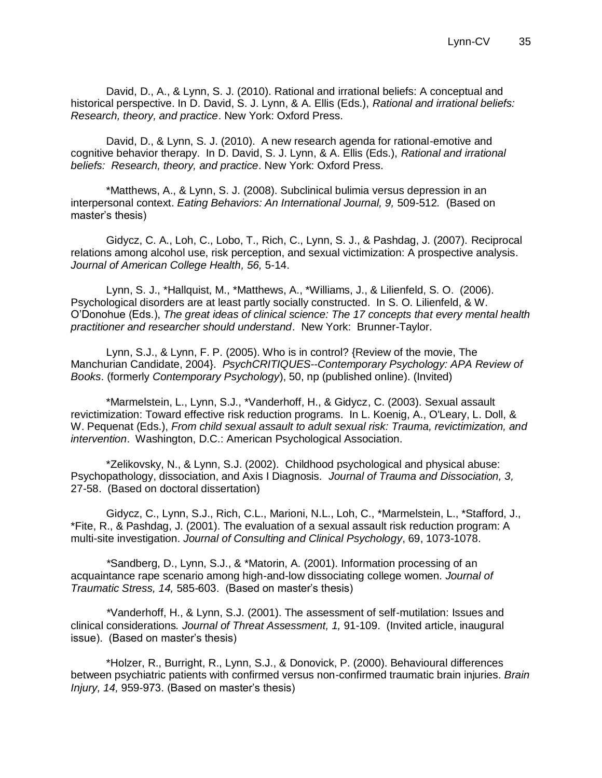David, D., A., & Lynn, S. J. (2010). Rational and irrational beliefs: A conceptual and historical perspective. In D. David, S. J. Lynn, & A. Ellis (Eds.), *Rational and irrational beliefs: Research, theory, and practice*. New York: Oxford Press.

David, D., & Lynn, S. J. (2010). A new research agenda for rational-emotive and cognitive behavior therapy. In D. David, S. J. Lynn, & A. Ellis (Eds.), *Rational and irrational beliefs: Research, theory, and practice*. New York: Oxford Press.

\*Matthews, A., & Lynn, S. J. (2008). Subclinical bulimia versus depression in an interpersonal context. *Eating Behaviors: An International Journal, 9, 509-512.* (Based on master's thesis)

Gidycz, C. A., Loh, C., Lobo, T., Rich, C., Lynn, S. J., & Pashdag, J. (2007). Reciprocal relations among alcohol use, risk perception, and sexual victimization: A prospective analysis*. Journal of American College Health, 56,* 5-14.

Lynn, S. J., \*Hallquist, M., \*Matthews, A., \*Williams, J., & Lilienfeld, S. O. (2006). Psychological disorders are at least partly socially constructed. In S. O. Lilienfeld, & W. O'Donohue (Eds.), *The great ideas of clinical science: The 17 concepts that every mental health practitioner and researcher should understand*. New York: Brunner-Taylor.

Lynn, S.J., & Lynn, F. P. (2005). Who is in control? {Review of the movie, The Manchurian Candidate, 2004}. *PsychCRITIQUES--Contemporary Psychology: APA Review of Books*. (formerly *Contemporary Psychology*), 50, np (published online). (Invited)

\*Marmelstein, L., Lynn, S.J., \*Vanderhoff, H., & Gidycz, C. (2003). Sexual assault revictimization: Toward effective risk reduction programs. In L. Koenig, A., O'Leary, L. Doll, & W. Pequenat (Eds.), *From child sexual assault to adult sexual risk: Trauma, revictimization, and intervention*. Washington, D.C.: American Psychological Association.

\*Zelikovsky, N., & Lynn, S.J. (2002). Childhood psychological and physical abuse: Psychopathology, dissociation, and Axis I Diagnosis. *Journal of Trauma and Dissociation, 3,*  27-58. (Based on doctoral dissertation)

Gidycz, C., Lynn, S.J., Rich, C.L., Marioni, N.L., Loh, C., \*Marmelstein, L., \*Stafford, J., \*Fite, R., & Pashdag, J. (2001). The evaluation of a sexual assault risk reduction program: A multi-site investigation. *Journal of Consulting and Clinical Psychology*, 69, 1073-1078.

*\**Sandberg, D., Lynn, S.J., & \*Matorin, A. (2001). Information processing of an acquaintance rape scenario among high-and-low dissociating college women*. Journal of Traumatic Stress, 14,* 585-603. (Based on master's thesis)

*\**Vanderhoff, H., & Lynn, S.J. (2001). The assessment of self-mutilation: Issues and clinical considerations*. Journal of Threat Assessment, 1,* 91-109. (Invited article, inaugural issue). (Based on master's thesis)

\*Holzer, R., Burright, R., Lynn, S.J., & Donovick, P. (2000). Behavioural differences between psychiatric patients with confirmed versus non-confirmed traumatic brain injuries. *Brain Injury, 14,* 959-973. (Based on master's thesis)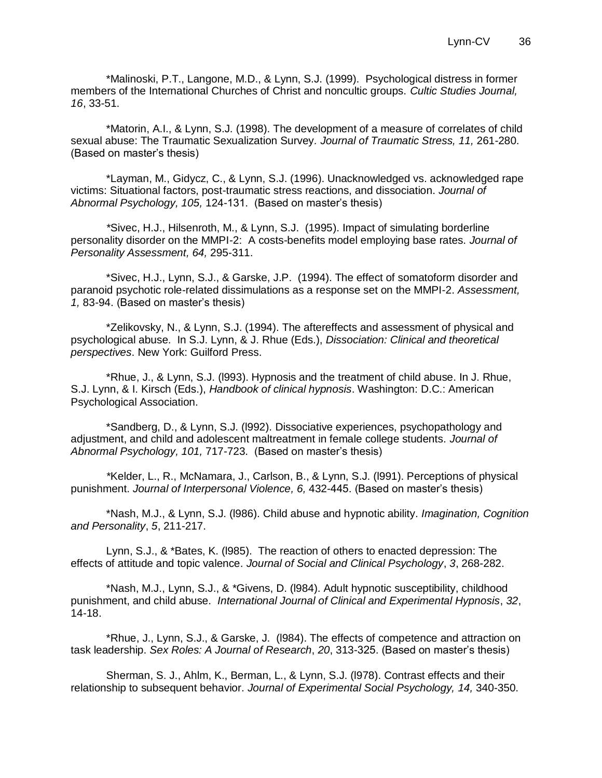\*Malinoski, P.T., Langone, M.D., & Lynn, S.J. (1999). Psychological distress in former members of the International Churches of Christ and noncultic groups. *Cultic Studies Journal, 16*, 33-51.

\*Matorin, A.I., & Lynn, S.J. (1998). The development of a measure of correlates of child sexual abuse: The Traumatic Sexualization Survey*. Journal of Traumatic Stress, 11,* 261-280. (Based on master's thesis)

\*Layman, M., Gidycz, C., & Lynn, S.J. (1996). Unacknowledged vs. acknowledged rape victims: Situational factors, post-traumatic stress reactions, and dissociation. *Journal of Abnormal Psychology, 105,* 124-131. (Based on master's thesis)

*\**Sivec, H.J., Hilsenroth, M., & Lynn, S.J. (1995). Impact of simulating borderline personality disorder on the MMPI-2: A costs-benefits model employing base rates. *Journal of Personality Assessment, 64,* 295-311.

\*Sivec, H.J., Lynn, S.J., & Garske, J.P. (1994). The effect of somatoform disorder and paranoid psychotic role-related dissimulations as a response set on the MMPI-2. *Assessment, 1,* 83-94. (Based on master's thesis)

\*Zelikovsky, N., & Lynn, S.J. (1994). The aftereffects and assessment of physical and psychological abuse. In S.J. Lynn, & J. Rhue (Eds.), *Dissociation: Clinical and theoretical perspectives*. New York: Guilford Press.

\*Rhue, J., & Lynn, S.J. (l993). Hypnosis and the treatment of child abuse. In J. Rhue, S.J. Lynn, & I. Kirsch (Eds.), *Handbook of clinical hypnosis*. Washington: D.C.: American Psychological Association.

\*Sandberg, D., & Lynn, S.J. (l992). Dissociative experiences, psychopathology and adjustment, and child and adolescent maltreatment in female college students. *Journal of Abnormal Psychology, 101,* 717-723. (Based on master's thesis)

*\**Kelder, L., R., McNamara, J., Carlson, B., & Lynn, S.J. (l991). Perceptions of physical punishment. *Journal of Interpersonal Violence, 6,* 432-445. (Based on master's thesis)

\*Nash, M.J., & Lynn, S.J. (l986). Child abuse and hypnotic ability. *Imagination, Cognition and Personality*, *5*, 211-217.

Lynn, S.J., & \*Bates, K. (l985). The reaction of others to enacted depression: The effects of attitude and topic valence. *Journal of Social and Clinical Psychology*, *3*, 268-282.

\*Nash, M.J., Lynn, S.J., & \*Givens, D. (l984). Adult hypnotic susceptibility, childhood punishment, and child abuse. *International Journal of Clinical and Experimental Hypnosis*, *32*, 14-18.

\*Rhue, J., Lynn, S.J., & Garske, J. (l984). The effects of competence and attraction on task leadership. *Sex Roles: A Journal of Research*, *20*, 313-325. (Based on master's thesis)

Sherman, S. J., Ahlm, K., Berman, L., & Lynn, S.J. (l978). Contrast effects and their relationship to subsequent behavior. *Journal of Experimental Social Psychology, 14,* 340-350.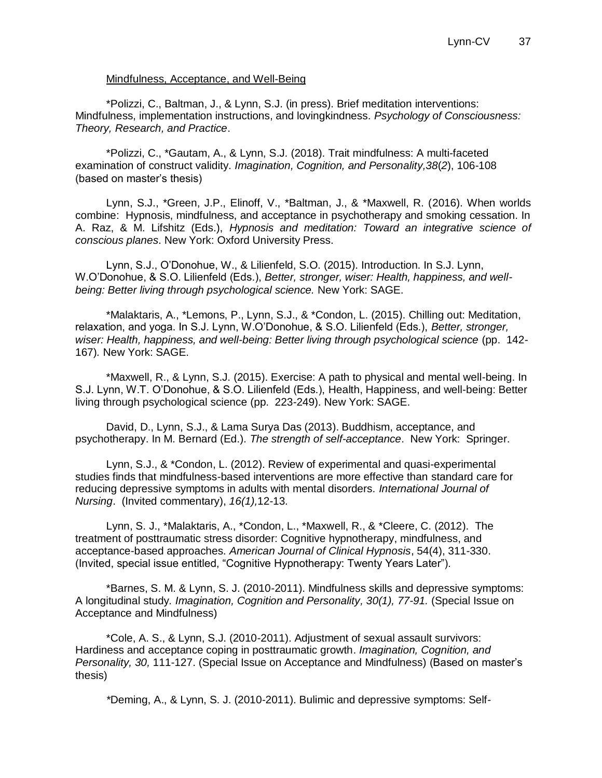#### Mindfulness, Acceptance, and Well-Being

\*Polizzi, C., Baltman, J., & Lynn, S.J. (in press). Brief meditation interventions: Mindfulness, implementation instructions, and lovingkindness. *Psychology of Consciousness: Theory, Research, and Practice*.

\*Polizzi, C., \*Gautam, A., & Lynn, S.J. (2018). Trait mindfulness: A multi-faceted examination of construct validity. *Imagination, Cognition, and Personality,38*(*2*), 106-108 (based on master's thesis)

Lynn, S.J., \*Green, J.P., Elinoff, V., \*Baltman, J., & \*Maxwell, R. (2016). When worlds combine: Hypnosis, mindfulness, and acceptance in psychotherapy and smoking cessation. In A. Raz, & M. Lifshitz (Eds.), *Hypnosis and meditation: Toward an integrative science of conscious planes*. New York: Oxford University Press.

Lynn, S.J., O'Donohue, W., & Lilienfeld, S.O. (2015). Introduction. In S.J. Lynn, W.O'Donohue, & S.O. Lilienfeld (Eds.), *Better, stronger, wiser: Health, happiness, and wellbeing: Better living through psychological science.* New York: SAGE.

\*Malaktaris, A., \*Lemons, P., Lynn, S.J., & \*Condon, L. (2015). Chilling out: Meditation, relaxation, and yoga. In S.J. Lynn, W.O'Donohue, & S.O. Lilienfeld (Eds.), *Better, stronger, wiser: Health, happiness, and well-being: Better living through psychological science* (pp. 142- 167)*.* New York: SAGE.

\*Maxwell, R., & Lynn, S.J. (2015). Exercise: A path to physical and mental well-being. In S.J. Lynn, W.T. O'Donohue, & S.O. Lilienfeld (Eds.), Health, Happiness, and well-being: Better living through psychological science (pp. 223-249). New York: SAGE.

David, D., Lynn, S.J., & Lama Surya Das (2013). Buddhism, acceptance, and psychotherapy. In M. Bernard (Ed.). *The strength of self-acceptance*. New York: Springer.

Lynn, S.J., & \*Condon, L. (2012). Review of experimental and quasi-experimental studies finds that mindfulness-based interventions are more effective than standard care for reducing depressive symptoms in adults with mental disorders. *International Journal of Nursing*. (Invited commentary), *16(1),*12-13*.*

Lynn, S. J., \*Malaktaris, A., \*Condon, L., \*Maxwell, R., & \*Cleere, C. (2012). The treatment of posttraumatic stress disorder: Cognitive hypnotherapy, mindfulness, and acceptance-based approaches. *American Journal of Clinical Hypnosis*, 54(4), 311-330. (Invited, special issue entitled, "Cognitive Hypnotherapy: Twenty Years Later").

\*Barnes, S. M. & Lynn, S. J. (2010-2011). Mindfulness skills and depressive symptoms: A longitudinal study*. Imagination, Cognition and Personality, 30(1), 77-91.* (Special Issue on Acceptance and Mindfulness)

\*Cole, A. S., & Lynn, S.J. (2010-2011). Adjustment of sexual assault survivors: Hardiness and acceptance coping in posttraumatic growth. *Imagination, Cognition, and Personality, 30,* 111-127. (Special Issue on Acceptance and Mindfulness) (Based on master's thesis)

*\**Deming, A., & Lynn, S. J. (2010-2011). Bulimic and depressive symptoms: Self-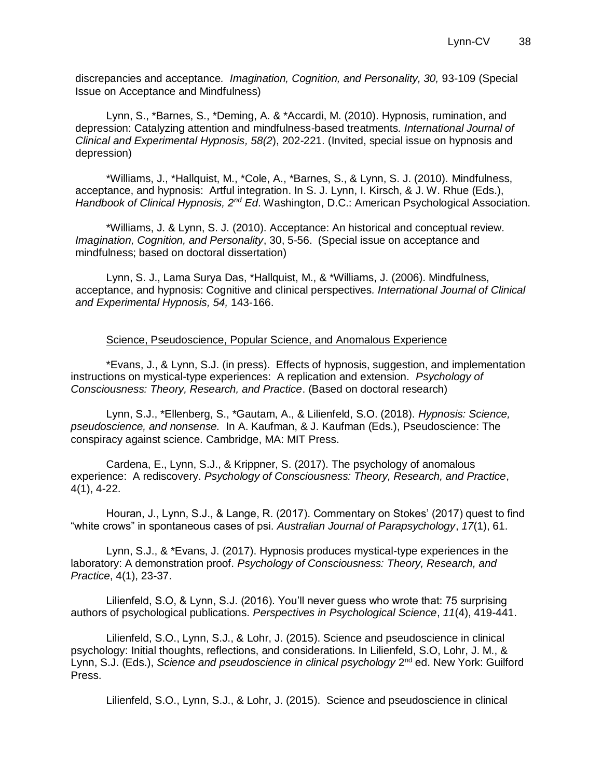discrepancies and acceptance*. Imagination, Cognition, and Personality, 30,* 93-109 (Special Issue on Acceptance and Mindfulness)

Lynn, S., \*Barnes, S., \*Deming, A. & \*Accardi, M. (2010). Hypnosis, rumination, and depression: Catalyzing attention and mindfulness-based treatments*. International Journal of Clinical and Experimental Hypnosis, 58(2*), 202-221. (Invited, special issue on hypnosis and depression)

\*Williams, J., \*Hallquist, M., \*Cole, A., \*Barnes, S., & Lynn, S. J. (2010). Mindfulness, acceptance, and hypnosis: Artful integration. In S. J. Lynn, I. Kirsch, & J. W. Rhue (Eds.), *Handbook of Clinical Hypnosis, 2nd Ed*. Washington, D.C.: American Psychological Association.

\*Williams, J. & Lynn, S. J. (2010). Acceptance: An historical and conceptual review*. Imagination, Cognition, and Personality*, 30, 5-56. (Special issue on acceptance and mindfulness; based on doctoral dissertation)

Lynn, S. J., Lama Surya Das, \*Hallquist, M., & \*Williams, J. (2006). Mindfulness, acceptance, and hypnosis: Cognitive and clinical perspectives*. International Journal of Clinical and Experimental Hypnosis, 54,* 143-166.

#### Science, Pseudoscience, Popular Science, and Anomalous Experience

\*Evans, J., & Lynn, S.J. (in press). Effects of hypnosis, suggestion, and implementation instructions on mystical-type experiences: A replication and extension. *Psychology of Consciousness: Theory, Research, and Practice*. (Based on doctoral research)

Lynn, S.J., \*Ellenberg, S., \*Gautam, A., & Lilienfeld, S.O. (2018). *Hypnosis: Science, pseudoscience, and nonsense.* In A. Kaufman, & J. Kaufman (Eds.), Pseudoscience: The conspiracy against science. Cambridge, MA: MIT Press.

Cardena, E., Lynn, S.J., & Krippner, S. (2017). The psychology of anomalous experience: A rediscovery. *Psychology of Consciousness: Theory, Research, and Practice*, 4(1), 4-22.

Houran, J., Lynn, S.J., & Lange, R. (2017). Commentary on Stokes' (2017) quest to find "white crows" in spontaneous cases of psi. *Australian Journal of Parapsychology*, *17*(1), 61.

Lynn, S.J., & \*Evans, J. (2017). Hypnosis produces mystical-type experiences in the laboratory: A demonstration proof. *Psychology of Consciousness: Theory, Research, and Practice*, 4(1), 23-37.

Lilienfeld, S.O, & Lynn, S.J. (2016). You'll never guess who wrote that: 75 surprising authors of psychological publications. *Perspectives in Psychological Science*, *11*(4), 419-441.

Lilienfeld, S.O., Lynn, S.J., & Lohr, J. (2015). Science and pseudoscience in clinical psychology: Initial thoughts, reflections, and considerations. In Lilienfeld, S.O, Lohr, J. M., & Lynn, S.J. (Eds.), *Science and pseudoscience in clinical psychology* 2<sup>nd</sup> ed. New York: Guilford Press.

Lilienfeld, S.O., Lynn, S.J., & Lohr, J. (2015). Science and pseudoscience in clinical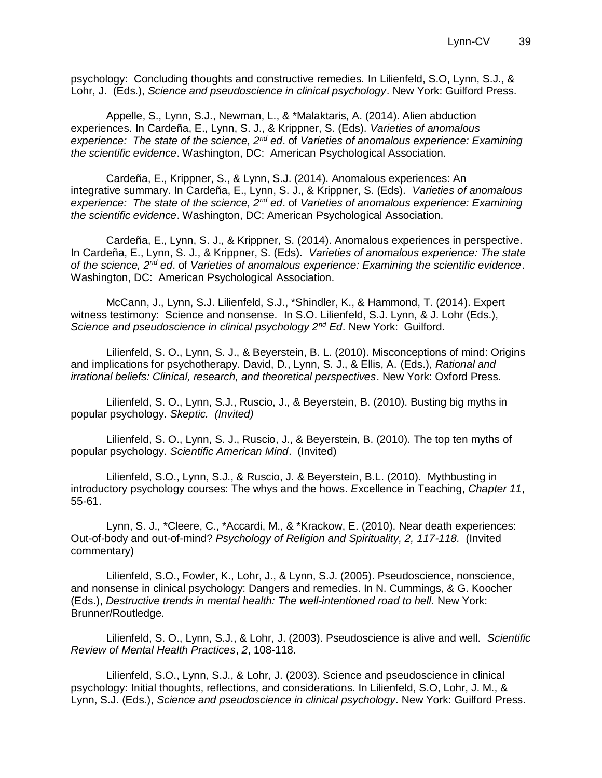psychology: Concluding thoughts and constructive remedies. In Lilienfeld, S.O, Lynn, S.J., & Lohr, J. (Eds.), *Science and pseudoscience in clinical psychology*. New York: Guilford Press.

Appelle, S., Lynn, S.J., Newman, L., & \*Malaktaris, A. (2014). Alien abduction experiences. In Cardeña, E., Lynn, S. J., & Krippner, S. (Eds). *Varieties of anomalous experience: The state of the science, 2nd ed*. of *Varieties of anomalous experience: Examining the scientific evidence*. Washington, DC: American Psychological Association.

Cardeña, E., Krippner, S., & Lynn, S.J. (2014). Anomalous experiences: An integrative summary. In Cardeña, E., Lynn, S. J., & Krippner, S. (Eds). *Varieties of anomalous experience: The state of the science, 2nd ed*. of *Varieties of anomalous experience: Examining the scientific evidence*. Washington, DC: American Psychological Association.

Cardeña, E., Lynn, S. J., & Krippner, S. (2014). Anomalous experiences in perspective. In Cardeña, E., Lynn, S. J., & Krippner, S. (Eds). *Varieties of anomalous experience: The state of the science, 2nd ed*. of *Varieties of anomalous experience: Examining the scientific evidence*. Washington, DC: American Psychological Association.

McCann, J., Lynn, S.J. Lilienfeld, S.J., \*Shindler, K., & Hammond, T. (2014). Expert witness testimony: Science and nonsense. In S.O. Lilienfeld, S.J. Lynn, & J. Lohr (Eds.), *Science and pseudoscience in clinical psychology 2nd Ed*. New York: Guilford.

Lilienfeld, S. O., Lynn, S. J., & Beyerstein, B. L. (2010). Misconceptions of mind: Origins and implications for psychotherapy. David, D., Lynn, S. J., & Ellis, A. (Eds.), *Rational and irrational beliefs: Clinical, research, and theoretical perspectives*. New York: Oxford Press.

Lilienfeld, S. O., Lynn, S.J., Ruscio, J., & Beyerstein, B. (2010). Busting big myths in popular psychology. *Skeptic. (Invited)*

Lilienfeld, S. O., Lynn, S. J., Ruscio, J., & Beyerstein, B. (2010). The top ten myths of popular psychology. *Scientific American Mind*. (Invited)

Lilienfeld, S.O., Lynn, S.J., & Ruscio, J. & Beyerstein, B.L. (2010). Mythbusting in introductory psychology courses: The whys and the hows. *E*xcellence in Teaching, *Chapter 11*, 55-61.

Lynn, S. J., \*Cleere, C., \*Accardi, M., & \*Krackow, E. (2010). Near death experiences: Out-of-body and out-of-mind? *Psychology of Religion and Spirituality, 2, 117-118.* (Invited commentary)

Lilienfeld, S.O., Fowler, K., Lohr, J., & Lynn, S.J. (2005). Pseudoscience, nonscience, and nonsense in clinical psychology: Dangers and remedies. In N. Cummings, & G. Koocher (Eds.), *Destructive trends in mental health: The well-intentioned road to hell*. New York: Brunner/Routledge.

Lilienfeld, S. O., Lynn, S.J., & Lohr, J. (2003). Pseudoscience is alive and well. *Scientific Review of Mental Health Practices*, *2*, 108-118.

Lilienfeld, S.O., Lynn, S.J., & Lohr, J. (2003). Science and pseudoscience in clinical psychology: Initial thoughts, reflections, and considerations. In Lilienfeld, S.O, Lohr, J. M., & Lynn, S.J. (Eds.), *Science and pseudoscience in clinical psychology*. New York: Guilford Press.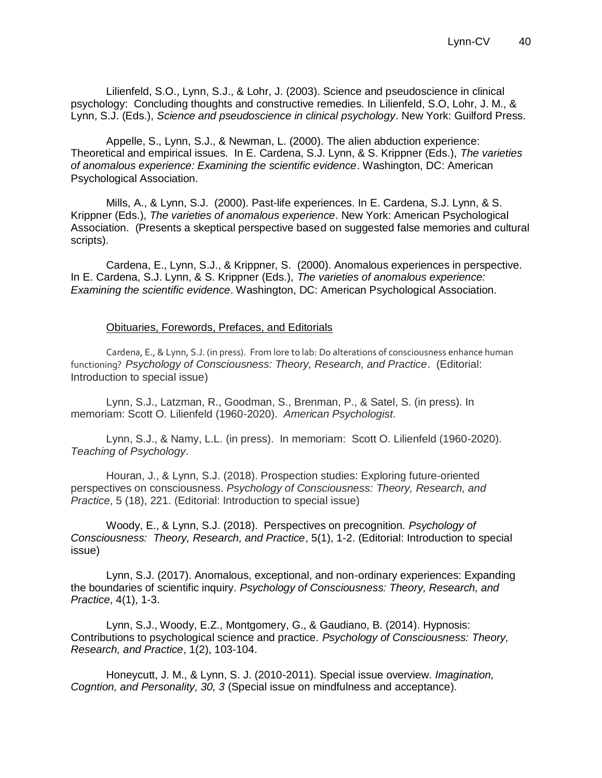Lilienfeld, S.O., Lynn, S.J., & Lohr, J. (2003). Science and pseudoscience in clinical psychology: Concluding thoughts and constructive remedies. In Lilienfeld, S.O, Lohr, J. M., & Lynn, S.J. (Eds.), *Science and pseudoscience in clinical psychology*. New York: Guilford Press.

Appelle, S., Lynn, S.J., & Newman, L. (2000). The alien abduction experience: Theoretical and empirical issues. In E. Cardena, S.J. Lynn, & S. Krippner (Eds.), *The varieties of anomalous experience: Examining the scientific evidence*. Washington, DC: American Psychological Association.

Mills, A., & Lynn, S.J. (2000). Past-life experiences. In E. Cardena, S.J. Lynn, & S. Krippner (Eds.), *The varieties of anomalous experience*. New York: American Psychological Association. (Presents a skeptical perspective based on suggested false memories and cultural scripts).

Cardena, E., Lynn, S.J., & Krippner, S. (2000). Anomalous experiences in perspective. In E. Cardena, S.J. Lynn, & S. Krippner (Eds.), *The varieties of anomalous experience: Examining the scientific evidence*. Washington, DC: American Psychological Association.

### Obituaries, Forewords, Prefaces, and Editorials

Cardena, E., & Lynn, S.J. (in press). From lore to lab: Do alterations of consciousness enhance human functioning? *Psychology of Consciousness: Theory, Research, and Practice*. (Editorial: Introduction to special issue)

Lynn, S.J., Latzman, R., Goodman, S., Brenman, P., & Satel, S. (in press). In memoriam: Scott O. Lilienfeld (1960-2020). *American Psychologist.*

Lynn, S.J., & Namy, L.L. (in press). In memoriam: Scott O. Lilienfeld (1960-2020). *Teaching of Psychology*.

Houran, J., & Lynn, S.J. (2018). Prospection studies: Exploring future-oriented perspectives on consciousness. *Psychology of Consciousness: Theory, Research, and Practice*, 5 (18), 221. (Editorial: Introduction to special issue)

Woody, E., & Lynn, S.J. (2018). Perspectives on precognition. *Psychology of Consciousness: Theory, Research, and Practice*, 5(1), 1-2. (Editorial: Introduction to special issue)

Lynn, S.J. (2017). Anomalous, exceptional, and non-ordinary experiences: Expanding the boundaries of scientific inquiry. *Psychology of Consciousness: Theory, Research, and Practice*, 4(1), 1-3.

Lynn, S.J., Woody, E.Z., Montgomery, G., & Gaudiano, B. (2014). Hypnosis: Contributions to psychological science and practice*. Psychology of Consciousness: Theory, Research, and Practice*, 1(2), 103-104.

Honeycutt, J. M., & Lynn, S. J. (2010-2011). Special issue overview. *Imagination, Cogntion, and Personality, 30, 3* (Special issue on mindfulness and acceptance).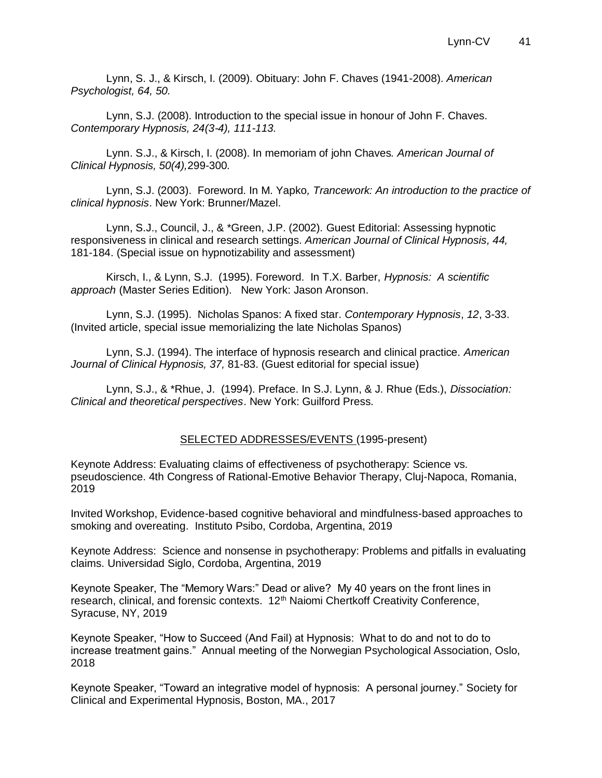Lynn, S. J., & Kirsch, I. (2009). Obituary: John F. Chaves (1941-2008). *American Psychologist, 64, 50.*

Lynn, S.J. (2008). Introduction to the special issue in honour of John F. Chaves*. Contemporary Hypnosis, 24(3-4), 111-113.* 

Lynn. S.J., & Kirsch, I. (2008). In memoriam of john Chaves*. American Journal of Clinical Hypnosis, 50(4),*299-300*.*

Lynn, S.J. (2003). Foreword. In M. Yapko*, Trancework: An introduction to the practice of clinical hypnosis*. New York: Brunner/Mazel.

Lynn, S.J., Council, J., & \*Green, J.P. (2002). Guest Editorial: Assessing hypnotic responsiveness in clinical and research settings*. American Journal of Clinical Hypnosis, 44,*  181-184. (Special issue on hypnotizability and assessment)

Kirsch, I., & Lynn, S.J. (1995). Foreword. In T.X. Barber, *Hypnosis: A scientific approach* (Master Series Edition). New York: Jason Aronson.

Lynn, S.J. (1995). Nicholas Spanos: A fixed star. *Contemporary Hypnosis*, *12*, 3-33. (Invited article, special issue memorializing the late Nicholas Spanos)

Lynn, S.J. (1994). The interface of hypnosis research and clinical practice. *American Journal of Clinical Hypnosis, 37,* 81-83. (Guest editorial for special issue)

Lynn, S.J., & \*Rhue, J. (1994). Preface. In S.J. Lynn, & J. Rhue (Eds.), *Dissociation: Clinical and theoretical perspectives*. New York: Guilford Press.

#### SELECTED ADDRESSES/EVENTS (1995-present)

Keynote Address: Evaluating claims of effectiveness of psychotherapy: Science vs. pseudoscience. 4th Congress of Rational-Emotive Behavior Therapy, Cluj-Napoca, Romania, 2019

Invited Workshop, Evidence-based cognitive behavioral and mindfulness-based approaches to smoking and overeating. Instituto Psibo, Cordoba, Argentina, 2019

Keynote Address: Science and nonsense in psychotherapy: Problems and pitfalls in evaluating claims. Universidad Siglo, Cordoba, Argentina, 2019

Keynote Speaker, The "Memory Wars:" Dead or alive? My 40 years on the front lines in research, clinical, and forensic contexts. 12<sup>th</sup> Naiomi Chertkoff Creativity Conference, Syracuse, NY, 2019

Keynote Speaker, "How to Succeed (And Fail) at Hypnosis: What to do and not to do to increase treatment gains." Annual meeting of the Norwegian Psychological Association, Oslo, 2018

Keynote Speaker, "Toward an integrative model of hypnosis: A personal journey." Society for Clinical and Experimental Hypnosis, Boston, MA., 2017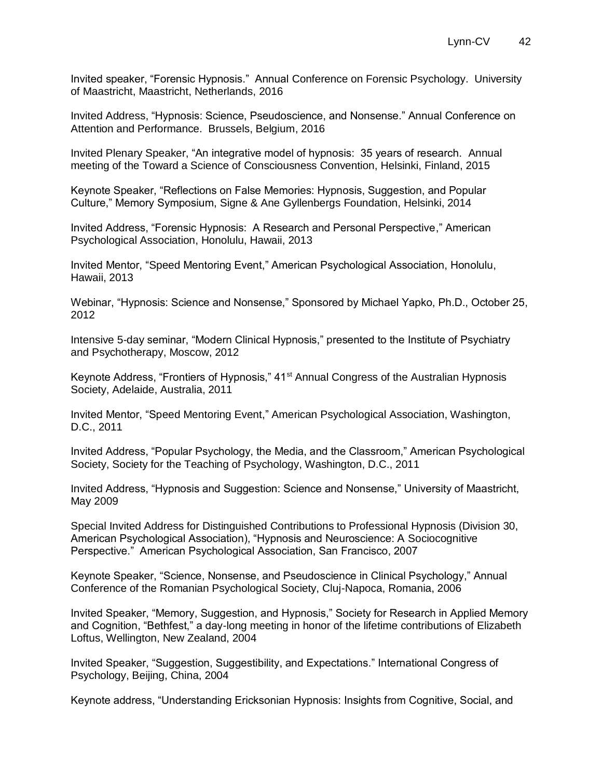Invited speaker, "Forensic Hypnosis." Annual Conference on Forensic Psychology. University of Maastricht, Maastricht, Netherlands, 2016

Invited Address, "Hypnosis: Science, Pseudoscience, and Nonsense." Annual Conference on Attention and Performance. Brussels, Belgium, 2016

Invited Plenary Speaker, "An integrative model of hypnosis: 35 years of research. Annual meeting of the Toward a Science of Consciousness Convention, Helsinki, Finland, 2015

Keynote Speaker, "Reflections on False Memories: Hypnosis, Suggestion, and Popular Culture," Memory Symposium, Signe & Ane Gyllenbergs Foundation, Helsinki, 2014

Invited Address, "Forensic Hypnosis: A Research and Personal Perspective," American Psychological Association, Honolulu, Hawaii, 2013

Invited Mentor, "Speed Mentoring Event," American Psychological Association, Honolulu, Hawaii, 2013

Webinar, "Hypnosis: Science and Nonsense," Sponsored by Michael Yapko, Ph.D., October 25, 2012

Intensive 5-day seminar, "Modern Clinical Hypnosis," presented to the Institute of Psychiatry and Psychotherapy, Moscow, 2012

Keynote Address, "Frontiers of Hypnosis," 41<sup>st</sup> Annual Congress of the Australian Hypnosis Society, Adelaide, Australia, 2011

Invited Mentor, "Speed Mentoring Event," American Psychological Association, Washington, D.C., 2011

Invited Address, "Popular Psychology, the Media, and the Classroom," American Psychological Society, Society for the Teaching of Psychology, Washington, D.C., 2011

Invited Address, "Hypnosis and Suggestion: Science and Nonsense," University of Maastricht, May 2009

Special Invited Address for Distinguished Contributions to Professional Hypnosis (Division 30, American Psychological Association), "Hypnosis and Neuroscience: A Sociocognitive Perspective." American Psychological Association, San Francisco, 2007

Keynote Speaker, "Science, Nonsense, and Pseudoscience in Clinical Psychology," Annual Conference of the Romanian Psychological Society, Cluj-Napoca, Romania, 2006

Invited Speaker, "Memory, Suggestion, and Hypnosis," Society for Research in Applied Memory and Cognition, "Bethfest," a day-long meeting in honor of the lifetime contributions of Elizabeth Loftus, Wellington, New Zealand, 2004

Invited Speaker, "Suggestion, Suggestibility, and Expectations." International Congress of Psychology, Beijing, China, 2004

Keynote address, "Understanding Ericksonian Hypnosis: Insights from Cognitive, Social, and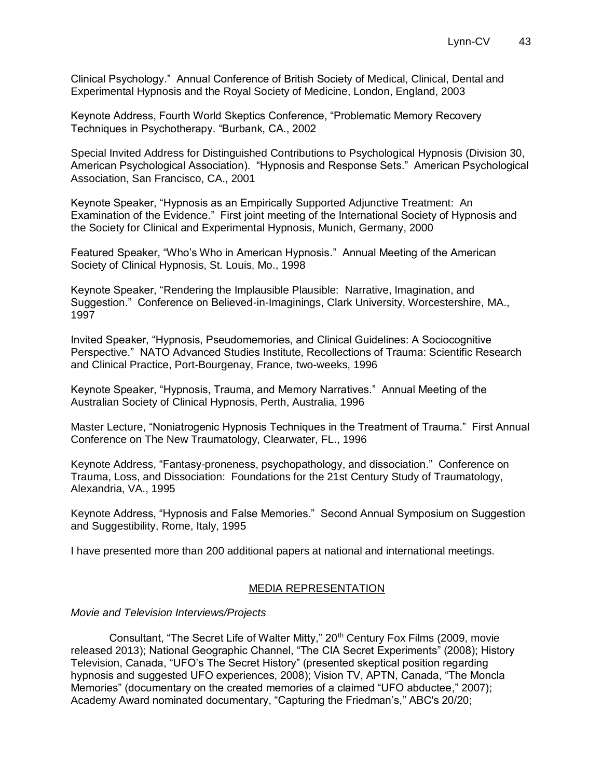Clinical Psychology." Annual Conference of British Society of Medical, Clinical, Dental and Experimental Hypnosis and the Royal Society of Medicine, London, England, 2003

Keynote Address, Fourth World Skeptics Conference, "Problematic Memory Recovery Techniques in Psychotherapy. "Burbank, CA., 2002

Special Invited Address for Distinguished Contributions to Psychological Hypnosis (Division 30, American Psychological Association). "Hypnosis and Response Sets." American Psychological Association, San Francisco, CA., 2001

Keynote Speaker, "Hypnosis as an Empirically Supported Adjunctive Treatment: An Examination of the Evidence." First joint meeting of the International Society of Hypnosis and the Society for Clinical and Experimental Hypnosis, Munich, Germany, 2000

Featured Speaker, "Who's Who in American Hypnosis." Annual Meeting of the American Society of Clinical Hypnosis, St. Louis, Mo., 1998

Keynote Speaker, "Rendering the Implausible Plausible: Narrative, Imagination, and Suggestion." Conference on Believed-in-Imaginings, Clark University, Worcestershire, MA., 1997

Invited Speaker, "Hypnosis, Pseudomemories, and Clinical Guidelines: A Sociocognitive Perspective." NATO Advanced Studies Institute, Recollections of Trauma: Scientific Research and Clinical Practice, Port-Bourgenay, France, two-weeks, 1996

Keynote Speaker, "Hypnosis, Trauma, and Memory Narratives." Annual Meeting of the Australian Society of Clinical Hypnosis, Perth, Australia, 1996

Master Lecture, "Noniatrogenic Hypnosis Techniques in the Treatment of Trauma." First Annual Conference on The New Traumatology, Clearwater, FL., 1996

Keynote Address, "Fantasy-proneness, psychopathology, and dissociation." Conference on Trauma, Loss, and Dissociation: Foundations for the 21st Century Study of Traumatology, Alexandria, VA., 1995

Keynote Address, "Hypnosis and False Memories." Second Annual Symposium on Suggestion and Suggestibility, Rome, Italy, 1995

I have presented more than 200 additional papers at national and international meetings.

#### MEDIA REPRESENTATION

#### *Movie and Television Interviews/Projects*

Consultant, "The Secret Life of Walter Mitty," 20<sup>th</sup> Century Fox Films (2009, movie released 2013); National Geographic Channel, "The CIA Secret Experiments" (2008); History Television, Canada, "UFO's The Secret History" (presented skeptical position regarding hypnosis and suggested UFO experiences, 2008); Vision TV, APTN, Canada, "The Moncla Memories" (documentary on the created memories of a claimed "UFO abductee," 2007); Academy Award nominated documentary, "Capturing the Friedman's," ABC's 20/20;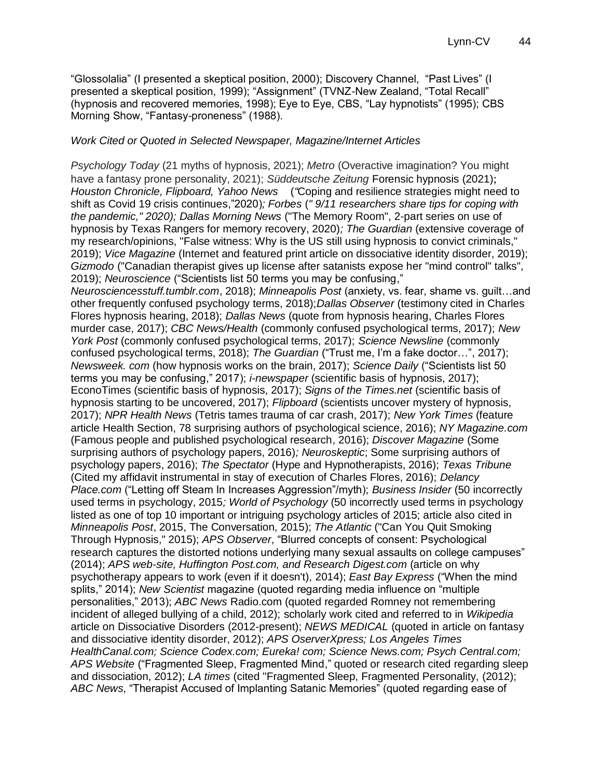"Glossolalia" (I presented a skeptical position, 2000); Discovery Channel, "Past Lives" (I presented a skeptical position, 1999); "Assignment" (TVNZ-New Zealand, "Total Recall" (hypnosis and recovered memories, 1998); Eye to Eye, CBS, "Lay hypnotists" (1995); CBS Morning Show, "Fantasy-proneness" (1988).

#### *Work Cited or Quoted in Selected Newspaper, Magazine/Internet Articles*

*Psychology Today* (21 myths of hypnosis, 2021); *Metro* (Overactive imagination? You might have a fantasy prone personality, 2021); *Süddeutsche Zeitung* Forensic hypnosis (2021); *Houston Chronicle, Flipboard, Yahoo News* (*"*Coping and resilience strategies might need to shift as Covid 19 crisis continues,"2020)*; Forbes* (*" 9/11 researchers share tips for coping with the pandemic," 2020); Dallas Morning News* ("The Memory Room", 2-part series on use of hypnosis by Texas Rangers for memory recovery, 2020)*; The Guardian* (extensive coverage of my research/opinions, "False witness: Why is the US still using hypnosis to convict criminals," 2019); *Vice Magazine* (Internet and featured print article on dissociative identity disorder, 2019); *Gizmodo* ("Canadian therapist gives up license after satanists expose her "mind control" talks", 2019); *Neuroscience* ("Scientists list 50 terms you may be confusing," *Neurosciencesstuff.tumblr.com*, 2018); *Minneapolis Post* (anxiety, vs. fear, shame vs. guilt…and other frequently confused psychology terms, 2018);*Dallas Observer* (testimony cited in Charles Flores hypnosis hearing, 2018); *Dallas News* (quote from hypnosis hearing, Charles Flores murder case, 2017); *CBC News/Health* (commonly confused psychological terms, 2017); *New York Post* (commonly confused psychological terms, 2017); *Science Newsline* (commonly confused psychological terms, 2018); *The Guardian* ("Trust me, I'm a fake doctor…", 2017); *Newsweek. com* (how hypnosis works on the brain, 2017); *Science Daily* ("Scientists list 50 terms you may be confusing," 2017); *i-newspaper* (scientific basis of hypnosis, 2017); EconoTimes (scientific basis of hypnosis, 2017); *Signs of the Times.net* (scientific basis of hypnosis starting to be uncovered, 2017); *Flipboard* (scientists uncover mystery of hypnosis, 2017); *NPR Health News* (Tetris tames trauma of car crash, 2017); *New York Times* (feature article Health Section, 78 surprising authors of psychological science, 2016); *NY Magazine.com* (Famous people and published psychological research, 2016); *Discover Magazine* (Some surprising authors of psychology papers, 2016)*; Neuroskeptic*; Some surprising authors of psychology papers, 2016); *The Spectator* (Hype and Hypnotherapists, 2016); *Texas Tribune* (Cited my affidavit instrumental in stay of execution of Charles Flores, 2016); *Delancy Place.com* ("Letting off Steam In Increases Aggression"/myth); *Business Insider* (50 incorrectly used terms in psychology, 2015*; World of Psychology* (50 incorrectly used terms in psychology listed as one of top 10 important or intriguing psychology articles of 2015; article also cited in *Minneapolis Post*, 2015, The Conversation, 2015); *The Atlantic* ("Can You Quit Smoking Through Hypnosis," 2015); *APS Observer*, "Blurred concepts of consent: Psychological research captures the distorted notions underlying many sexual assaults on college campuses" (2014); *APS web-site, Huffington Post.com, and Research Digest.com* (article on why psychotherapy appears to work (even if it doesn't), 2014); *East Bay Express* ("When the mind splits," 2014); *New Scientist* magazine (quoted regarding media influence on "multiple personalities," 2013); *ABC News* Radio.com (quoted regarded Romney not remembering incident of alleged bullying of a child, 2012); scholarly work cited and referred to in *Wikipedia* article on Dissociative Disorders (2012-present); *NEWS MEDICAL* (quoted in article on fantasy and dissociative identity disorder, 2012); *APS OserverXpress; Los Angeles Times HealthCanal.com; Science Codex.com; Eureka! com; Science News.com; Psych Central.com; APS Website* ("Fragmented Sleep, Fragmented Mind," quoted or research cited regarding sleep and dissociation, 2012); *LA times* (cited "Fragmented Sleep, Fragmented Personality, (2012); *ABC News*, "Therapist Accused of Implanting Satanic Memories" (quoted regarding ease of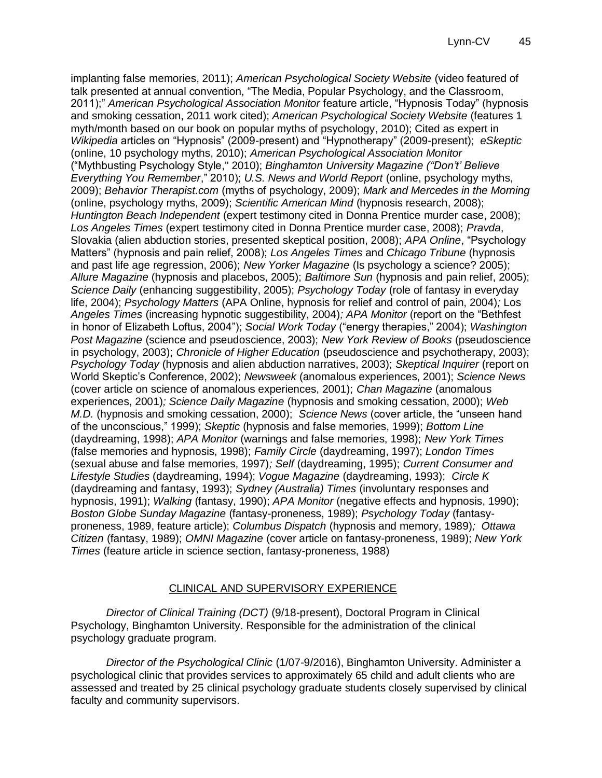implanting false memories, 2011); *American Psychological Society Website* (video featured of talk presented at annual convention, "The Media, Popular Psychology, and the Classroom, 2011);" *American Psychological Association Monitor* feature article, "Hypnosis Today" (hypnosis and smoking cessation, 2011 work cited); *American Psychological Society Website* (features 1 myth/month based on our book on popular myths of psychology, 2010); Cited as expert in *Wikipedia* articles on "Hypnosis" (2009-present) and "Hypnotherapy" (2009-present); *eSkeptic* (online, 10 psychology myths, 2010); *American Psychological Association Monitor* ("Mythbusting Psychology Style," 2010); *Binghamton University Magazine ("Don't' Believe Everything You Remember*," 2010); *U.S. News and World Report* (online, psychology myths, 2009); *Behavior Therapist.com* (myths of psychology, 2009); *Mark and Mercedes in the Morning* (online, psychology myths, 2009); *Scientific American Mind* (hypnosis research, 2008); *Huntington Beach Independent* (expert testimony cited in Donna Prentice murder case, 2008); *Los Angeles Times* (expert testimony cited in Donna Prentice murder case, 2008); *Pravda*, Slovakia (alien abduction stories, presented skeptical position, 2008); *APA Online*, "Psychology Matters" (hypnosis and pain relief, 2008); *Los Angeles Times* and *Chicago Tribune* (hypnosis and past life age regression, 2006); *New Yorker Magazine* (Is psychology a science? 2005); *Allure Magazine* (hypnosis and placebos, 2005); *Baltimore Sun* (hypnosis and pain relief, 2005); *Science Daily* (enhancing suggestibility, 2005); *Psychology Today* (role of fantasy in everyday life, 2004); *Psychology Matters* (APA Online, hypnosis for relief and control of pain, 2004)*;* Los *Angeles Times* (increasing hypnotic suggestibility, 2004)*; APA Monitor* (report on the "Bethfest in honor of Elizabeth Loftus, 2004"); *Social Work Today* ("energy therapies," 2004); *Washington Post Magazine* (science and pseudoscience, 2003); *New York Review of Books* (pseudoscience in psychology, 2003); *Chronicle of Higher Education* (pseudoscience and psychotherapy, 2003); *Psychology Today* (hypnosis and alien abduction narratives, 2003); *Skeptical Inquirer* (report on World Skeptic's Conference, 2002); *Newsweek* (anomalous experiences, 2001); *Science News* (cover article on science of anomalous experiences, 2001); *Chan Magazine* (anomalous experiences, 2001)*; Science Daily Magazine* (hypnosis and smoking cessation, 2000); *Web M.D.* (hypnosis and smoking cessation, 2000); *Science News* (cover article, the "unseen hand of the unconscious," 1999); *Skeptic* (hypnosis and false memories, 1999); *Bottom Line* (daydreaming, 1998); *APA Monitor* (warnings and false memories, 1998); *New York Times* (false memories and hypnosis, 1998); *Family Circle* (daydreaming, 1997); *London Times* (sexual abuse and false memories, 1997)*; Self* (daydreaming, 1995); *Current Consumer and Lifestyle Studies* (daydreaming, 1994); *Vogue Magazine* (daydreaming, 1993); *Circle K* (daydreaming and fantasy, 1993); *Sydney (Australia) Times* (involuntary responses and hypnosis, 1991); *Walking* (fantasy, 1990); *APA Monitor* (negative effects and hypnosis, 1990); *Boston Globe Sunday Magazine* (fantasy-proneness, 1989); *Psychology Today* (fantasyproneness, 1989, feature article); *Columbus Dispatch* (hypnosis and memory, 1989)*; Ottawa Citizen* (fantasy, 1989); *OMNI Magazine* (cover article on fantasy-proneness, 1989); *New York Times* (feature article in science section, fantasy-proneness, 1988)

## CLINICAL AND SUPERVISORY EXPERIENCE

*Director of Clinical Training (DCT)* (9/18-present), Doctoral Program in Clinical Psychology, Binghamton University. Responsible for the administration of the clinical psychology graduate program.

*Director of the Psychological Clinic* (1/07-9/2016), Binghamton University. Administer a psychological clinic that provides services to approximately 65 child and adult clients who are assessed and treated by 25 clinical psychology graduate students closely supervised by clinical faculty and community supervisors.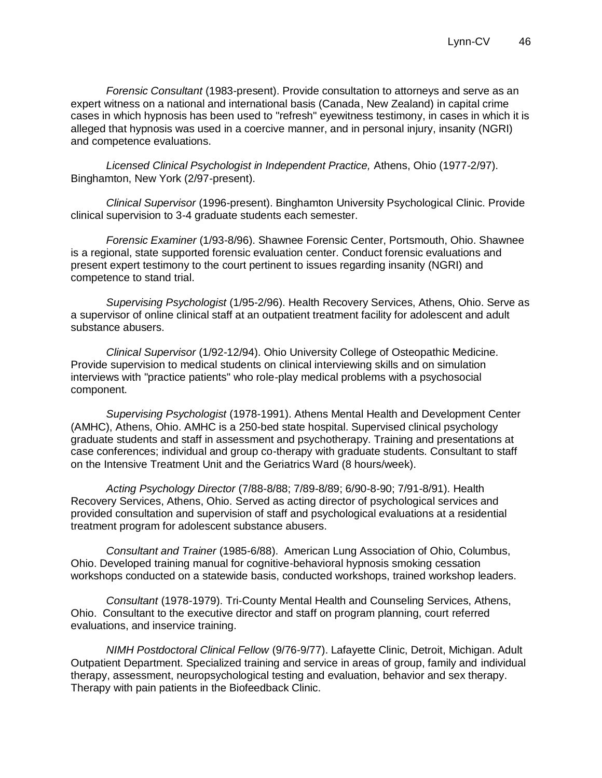*Forensic Consultant* (1983-present). Provide consultation to attorneys and serve as an expert witness on a national and international basis (Canada, New Zealand) in capital crime cases in which hypnosis has been used to "refresh" eyewitness testimony, in cases in which it is alleged that hypnosis was used in a coercive manner, and in personal injury, insanity (NGRI) and competence evaluations.

*Licensed Clinical Psychologist in Independent Practice,* Athens, Ohio (1977-2/97). Binghamton, New York (2/97-present).

*Clinical Supervisor* (1996-present). Binghamton University Psychological Clinic. Provide clinical supervision to 3-4 graduate students each semester.

*Forensic Examiner* (1/93-8/96). Shawnee Forensic Center, Portsmouth, Ohio. Shawnee is a regional, state supported forensic evaluation center. Conduct forensic evaluations and present expert testimony to the court pertinent to issues regarding insanity (NGRI) and competence to stand trial.

*Supervising Psychologist* (1/95-2/96). Health Recovery Services, Athens, Ohio. Serve as a supervisor of online clinical staff at an outpatient treatment facility for adolescent and adult substance abusers.

*Clinical Supervisor* (1/92-12/94). Ohio University College of Osteopathic Medicine. Provide supervision to medical students on clinical interviewing skills and on simulation interviews with "practice patients" who role-play medical problems with a psychosocial component.

*Supervising Psychologist* (1978-1991). Athens Mental Health and Development Center (AMHC), Athens, Ohio. AMHC is a 250-bed state hospital. Supervised clinical psychology graduate students and staff in assessment and psychotherapy. Training and presentations at case conferences; individual and group co-therapy with graduate students. Consultant to staff on the Intensive Treatment Unit and the Geriatrics Ward (8 hours/week).

*Acting Psychology Director* (7/88-8/88; 7/89-8/89; 6/90-8-90; 7/91-8/91). Health Recovery Services, Athens, Ohio. Served as acting director of psychological services and provided consultation and supervision of staff and psychological evaluations at a residential treatment program for adolescent substance abusers.

*Consultant and Trainer* (1985-6/88). American Lung Association of Ohio, Columbus, Ohio. Developed training manual for cognitive-behavioral hypnosis smoking cessation workshops conducted on a statewide basis, conducted workshops, trained workshop leaders.

*Consultant* (1978-1979). Tri-County Mental Health and Counseling Services, Athens, Ohio. Consultant to the executive director and staff on program planning, court referred evaluations, and inservice training.

*NIMH Postdoctoral Clinical Fellow* (9/76-9/77). Lafayette Clinic, Detroit, Michigan. Adult Outpatient Department. Specialized training and service in areas of group, family and individual therapy, assessment, neuropsychological testing and evaluation, behavior and sex therapy. Therapy with pain patients in the Biofeedback Clinic.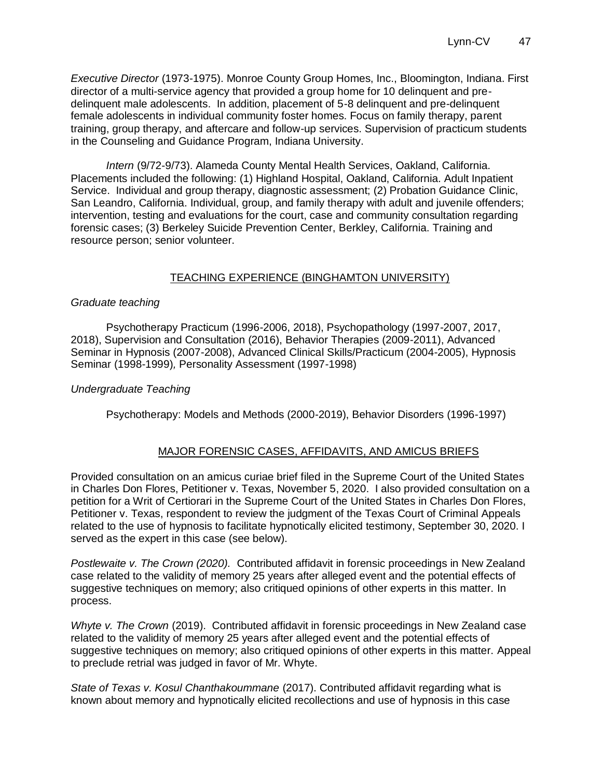*Executive Director* (1973-1975). Monroe County Group Homes, Inc., Bloomington, Indiana. First director of a multi-service agency that provided a group home for 10 delinquent and predelinquent male adolescents. In addition, placement of 5-8 delinquent and pre-delinquent female adolescents in individual community foster homes. Focus on family therapy, parent training, group therapy, and aftercare and follow-up services. Supervision of practicum students in the Counseling and Guidance Program, Indiana University.

*Intern* (9/72-9/73). Alameda County Mental Health Services, Oakland, California. Placements included the following: (1) Highland Hospital, Oakland, California. Adult Inpatient Service. Individual and group therapy, diagnostic assessment; (2) Probation Guidance Clinic, San Leandro, California. Individual, group, and family therapy with adult and juvenile offenders; intervention, testing and evaluations for the court, case and community consultation regarding forensic cases; (3) Berkeley Suicide Prevention Center, Berkley, California. Training and resource person; senior volunteer.

## TEACHING EXPERIENCE (BINGHAMTON UNIVERSITY)

### *Graduate teaching*

Psychotherapy Practicum (1996-2006, 2018), Psychopathology (1997-2007, 2017, 2018), Supervision and Consultation (2016), Behavior Therapies (2009-2011), Advanced Seminar in Hypnosis (2007-2008), Advanced Clinical Skills/Practicum (2004-2005), Hypnosis Seminar (1998-1999)*,* Personality Assessment (1997-1998)

### *Undergraduate Teaching*

Psychotherapy: Models and Methods (2000-2019), Behavior Disorders (1996-1997)

## MAJOR FORENSIC CASES, AFFIDAVITS, AND AMICUS BRIEFS

Provided consultation on an amicus curiae brief filed in the Supreme Court of the United States in Charles Don Flores, Petitioner v. Texas, November 5, 2020. I also provided consultation on a petition for a Writ of Certiorari in the Supreme Court of the United States in Charles Don Flores, Petitioner v. Texas, respondent to review the judgment of the Texas Court of Criminal Appeals related to the use of hypnosis to facilitate hypnotically elicited testimony, September 30, 2020. I served as the expert in this case (see below).

*Postlewaite v. The Crown (2020).* Contributed affidavit in forensic proceedings in New Zealand case related to the validity of memory 25 years after alleged event and the potential effects of suggestive techniques on memory; also critiqued opinions of other experts in this matter. In process.

*Whyte v. The Crown* (2019). Contributed affidavit in forensic proceedings in New Zealand case related to the validity of memory 25 years after alleged event and the potential effects of suggestive techniques on memory; also critiqued opinions of other experts in this matter. Appeal to preclude retrial was judged in favor of Mr. Whyte.

*State of Texas v. Kosul Chanthakoummane* (2017). Contributed affidavit regarding what is known about memory and hypnotically elicited recollections and use of hypnosis in this case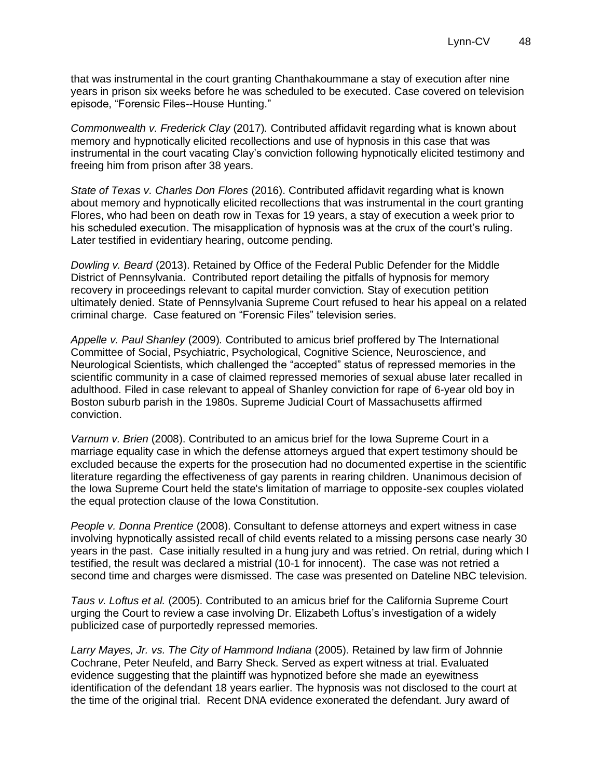that was instrumental in the court granting Chanthakoummane a stay of execution after nine years in prison six weeks before he was scheduled to be executed. Case covered on television episode, "Forensic Files--House Hunting."

*Commonwealth v. Frederick Clay* (2017)*.* Contributed affidavit regarding what is known about memory and hypnotically elicited recollections and use of hypnosis in this case that was instrumental in the court vacating Clay's conviction following hypnotically elicited testimony and freeing him from prison after 38 years.

*State of Texas v. Charles Don Flores* (2016). Contributed affidavit regarding what is known about memory and hypnotically elicited recollections that was instrumental in the court granting Flores, who had been on death row in Texas for 19 years, a stay of execution a week prior to his scheduled execution. The misapplication of hypnosis was at the crux of the court's ruling. Later testified in evidentiary hearing, outcome pending.

*Dowling v. Beard* (2013). Retained by Office of the Federal Public Defender for the Middle District of Pennsylvania. Contributed report detailing the pitfalls of hypnosis for memory recovery in proceedings relevant to capital murder conviction. Stay of execution petition ultimately denied. State of Pennsylvania Supreme Court refused to hear his appeal on a related criminal charge. Case featured on "Forensic Files" television series.

*Appelle v. Paul Shanley* (2009)*.* Contributed to amicus brief proffered by The International Committee of Social, Psychiatric, Psychological, Cognitive Science, Neuroscience, and Neurological Scientists, which challenged the "accepted" status of repressed memories in the scientific community in a case of claimed repressed memories of sexual abuse later recalled in adulthood. Filed in case relevant to appeal of Shanley conviction for rape of 6-year old boy in Boston suburb parish in the 1980s. Supreme Judicial Court of Massachusetts affirmed conviction.

*Varnum v. Brien* (2008). Contributed to an amicus brief for the Iowa Supreme Court in a marriage equality case in which the defense attorneys argued that expert testimony should be excluded because the experts for the prosecution had no documented expertise in the scientific literature regarding the effectiveness of gay parents in rearing children. Unanimous decision of the Iowa Supreme Court held the state's limitation of marriage to opposite-sex couples violated the equal protection clause of the Iowa Constitution.

*People v. Donna Prentice* (2008). Consultant to defense attorneys and expert witness in case involving hypnotically assisted recall of child events related to a missing persons case nearly 30 years in the past. Case initially resulted in a hung jury and was retried. On retrial, during which I testified, the result was declared a mistrial (10-1 for innocent). The case was not retried a second time and charges were dismissed. The case was presented on Dateline NBC television.

*Taus v. Loftus et al.* (2005). Contributed to an amicus brief for the California Supreme Court urging the Court to review a case involving Dr. Elizabeth Loftus's investigation of a widely publicized case of purportedly repressed memories.

*Larry Mayes, Jr. vs. The City of Hammond Indiana* (2005). Retained by law firm of Johnnie Cochrane, Peter Neufeld, and Barry Sheck. Served as expert witness at trial. Evaluated evidence suggesting that the plaintiff was hypnotized before she made an eyewitness identification of the defendant 18 years earlier. The hypnosis was not disclosed to the court at the time of the original trial. Recent DNA evidence exonerated the defendant. Jury award of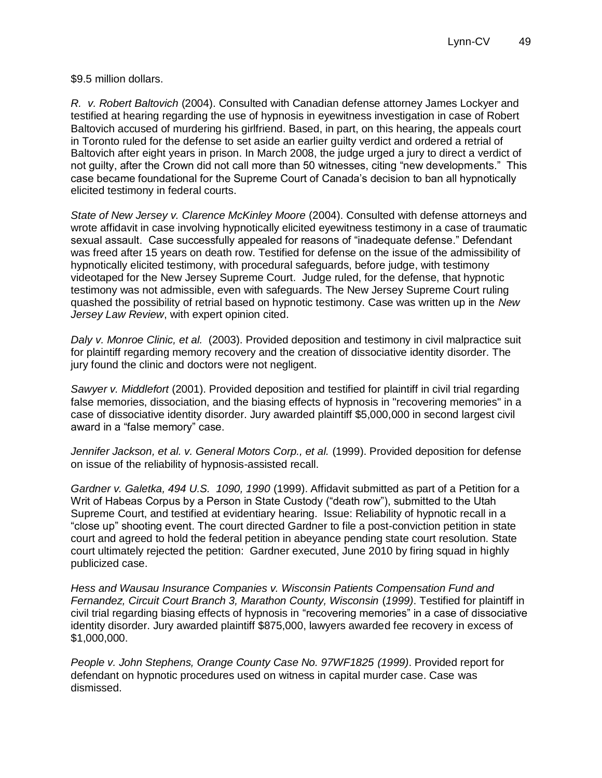\$9.5 million dollars.

*R. v. Robert Baltovich* (2004). Consulted with Canadian defense attorney James Lockyer and testified at hearing regarding the use of hypnosis in eyewitness investigation in case of Robert Baltovich accused of murdering his girlfriend. Based, in part, on this hearing, the appeals court in Toronto ruled for the defense to set aside an earlier guilty verdict and ordered a retrial of Baltovich after eight years in prison. In March 2008, the judge urged a jury to direct a verdict of not guilty, after the Crown did not call more than 50 witnesses, citing "new developments." This case became foundational for the Supreme Court of Canada's decision to ban all hypnotically elicited testimony in federal courts.

*State of New Jersey v. Clarence McKinley Moore* (2004). Consulted with defense attorneys and wrote affidavit in case involving hypnotically elicited eyewitness testimony in a case of traumatic sexual assault. Case successfully appealed for reasons of "inadequate defense." Defendant was freed after 15 years on death row. Testified for defense on the issue of the admissibility of hypnotically elicited testimony, with procedural safeguards, before judge, with testimony videotaped for the New Jersey Supreme Court. Judge ruled, for the defense, that hypnotic testimony was not admissible, even with safeguards. The New Jersey Supreme Court ruling quashed the possibility of retrial based on hypnotic testimony. Case was written up in the *New Jersey Law Review*, with expert opinion cited.

*Daly v. Monroe Clinic, et al.* (2003). Provided deposition and testimony in civil malpractice suit for plaintiff regarding memory recovery and the creation of dissociative identity disorder. The jury found the clinic and doctors were not negligent.

*Sawyer v. Middlefort* (2001). Provided deposition and testified for plaintiff in civil trial regarding false memories, dissociation, and the biasing effects of hypnosis in "recovering memories" in a case of dissociative identity disorder. Jury awarded plaintiff \$5,000,000 in second largest civil award in a "false memory" case.

*Jennifer Jackson, et al. v. General Motors Corp., et al.* (1999). Provided deposition for defense on issue of the reliability of hypnosis-assisted recall.

*Gardner v. Galetka, 494 U.S. 1090, 1990* (1999). Affidavit submitted as part of a Petition for a Writ of Habeas Corpus by a Person in State Custody ("death row"), submitted to the Utah Supreme Court, and testified at evidentiary hearing. Issue: Reliability of hypnotic recall in a "close up" shooting event. The court directed Gardner to file a post-conviction petition in state court and agreed to hold the federal petition in abeyance pending state court resolution. State court ultimately rejected the petition: Gardner executed, June 2010 by firing squad in highly publicized case.

*Hess and Wausau Insurance Companies v. Wisconsin Patients Compensation Fund and Fernandez, Circuit Court Branch 3, Marathon County, Wisconsin (1999). Testified for plaintiff in* civil trial regarding biasing effects of hypnosis in "recovering memories" in a case of dissociative identity disorder. Jury awarded plaintiff \$875,000, lawyers awarded fee recovery in excess of \$1,000,000.

*People v. John Stephens, Orange County Case No. 97WF1825 (1999)*. Provided report for defendant on hypnotic procedures used on witness in capital murder case. Case was dismissed.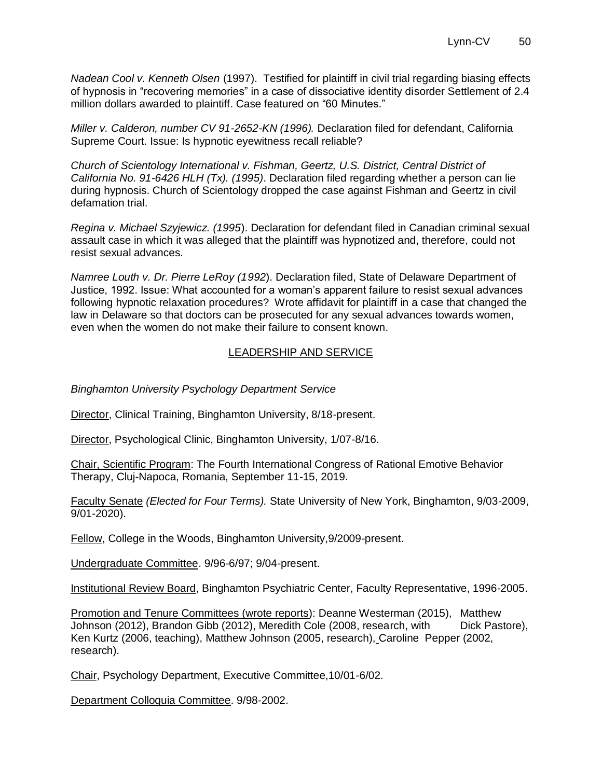*Nadean Cool v. Kenneth Olsen* (1997). Testified for plaintiff in civil trial regarding biasing effects of hypnosis in "recovering memories" in a case of dissociative identity disorder Settlement of 2.4 million dollars awarded to plaintiff. Case featured on "60 Minutes."

*Miller v. Calderon, number CV 91-2652-KN (1996).* Declaration filed for defendant, California Supreme Court. Issue: Is hypnotic eyewitness recall reliable?

*Church of Scientology International v. Fishman, Geertz, U.S. District, Central District of California No. 91-6426 HLH (Tx). (1995)*. Declaration filed regarding whether a person can lie during hypnosis. Church of Scientology dropped the case against Fishman and Geertz in civil defamation trial.

*Regina v. Michael Szyjewicz. (1995*). Declaration for defendant filed in Canadian criminal sexual assault case in which it was alleged that the plaintiff was hypnotized and, therefore, could not resist sexual advances.

*Namree Louth v. Dr. Pierre LeRoy (1992*). Declaration filed, State of Delaware Department of Justice, 1992. Issue: What accounted for a woman's apparent failure to resist sexual advances following hypnotic relaxation procedures? Wrote affidavit for plaintiff in a case that changed the law in Delaware so that doctors can be prosecuted for any sexual advances towards women, even when the women do not make their failure to consent known.

# LEADERSHIP AND SERVICE

*Binghamton University Psychology Department Service*

Director, Clinical Training, Binghamton University, 8/18-present.

Director, Psychological Clinic, Binghamton University, 1/07-8/16.

Chair, Scientific Program: The Fourth International Congress of Rational Emotive Behavior Therapy, Cluj-Napoca, Romania, September 11-15, 2019.

Faculty Senate *(Elected for Four Terms).* State University of New York, Binghamton, 9/03-2009, 9/01-2020).

Fellow, College in the Woods, Binghamton University,9/2009-present.

Undergraduate Committee. 9/96-6/97; 9/04-present.

Institutional Review Board, Binghamton Psychiatric Center, Faculty Representative, 1996-2005.

Promotion and Tenure Committees (wrote reports): Deanne Westerman (2015), Matthew Johnson (2012), Brandon Gibb (2012), Meredith Cole (2008, research, with Dick Pastore), Ken Kurtz (2006, teaching), Matthew Johnson (2005, research), Caroline Pepper (2002, research).

Chair, Psychology Department, Executive Committee,10/01-6/02.

Department Colloquia Committee. 9/98-2002.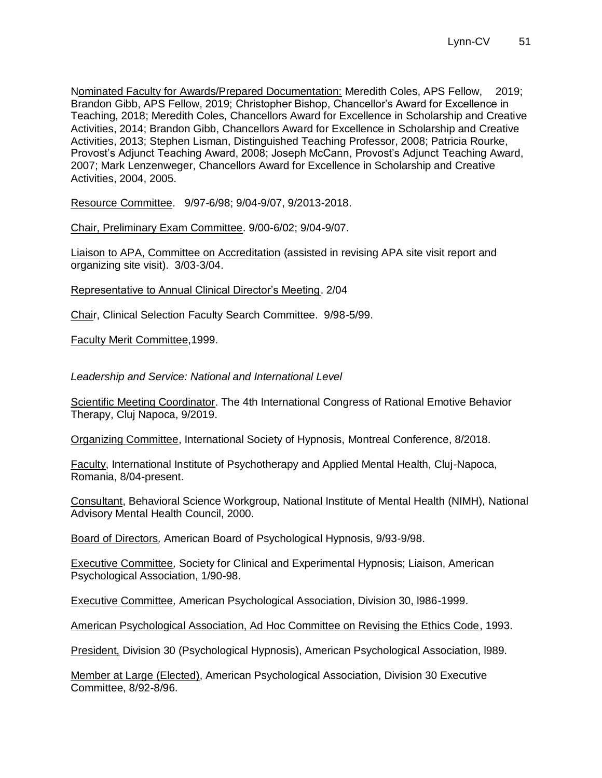Nominated Faculty for Awards/Prepared Documentation: Meredith Coles, APS Fellow, 2019; Brandon Gibb, APS Fellow, 2019; Christopher Bishop, Chancellor's Award for Excellence in Teaching, 2018; Meredith Coles, Chancellors Award for Excellence in Scholarship and Creative Activities, 2014; Brandon Gibb, Chancellors Award for Excellence in Scholarship and Creative Activities, 2013; Stephen Lisman, Distinguished Teaching Professor, 2008; Patricia Rourke, Provost's Adjunct Teaching Award, 2008; Joseph McCann, Provost's Adjunct Teaching Award, 2007; Mark Lenzenweger, Chancellors Award for Excellence in Scholarship and Creative Activities, 2004, 2005.

Resource Committee. 9/97-6/98; 9/04-9/07, 9/2013-2018.

Chair, Preliminary Exam Committee. 9/00-6/02; 9/04-9/07.

Liaison to APA, Committee on Accreditation (assisted in revising APA site visit report and organizing site visit). 3/03-3/04.

Representative to Annual Clinical Director's Meeting. 2/04

Chair, Clinical Selection Faculty Search Committee. 9/98-5/99.

Faculty Merit Committee,1999.

*Leadership and Service: National and International Level*

Scientific Meeting Coordinator. The 4th International Congress of Rational Emotive Behavior Therapy, Cluj Napoca, 9/2019.

Organizing Committee, International Society of Hypnosis, Montreal Conference, 8/2018.

Faculty, International Institute of Psychotherapy and Applied Mental Health, Cluj-Napoca, Romania, 8/04-present.

Consultant, Behavioral Science Workgroup, National Institute of Mental Health (NIMH), National Advisory Mental Health Council, 2000.

Board of Directors*,* American Board of Psychological Hypnosis, 9/93-9/98.

Executive Committee*,* Society for Clinical and Experimental Hypnosis; Liaison, American Psychological Association, 1/90-98.

Executive Committee*,* American Psychological Association, Division 30, l986-1999.

American Psychological Association, Ad Hoc Committee on Revising the Ethics Code, 1993.

President, Division 30 (Psychological Hypnosis), American Psychological Association, l989.

Member at Large (Elected), American Psychological Association, Division 30 Executive Committee, 8/92-8/96.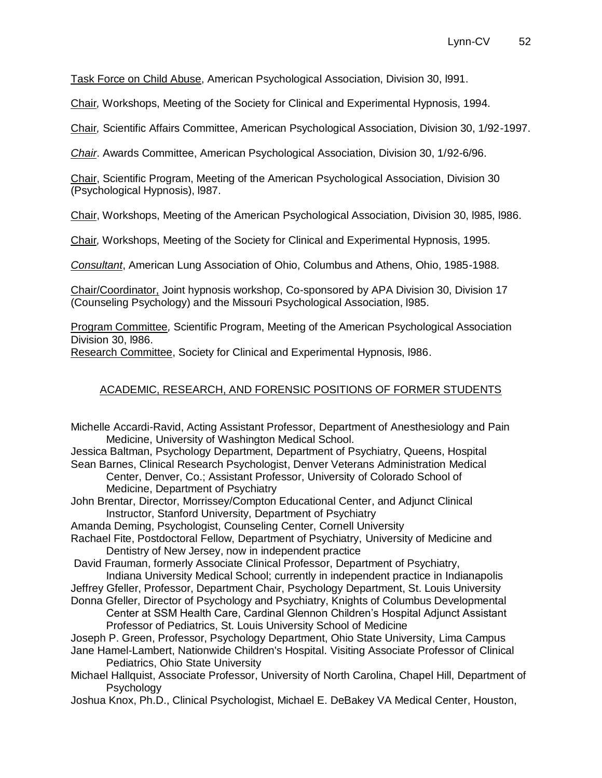Task Force on Child Abuse, American Psychological Association, Division 30, l991.

Chair*,* Workshops, Meeting of the Society for Clinical and Experimental Hypnosis, 1994.

Chair*,* Scientific Affairs Committee, American Psychological Association, Division 30, 1/92-1997.

*Chair*. Awards Committee, American Psychological Association, Division 30, 1/92-6/96.

Chair, Scientific Program, Meeting of the American Psychological Association, Division 30 (Psychological Hypnosis), l987.

Chair, Workshops, Meeting of the American Psychological Association, Division 30, l985, l986.

Chair*,* Workshops, Meeting of the Society for Clinical and Experimental Hypnosis, 1995.

*Consultant*, American Lung Association of Ohio, Columbus and Athens, Ohio, 1985-1988.

Chair/Coordinator, Joint hypnosis workshop, Co-sponsored by APA Division 30, Division 17 (Counseling Psychology) and the Missouri Psychological Association, l985.

Program Committee*,* Scientific Program, Meeting of the American Psychological Association Division 30, l986.

Research Committee, Society for Clinical and Experimental Hypnosis, l986.

## ACADEMIC, RESEARCH, AND FORENSIC POSITIONS OF FORMER STUDENTS

Michelle Accardi-Ravid, Acting Assistant Professor, Department of Anesthesiology and Pain Medicine, University of Washington Medical School.

Jessica Baltman, Psychology Department, Department of Psychiatry, Queens, Hospital Sean Barnes, Clinical Research Psychologist, Denver Veterans Administration Medical

Center, Denver, Co.; Assistant Professor, University of Colorado School of Medicine, Department of Psychiatry

John Brentar, Director, Morrissey/Compton Educational Center, and Adjunct Clinical Instructor, Stanford University, Department of Psychiatry

Amanda Deming, Psychologist, Counseling Center, Cornell University

Rachael Fite, Postdoctoral Fellow, Department of Psychiatry, University of Medicine and Dentistry of New Jersey, now in independent practice

David Frauman, formerly Associate Clinical Professor, Department of Psychiatry,

Indiana University Medical School; currently in independent practice in Indianapolis

Jeffrey Gfeller, Professor, Department Chair, Psychology Department, St. Louis University Donna Gfeller, Director of Psychology and Psychiatry, Knights of Columbus Developmental

Center at SSM Health Care, Cardinal Glennon Children's Hospital Adjunct Assistant Professor of Pediatrics, St. Louis University School of Medicine

Joseph P. Green, Professor, Psychology Department, Ohio State University, Lima Campus Jane Hamel-Lambert, Nationwide Children's Hospital. Visiting Associate Professor of Clinical Pediatrics, Ohio State University

Michael Hallquist, Associate Professor, University of North Carolina, Chapel Hill, Department of **Psychology** 

Joshua Knox, Ph.D., Clinical Psychologist, Michael E. DeBakey VA Medical Center, Houston,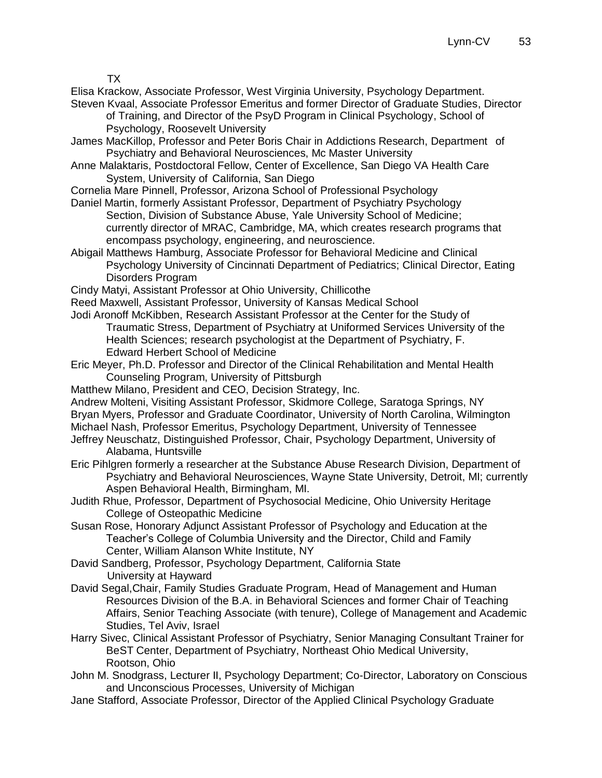TX

Elisa Krackow, Associate Professor, West Virginia University, Psychology Department. Steven Kvaal, Associate Professor Emeritus and former Director of Graduate Studies, Director

of Training, and Director of the PsyD Program in Clinical Psychology, School of Psychology, Roosevelt University

James MacKillop, Professor and Peter Boris Chair in Addictions Research, Department of Psychiatry and Behavioral Neurosciences, Mc Master University

- Anne Malaktaris, Postdoctoral Fellow, Center of Excellence, San Diego VA Health Care System, University of California, San Diego
- Cornelia Mare Pinnell, Professor, Arizona School of Professional Psychology
- Daniel Martin, formerly Assistant Professor, Department of Psychiatry Psychology Section, Division of Substance Abuse, Yale University School of Medicine; currently director of MRAC, Cambridge, MA, which creates research programs that encompass psychology, engineering, and neuroscience.
- Abigail Matthews Hamburg, Associate Professor for Behavioral Medicine and Clinical Psychology University of Cincinnati Department of Pediatrics; Clinical Director, Eating Disorders Program
- Cindy Matyi, Assistant Professor at Ohio University, Chillicothe
- Reed Maxwell, Assistant Professor, University of Kansas Medical School
- Jodi Aronoff McKibben, Research Assistant Professor at the Center for the Study of Traumatic Stress, Department of Psychiatry at Uniformed Services University of the Health Sciences; research psychologist at the Department of Psychiatry, F. Edward Herbert School of Medicine
- Eric Meyer, Ph.D. Professor and Director of the Clinical Rehabilitation and Mental Health Counseling Program, University of Pittsburgh
- Matthew Milano, President and CEO, Decision Strategy, Inc.
- Andrew Molteni, Visiting Assistant Professor, Skidmore College, Saratoga Springs, NY Bryan Myers, Professor and Graduate Coordinator, University of North Carolina, Wilmington
- Michael Nash, Professor Emeritus, Psychology Department, University of Tennessee
- Jeffrey Neuschatz, Distinguished Professor, Chair, Psychology Department, University of Alabama, Huntsville
- Eric Pihlgren formerly a researcher at the Substance Abuse Research Division, Department of Psychiatry and Behavioral Neurosciences, Wayne State University, Detroit, MI; currently Aspen Behavioral Health, Birmingham, MI.
- Judith Rhue, Professor, Department of Psychosocial Medicine, Ohio University Heritage College of Osteopathic Medicine
- Susan Rose, Honorary Adjunct Assistant Professor of Psychology and Education at the Teacher's College of Columbia University and the Director, Child and Family Center, William Alanson White Institute, NY
- David Sandberg, Professor, Psychology Department, California State University at Hayward
- David Segal,Chair, Family Studies Graduate Program, Head of Management and Human Resources Division of the B.A. in Behavioral Sciences and former Chair of Teaching Affairs, Senior Teaching Associate (with tenure), College of Management and Academic Studies, Tel Aviv, Israel
- Harry Sivec, Clinical Assistant Professor of Psychiatry, Senior Managing Consultant Trainer for BeST Center, Department of Psychiatry, Northeast Ohio Medical University, Rootson, Ohio
- John M. Snodgrass, Lecturer II, Psychology Department; Co-Director, Laboratory on Conscious and Unconscious Processes, University of Michigan
- Jane Stafford, Associate Professor, Director of the Applied Clinical Psychology Graduate